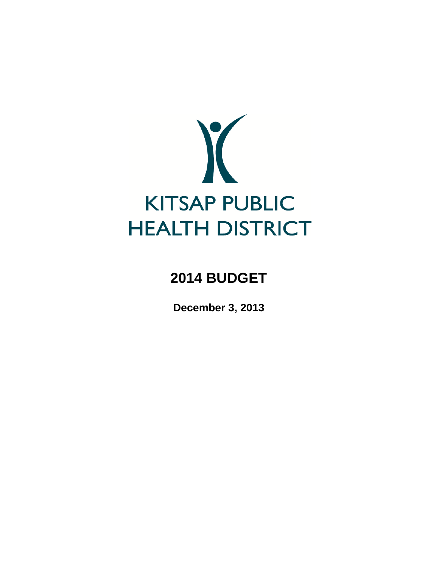

# **2014 BUDGET**

**December 3, 2013**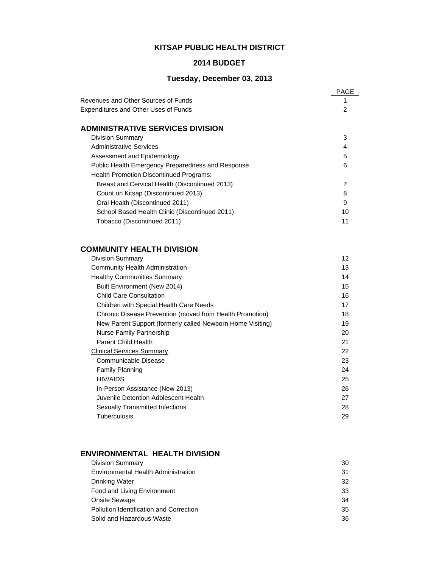# **KITSAP PUBLIC HEALTH DISTRICT**

## **2014 BUDGET**

# **Tuesday, December 03, 2013**

|                                                   | PAGE |
|---------------------------------------------------|------|
| Revenues and Other Sources of Funds               |      |
| <b>Expenditures and Other Uses of Funds</b>       | 2    |
| <b>ADMINISTRATIVE SERVICES DIVISION</b>           |      |
| <b>Division Summary</b>                           | 3    |
| Administrative Services                           | 4    |
| Assessment and Epidemiology                       | 5    |
| Public Health Emergency Preparedness and Response | 6    |
| Health Promotion Discontinued Programs:           |      |
| Breast and Cervical Health (Discontinued 2013)    |      |
| Count on Kitsap (Discontinued 2013)               | 8    |
| Oral Health (Discontinued 2011)                   | 9    |
| School Based Health Clinic (Discontinued 2011)    | 10   |
| Tobacco (Discontinued 2011)                       | 11   |

# **COMMUNITY HEALTH DIVISION**

| <b>Division Summary</b>                                    | 12 |
|------------------------------------------------------------|----|
| Community Health Administration                            | 13 |
| <b>Healthy Communities Summary</b>                         | 14 |
| Built Environment (New 2014)                               | 15 |
| <b>Child Care Consultation</b>                             | 16 |
| Children with Special Health Care Needs                    | 17 |
| Chronic Disease Prevention (moved from Health Promotion)   | 18 |
| New Parent Support (formerly called Newborn Home Visiting) | 19 |
| Nurse Family Partnership                                   | 20 |
| Parent Child Health                                        | 21 |
| <b>Clinical Services Summary</b>                           | 22 |
| Communicable Disease                                       | 23 |
| <b>Family Planning</b>                                     | 24 |
| <b>HIV/AIDS</b>                                            | 25 |
| In-Person Assistance (New 2013)                            | 26 |
| Juvenile Detention Adolescent Health                       | 27 |
| <b>Sexually Transmitted Infections</b>                     | 28 |
| Tuberculosis                                               | 29 |
|                                                            |    |

# **ENVIRONMENTAL HEALTH DIVISION**

| <b>Division Summary</b>                 | 30 |
|-----------------------------------------|----|
| Environmental Health Administration     | 31 |
| Drinking Water                          | 32 |
| Food and Living Environment             | 33 |
| <b>Onsite Sewage</b>                    | 34 |
| Pollution Identification and Correction | 35 |
| Solid and Hazardous Waste               | 36 |
|                                         |    |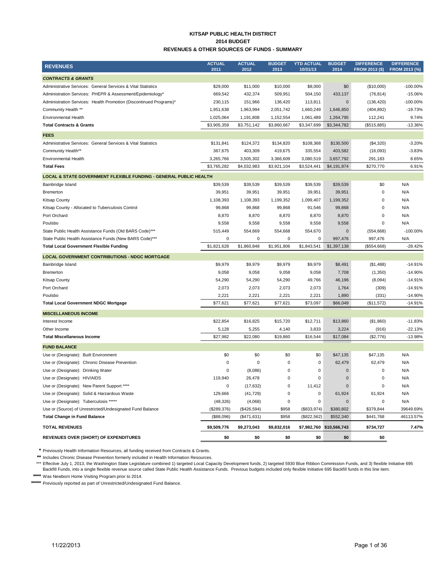#### **KITSAP PUBLIC HEALTH DISTRICT 2014 BUDGET REVENUES & OTHER SOURCES OF FUNDS - SUMMARY**

| <b>REVENUES</b>                                                    | <b>ACTUAL</b><br>2011 | <b>ACTUAL</b><br>2012 | <b>BUDGET</b><br>2013 | <b>YTD ACTUAL</b><br>10/31/13 | <b>BUDGET</b><br>2014    | <b>DIFFERENCE</b><br><b>FROM 2013 (\$)</b> | <b>DIFFERENCE</b><br>FROM 2013 (%) |
|--------------------------------------------------------------------|-----------------------|-----------------------|-----------------------|-------------------------------|--------------------------|--------------------------------------------|------------------------------------|
| <b>CONTRACTS &amp; GRANTS</b>                                      |                       |                       |                       |                               |                          |                                            |                                    |
| Administrative Services: General Services & Vital Statistics       | \$29,000              | \$11,000              | \$10,000              | \$8,000                       | \$0                      | (\$10,000)                                 | $-100.00\%$                        |
| Administration Services: PHEPR & Assessment/Epidemiology*          | 669,542               | 432,374               | 509,951               | 504,150                       | 433,137                  | (76, 814)                                  | $-15.06%$                          |
| Administration Services: Health Promotion (Discontinued Programs)* | 230,115               | 151,966               | 136,420               | 113,811                       | $\mathbf 0$              | (136, 420)                                 | -100.00%                           |
| Community Health **                                                | 1,951,638             | 1,963,994             | 2,051,742             | 1,660,249                     | 1,646,850                | (404, 892)                                 | $-19.73%$                          |
| Environmental Health                                               | 1,025,064             | 1,191,808             | 1,152,554             | 1,061,489                     | 1,264,795                | 112,241                                    | 9.74%                              |
| <b>Total Contracts &amp; Grants</b>                                | \$3,905,359           | \$3,751,142           | \$3,860,667           | \$3,347,699                   | \$3,344,782              | (\$515,885)                                | $-13.36%$                          |
| <b>FEES</b>                                                        |                       |                       |                       |                               |                          |                                            |                                    |
| Administrative Services: General Services & Vital Statistics       | \$131,841             | \$124,372             | \$134,820             | \$108,368                     | \$130,500                | (\$4,320)                                  | $-3.20%$                           |
| Community Health**                                                 | 367,675               | 403,309               | 419,675               | 335,554                       | 403,582                  | (16,093)                                   | $-3.83%$                           |
| <b>Environmental Health</b>                                        | 3,265,766             | 3,505,302             | 3,366,609             | 3,080,519                     | 3,657,792                | 291,183                                    | 8.65%                              |
| <b>Total Fees</b>                                                  | \$3,765,282           | \$4,032,983           | \$3,921,104           | \$3,524,441                   | \$4,191,874              | \$270,770                                  | 6.91%                              |
| LOCAL & STATE GOVERNMENT FLEXIBLE FUNDING - GENERAL PUBLIC HEALTH  |                       |                       |                       |                               |                          |                                            |                                    |
| Bainbridge Island                                                  | \$39,539              | \$39,539              | \$39,539              | \$39,539                      | \$39,539                 | \$0                                        | N/A                                |
| Bremerton                                                          | 39,951                | 39,951                | 39,951                | 39,951                        | 39,951                   | 0                                          | N/A                                |
| <b>Kitsap County</b>                                               | 1,108,393             | 1,108,393             | 1,199,352             | 1,099,407                     | 1,199,352                | $\mathbf 0$                                | N/A                                |
| Kitsap County - Allocated to Tuberculosis Control                  | 99,868                | 99,868                | 99,868                | 91,546                        | 99,868                   | $\mathbf 0$                                | N/A                                |
| Port Orchard                                                       | 8,870                 | 8,870                 | 8,870                 | 8,870                         | 8,870                    | $\mathbf 0$                                | N/A                                |
| Poulsbo                                                            | 9,558                 | 9,558                 | 9,558                 | 9,558                         | 9,558                    | 0                                          | N/A                                |
| State Public Health Assistance Funds (Old BARS Code)***            | 515,449               | 554,669               | 554,668               | 554,670                       | $\mathbf 0$              | (554, 668)                                 | $-100.00\%$                        |
| State Public Health Assistance Funds (New BARS Code)***            | 0                     | 0                     | 0                     | 0                             | 997,476                  | 997,476                                    | N/A                                |
| <b>Total Local Government Flexible Funding</b>                     | \$1,821,628           | \$1,860,848           | \$1,951,806           | \$1,843,541                   | \$1,397,138              | (\$554,668)                                | $-28.42%$                          |
| <b>LOCAL GOVERNMENT CONTRIBUTIONS - NDGC MORTGAGE</b>              |                       |                       |                       |                               |                          |                                            |                                    |
| Bainbridge Island                                                  | \$9,979               | \$9,979               | \$9,979               | \$9,979                       | \$8,491                  | (\$1,488)                                  | $-14.91%$                          |
| <b>Bremerton</b>                                                   | 9,058                 | 9,058                 | 9,058                 | 9,058                         | 7,708                    | (1,350)                                    | $-14.90%$                          |
| <b>Kitsap County</b>                                               | 54,290                | 54,290                | 54,290                | 49,766                        | 46,196                   | (8,094)                                    | $-14.91%$                          |
| Port Orchard                                                       | 2,073                 | 2,073                 | 2,073                 | 2,073                         | 1,764                    | (309)                                      | $-14.91%$                          |
| Poulsbo                                                            | 2,221                 | 2,221                 | 2,221                 | 2,221                         | 1,890                    | (331)                                      | $-14.90%$                          |
| <b>Total Local Government NDGC Mortgage</b>                        | \$77,621              | \$77,621              | \$77,621              | \$73,097                      | \$66,049                 | (\$11,572)                                 | $-14.91%$                          |
| <b>MISCELLANEOUS INCOME</b>                                        |                       |                       |                       |                               |                          |                                            |                                    |
| Interest Income                                                    | \$22,854              | \$16,825              | \$15,720              | \$12,711                      | \$13,860                 | (\$1,860)                                  | $-11.83%$                          |
| Other Income                                                       | 5,128                 | 5,255                 | 4,140                 | 3,833                         | 3,224                    | (916)                                      | $-22.13%$                          |
| <b>Total Miscellaneous Income</b>                                  | \$27,982              | \$22,080              | \$19,860              | \$16,544                      | \$17,084                 | (\$2,776)                                  | $-13.98%$                          |
|                                                                    |                       |                       |                       |                               |                          |                                            |                                    |
| <b>FUND BALANCE</b>                                                |                       |                       |                       |                               |                          |                                            |                                    |
| Use or (Designate): Built Environment                              | \$0                   | \$0                   | \$0                   | \$0                           | \$47,135                 | \$47,135                                   | N/A                                |
| Use or (Designate): Chronic Disease Prevention                     | 0                     | 0                     | 0                     | 0                             | 62,479                   | 62,479                                     | N/A                                |
| Use or (Designate): Drinking Water                                 | $\Omega$              | (8,086)               | 0                     | 0                             | $\mathbf 0$              | $\mathbf 0$                                | N/A                                |
| Use or (Designate): HIV/AIDS                                       | 119,940               | 26,478                | 0                     | 0                             | $\mathbf 0$              | $\mathbf 0$                                | N/A                                |
| Use or (Designate): New Parent Support ****                        | 0                     | (17, 632)             | 0                     | 11,412                        | $\mathbf 0$              | $\pmb{0}$                                  | N/A                                |
| Use or (Designate): Solid & Harzardous Waste                       | 129,666               | (41, 729)             | 0                     | 0                             | 61,924                   | 61,924                                     | N/A                                |
| Use or (Designate): Tuberculosis *****                             | (48, 326)             | (4,068)               | 0                     | 0                             | $\mathbf 0$              | 0                                          | N/A                                |
| Use or (Source) of Unrestricted/Undesignated Fund Balance          | (\$289,376)           | (\$426,594)           | \$958                 | (\$833,974)                   | \$380,802                | \$379,844                                  | 39649.69%                          |
| <b>Total Change in Fund Balance</b>                                | (\$88,096)            | (\$471,631)           | \$958                 | (\$822,562)                   | \$552,340                | \$441,768                                  | 46113.57%                          |
| <b>TOTAL REVENUES</b>                                              | \$9,509,776           | \$9,273,043           | \$9,832,016           |                               | \$7,982,760 \$10,566,743 | \$734,727                                  | 7.47%                              |
| <b>REVENUES OVER (SHORT) OF EXPENDITURES</b>                       | \$0                   | \$0                   | \$0                   | \$0                           | \$0                      | \$0                                        |                                    |

**\*** Previously Health Information Resources, all funding received from Contracts & Grants.

**\*\*** Includes Chronic Disease Prevention formerly included in Health Information Resources.

\*\*\* Effective July 1, 2013, the Washington State Legislature combined 1) targeted Local Capacity Development funds, 2) targeted 5930 Blue Ribbon Commission Funds, and 3) flexible Initiative 695<br>Backfill Funds, into a singl

**\*\*\*\*** Was Newborn Home Visiting Program prior to 2014.

**\*\*\*\*\*** Previously reported as part of Unrestricted/Undesignated Fund Balance.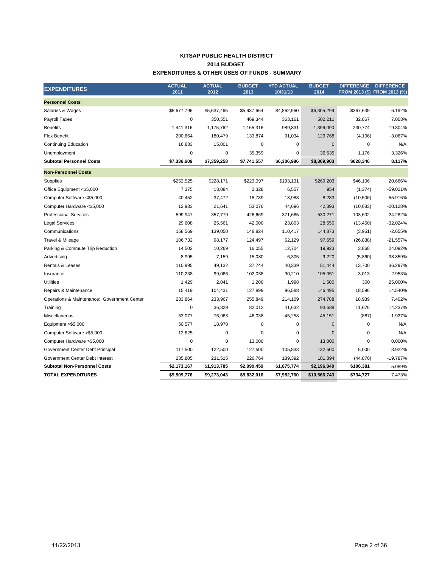#### **KITSAP PUBLIC HEALTH DISTRICT EXPENDITURES & OTHER USES OF FUNDS - SUMMARY 2014 BUDGET**

| <b>EXPENDITURES</b>                         | <b>ACTUAL</b><br>2011 | <b>ACTUAL</b><br>2012 | <b>BUDGET</b><br>2013 | <b>YTD ACTUAL</b><br>10/31/13 | <b>BUDGET</b><br>2014 | <b>DIFFERENCE</b> | <b>DIFFERENCE</b><br>FROM 2013 (\$) FROM 2013 (%) |
|---------------------------------------------|-----------------------|-----------------------|-----------------------|-------------------------------|-----------------------|-------------------|---------------------------------------------------|
| <b>Personnel Costs</b>                      |                       |                       |                       |                               |                       |                   |                                                   |
| Salaries & Wages                            | \$5,677,796           | \$5,637,465           | \$5,937,664           | \$4,862,960                   | \$6,305,299           | \$367,635         | 6.192%                                            |
| Payroll Taxes                               | $\mathbf 0$           | 350,551               | 469,344               | 363,161                       | 502,211               | 32,867            | 7.003%                                            |
| <b>Benefits</b>                             | 1,441,316             | 1,175,762             | 1,165,316             | 989,831                       | 1,396,090             | 230,774           | 19.804%                                           |
| <b>Flex Benefit</b>                         | 200,664               | 180,479               | 133,874               | 91,034                        | 129,768               | (4, 106)          | $-3.067%$                                         |
| <b>Continuing Education</b>                 | 16,833                | 15,001                | 0                     | 0                             | $\mathbf{0}$          | 0                 | N/A                                               |
| Unemployment                                | $\mathbf 0$           | 0                     | 35,359                | 0                             | 36,535                | 1,176             | 3.326%                                            |
| <b>Subtotal Personnel Costs</b>             | \$7,336,609           | \$7,359,258           | \$7,741,557           | \$6,306,986                   | \$8,369,903           | \$628,346         | 8.117%                                            |
| <b>Non-Personnel Costs</b>                  |                       |                       |                       |                               |                       |                   |                                                   |
| Supplies                                    | \$252,525             | \$228,171             | \$223,097             | \$193,131                     | \$269,203             | \$46,106          | 20.666%                                           |
| Office Equipment <\$5,000                   | 7,375                 | 13,084                | 2,328                 | 6,557                         | 954                   | (1, 374)          | $-59.021%$                                        |
| Computer Software <\$5,000                  | 40,452                | 37,472                | 18,789                | 18,988                        | 8,283                 | (10, 506)         | -55.916%                                          |
| Computer Hardware <\$5,000                  | 12,933                | 21,641                | 53,076                | 44,696                        | 42,393                | (10,683)          | $-20.128%$                                        |
| <b>Professional Services</b>                | 599,947               | 357,779               | 426,669               | 371,685                       | 530,271               | 103,602           | 24.282%                                           |
| <b>Legal Services</b>                       | 29,608                | 25,561                | 42,000                | 23,803                        | 28,550                | (13, 450)         | $-32.024%$                                        |
| Communications                              | 158,569               | 139,050               | 148,824               | 110,417                       | 144,873               | (3,951)           | $-2.655%$                                         |
| Travel & Mileage                            | 106,732               | 98,177                | 124,497               | 62,129                        | 97,659                | (26, 838)         | $-21.557%$                                        |
| Parking & Commute Trip Reduction            | 14,502                | 10,269                | 16,055                | 12,704                        | 19,923                | 3,868             | 24.092%                                           |
| Advertising                                 | 8,995                 | 7,159                 | 15,080                | 6,305                         | 9,220                 | (5,860)           | -38.859%                                          |
| <b>Rentals &amp; Leases</b>                 | 110,995               | 49,132                | 37,744                | 40,339                        | 51,444                | 13,700            | 36.297%                                           |
| Insurance                                   | 110,238               | 99,066                | 102,038               | 90,210                        | 105,051               | 3,013             | 2.953%                                            |
| Utilities                                   | 1,429                 | 2,041                 | 1,200                 | 1,998                         | 1,500                 | 300               | 25.000%                                           |
| Repairs & Maintenance                       | 15,419                | 104,431               | 127,899               | 96,588                        | 146,495               | 18,596            | 14.540%                                           |
| Operations & Maintenance: Government Center | 233,864               | 233,967               | 255,849               | 214,109                       | 274,788               | 18,939            | 7.402%                                            |
| Training                                    | $\mathbf 0$           | 36,829                | 82,012                | 41,632                        | 93,688                | 11,676            | 14.237%                                           |
| Miscellaneous                               | 53,077                | 76,963                | 46,038                | 45,258                        | 45,151                | (887)             | $-1.927%$                                         |
| Equipment >\$5,000                          | 50,577                | 18,978                | $\mathbf 0$           | $\mathbf 0$                   | $\mathbf 0$           | 0                 | N/A                                               |
| Computer Software > \$5,000                 | 12,625                | $\mathbf 0$           | 0                     | 0                             | $\mathbf{0}$          | 0                 | N/A                                               |
| Computer Hardware >\$5,000                  | $\mathbf 0$           | $\mathbf 0$           | 13,000                | 0                             | 13,000                | 0                 | 0.000%                                            |
| Government Center Debt Principal            | 117,500               | 122,500               | 127,500               | 105,833                       | 132,500               | 5,000             | 3.922%                                            |
| Government Center Debt Interest             | 235,805               | 231,515               | 226,764               | 189,392                       | 181,894               | (44, 870)         | $-19.787%$                                        |
| <b>Subtotal Non-Personnel Costs</b>         | \$2,173,167           | \$1,913,785           | \$2,090,459           | \$1,675,774                   | \$2,196,840           | \$106,381         | 5.089%                                            |
| <b>TOTAL EXPENDITURES</b>                   | \$9,509,776           | \$9,273,043           | \$9,832,016           | \$7,982,760                   | \$10,566,743          | \$734,727         | 7.473%                                            |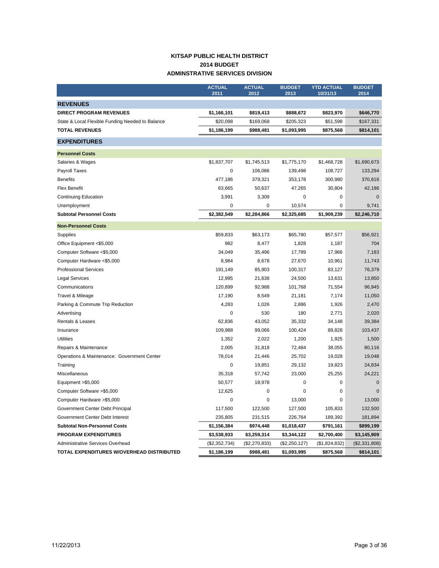## **KITSAP PUBLIC HEALTH DISTRICT 2014 BUDGET ADMINSTRATIVE SERVICES DIVISION**

|                                                  | <b>ACTUAL</b> | <b>ACTUAL</b> | <b>BUDGET</b> | <b>YTD ACTUAL</b> | <b>BUDGET</b> |
|--------------------------------------------------|---------------|---------------|---------------|-------------------|---------------|
|                                                  | 2011          | 2012          | 2013          | 10/31/13          | 2014          |
| <b>REVENUES</b>                                  |               |               |               |                   |               |
| <b>DIRECT PROGRAM REVENUES</b>                   | \$1,166,101   | \$819,413     | \$888,672     | \$823,970         | \$646,770     |
| State & Local Flexible Funding Needed to Balance | \$20,098      | \$169,068     | \$205,323     | \$51,598          | \$167,331     |
| <b>TOTAL REVENUES</b>                            | \$1,186,199   | \$988,481     | \$1,093,995   | \$875,568         | \$814,101     |
| <b>EXPENDITURES</b>                              |               |               |               |                   |               |
| <b>Personnel Costs</b>                           |               |               |               |                   |               |
| Salaries & Wages                                 | \$1,837,707   | \$1,745,513   | \$1,775,170   | \$1,468,728       | \$1,690,673   |
| <b>Payroll Taxes</b>                             | 0             | 106,086       | 139,498       | 108,727           | 133,294       |
| <b>Benefits</b>                                  | 477,186       | 379,321       | 353,178       | 300,980           | 370,816       |
| <b>Flex Benefit</b>                              | 63,665        | 50,637        | 47,265        | 30,804            | 42,186        |
| <b>Continuing Education</b>                      | 3,991         | 3,309         | 0             | 0                 | $\mathbf 0$   |
| Unemployment                                     | 0             | $\mathbf 0$   | 10,574        | $\mathbf 0$       | 9,741         |
| <b>Subtotal Personnel Costs</b>                  | \$2,382,549   | \$2,284,866   | \$2,325,685   | \$1,909,239       | \$2,246,710   |
| <b>Non-Personnel Costs</b>                       |               |               |               |                   |               |
| Supplies                                         | \$59,833      | \$63,173      | \$65,780      | \$57,577          | \$56,921      |
| Office Equipment <\$5,000                        | 982           | 8,477         | 1,828         | 1,187             | 704           |
| Computer Software <\$5,000                       | 34,049        | 35,496        | 17,789        | 17,966            | 7.183         |
| Computer Hardware <\$5,000                       | 8,984         | 8,678         | 27,670        | 10,961            | 11,743        |
| <b>Professional Services</b>                     | 191,149       | 85,903        | 100,317       | 83,127            | 76,379        |
| <b>Legal Services</b>                            | 12,995        | 21,638        | 24,500        | 13,631            | 13,850        |
| Communications                                   | 120,899       | 92,988        | 101,768       | 71,554            | 96,945        |
| Travel & Mileage                                 | 17,190        | 8,549         | 21,181        | 7,174             | 11,050        |
| Parking & Commute Trip Reduction                 | 4,283         | 1,026         | 2,886         | 1,926             | 2,470         |
| Advertising                                      | 0             | 530           | 180           | 2,771             | 2,020         |
| Rentals & Leases                                 | 62,836        | 43,052        | 35,332        | 34,148            | 39,384        |
| Insurance                                        | 109,988       | 99,066        | 100,424       | 89,828            | 103,437       |
| <b>Utilities</b>                                 | 1,352         | 2,022         | 1,200         | 1,925             | 1,500         |
| Repairs & Maintenance                            | 2,005         | 31,818        | 72,484        | 38,055            | 80,116        |
| Operations & Maintenance: Government Center      | 78,014        | 21,446        | 25,702        | 19,028            | 19,048        |
| Training                                         | $\pmb{0}$     | 19,851        | 29,132        | 19,823            | 24,834        |
| Miscellaneous                                    | 35,318        | 57,742        | 23,000        | 25,255            | 24,221        |
| Equipment > \$5,000                              | 50,577        | 18,978        | 0             | $\mathbf 0$       | $\mathbf 0$   |
| Computer Software >\$5,000                       | 12,625        | 0             | $\mathbf 0$   | $\mathbf 0$       | $\Omega$      |
| Computer Hardware >\$5,000                       | 0             | 0             | 13,000        | 0                 | 13,000        |
| Government Center Debt Principal                 | 117,500       | 122,500       | 127,500       | 105,833           | 132,500       |
| Government Center Debt Interest                  | 235,805       | 231,515       | 226,764       | 189,392           | 181,894       |
| <b>Subtotal Non-Personnel Costs</b>              | \$1,156,384   | \$974,448     | \$1,018,437   | \$791,161         | \$899,199     |
| <b>PROGRAM EXPENDITURES</b>                      | \$3,538,933   | \$3,259,314   | \$3,344,122   | \$2,700,400       | \$3,145,909   |
| <b>Administrative Services Overhead</b>          | (\$2,352,734) | (\$2,270,833) | (\$2,250,127) | (\$1,824,832)     | (\$2,331,808) |
| TOTAL EXPENDITURES W/OVERHEAD DISTRIBUTED        | \$1,186,199   | \$988,481     | \$1,093,995   | \$875,568         | \$814,101     |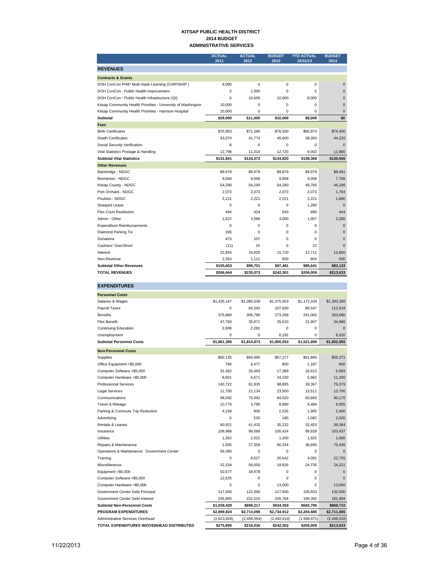#### **KITSAP PUBLIC HEALTH DISTRICT 2014 BUDGET ADMINISTRATIVE SERVICES**

|                                                               | <b>ACTUAL</b><br>2011 | <b>ACTUAL</b><br>2012 | <b>BUDGET</b><br>2013 | <b>YTD ACTUAL</b><br>10/31/13 | <b>BUDGET</b><br>2014 |
|---------------------------------------------------------------|-----------------------|-----------------------|-----------------------|-------------------------------|-----------------------|
| <b>REVENUES</b>                                               |                       |                       |                       |                               |                       |
| <b>Contracts &amp; Grants</b>                                 |                       |                       |                       |                               |                       |
| DOH ConCon PHIP Multi-State Learning (CHIP/SHIP)              | 9,000                 | 0                     | 0                     | $\Omega$                      | $\Omega$              |
| DOH ConCon - Public Health Improvement                        | $\mathbf 0$           | 1.000                 | 0                     | $\Omega$                      | $\mathbf 0$           |
| DOH ConCon - Public Health Infrastructure (QI)                | 0                     | 10,000                | 10,000                | 8,000                         | $\Omega$              |
| Kitsap Community Health Priorities - University of Washington | 10,000                | $\mathbf 0$           | 0                     | 0                             | $\mathbf 0$           |
| Kitsap Community Health Priorities - Harrison Hospital        | 10,000                | 0                     | $\Omega$              | 0                             | $\mathbf 0$           |
| Subtotal                                                      | \$29,000              | \$11,000              | \$10,000              | \$8,000                       | \$0                   |
| Fees                                                          |                       |                       |                       |                               |                       |
| <b>Birth Certificates</b>                                     | \$75,963              | \$71,280              | \$76,500              | \$60,973                      | \$74,400              |
| Death Certificates                                            | 43,074                | 41,774                | 45,600                | 38,393                        | 44,220                |
| Social Security Verification                                  | 8                     | 8                     | 0                     | 0                             | $\mathbf 0$           |
| Vital Statistics Postage & Handling                           | 12,796                | 11,310                | 12,720                | 9,002                         | 11,880                |
| <b>Subtotal Vital Statistics</b>                              | \$131,841             | \$124,372             | \$134,820             | \$108,368                     | \$130,500             |
| <b>Other Revenues</b>                                         |                       |                       |                       |                               |                       |
| Bainbridge - NDGC                                             | \$9,979               | \$9,979               | \$9.979               | \$9.979                       | \$8.491               |
| Bremerton - NDGC                                              | 9,058                 | 9,058                 | 9,058                 | 9,058                         | 7,708                 |
| Kitsap County - NDGC                                          | 54,290                | 54,290                | 54,290                | 49,766                        | 46,196                |
| Port Orchard - NDGC                                           | 2,073                 | 2,073                 | 2,073                 | 2,073                         | 1,764                 |
| Poulsbo - NDGC                                                | 2,221                 | 2,221                 | 2,221                 | 2,221                         | 1,890                 |
| Seaguist Lease                                                | 0                     | $\Omega$              | 0                     | 1,260                         | $\Omega$              |
| <b>Flex Court Restitution</b>                                 | 494                   | 424                   | 540                   | 690                           | 444                   |
| Admin - Other                                                 | 1,622                 | 3,598                 | 3,000                 | 1,057                         | 2,280                 |
| <b>Expenditure Reimbursements</b>                             | $\mathbf 0$           | 0                     | 0                     | 0                             | $\mathbf 0$           |
| Diamond Parking Tix                                           | 196                   | $\Omega$              | $\Omega$              | $\Omega$                      | $\Omega$              |
| Donations                                                     | 473                   | 107                   | $\Omega$              | $\Omega$                      | $\Omega$              |
| Cashiers' Over/Short                                          | (11)                  | 15                    | 0                     | 22                            | $\mathbf 0$           |
| Interest                                                      | 22,854                | 16,825                | 15,720                | 12,711                        | 13,860                |
| Non-Revenue                                                   | 2,354                 | 1,111                 | 600                   | 804                           | 500                   |
| <b>Subtotal Other Revenues</b>                                | \$105,603             | \$99,701              | \$97,481              | \$89,641                      | \$83.133              |
| <b>TOTAL REVENUES</b>                                         | \$266,444             | \$235,073             | \$242,301             | \$206,009                     | \$213,633             |

#### **EXPENDITURES Personnel Costs** Salaries & Wages **\$1,386,539** \$1,375,653 \$1,772,434 \$1,393,350 Payroll Taxes 0 83,392 107,830 86,547 112,619 Benefits 375,860 306,790 273,268 241,002 303,680 Flex Benefit 47,760 35,871 35,610 21,907 34,986 Continuing Education 2,608 2,281 0 0 0 Unemployment 0 0 8,192 0 8,320 **Subtotal Personnel Costs \$1,861,395 \$1,814,873 \$1,800,553 \$1,521,890 \$1,852,955 Non-Personnel Costs** Supplies \$50,135 \$56,985 \$57,277 \$51,860 \$56,371 Office Equipment <\$5,000 000 000 1,187 600 1,187 600 Computer Software <\$5,000 31,482 35,463 17,389 16,615 5,683 Computer Hardware <\$5,000 8,601 6,671 24,150 5,962 11,200 Professional Services 140,722 81,835 98,695 39,367 76,379 Legal Services 11,700 21,134 23,500 13,511 13,700 Communications 98,092 75,992 84,020 60,865 90,175 Travel & Mileage 10,776 3,795 8,890 5,494 6,055 Parking & Commute Trip Reduction <br>
4,158 936 2,526 1,905 2,400 Advertising 2,020 180 1,082 2,020 180 1,082 2,020 160 1,082 2,020 1,082 2,020 1,082 2,020 1,082 2,020 1,082 2,020 1,082 2,020 1,082 2,020 1,082 1,082 1,082 1,082 1,082 1,082 1,082 1,082 1,082 1,082 1,082 1,082 1,082 1,082 Rentals & Leases 60,921 41,432 35,232 32,453 39,384 Insurance 109,988 99,066 100,424 89,828 103,437 Utilities 1,352 2,022 1,200 1,925 1,500 Repairs & Maintenance 27,359 66,334 36,695 75,436 Operations & Maintenance: Government Center 59,360 0 0 0 0 Training 0 8,527 26,642 4,081 22,755 Miscellaneous 32,334 56,000 19,836 24,735 24,221 Equipment >\$5,000 50,577 18,978 0 0 0 Computer Software >\$5,000 12,625 0 0 0 0 Computer Hardware >\$5,000 0 0 0 13,000 0 13,000 13,000 Government Center Debt Principal 117,500 122,500 127,500 105,833 132,500 Government Center Debt Interest 235,805 231,515 226,764 189,392 181,894 **Subtotal Non-Personnel Costs \$1,038,429 \$899,217 \$934,359 \$682,790 \$858,710 PROGRAM EXPENDITURES \$2,899,824 \$2,714,090 \$2,734,912 \$2,204,680 \$2,711,665** Administrative Services Overhead (2,623,928) (2,498,054) (2,492,610) (1,998,671) (2,498,032) **TOTAL EXPENDITURES W/OVERHEAD DISTRIBUTED \$275,896 \$216,036 \$242,302 \$206,009 \$213,633**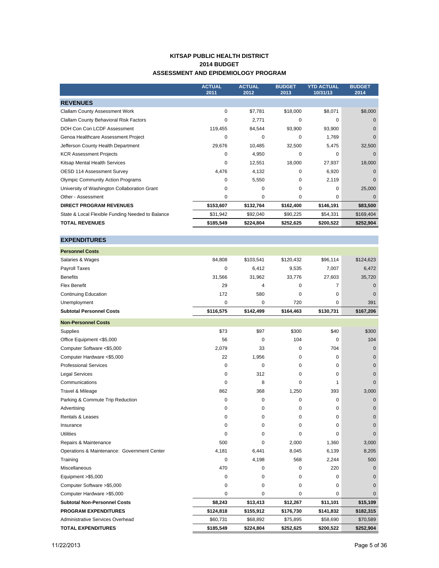## **KITSAP PUBLIC HEALTH DISTRICT 2014 BUDGET ASSESSMENT AND EPIDEMIOLOGY PROGRAM**

|                                                  | <b>ACTUAL</b><br>2011 | <b>ACTUAL</b><br>2012 | <b>BUDGET</b><br>2013 | <b>YTD ACTUAL</b><br>10/31/13 | <b>BUDGET</b><br>2014 |
|--------------------------------------------------|-----------------------|-----------------------|-----------------------|-------------------------------|-----------------------|
| <b>REVENUES</b>                                  |                       |                       |                       |                               |                       |
| <b>Clallam County Assessment Work</b>            | $\Omega$              | \$7,781               | \$18,000              | \$8,071                       | \$8,000               |
| Clallam County Behavioral Risk Factors           | $\Omega$              | 2,771                 | $\mathbf 0$           | 0                             | $\Omega$              |
| DOH Con Con LCDF Assessment                      | 119,455               | 84,544                | 93,900                | 93,900                        | $\mathbf 0$           |
| Genoa Healthcare Assessment Project              | 0                     | 0                     | $\mathbf 0$           | 1,769                         | $\Omega$              |
| Jefferson County Health Department               | 29,676                | 10,485                | 32,500                | 5,475                         | 32,500                |
| <b>KCR Assessment Projects</b>                   | 0                     | 4,950                 | $\mathbf 0$           | $\Omega$                      | $\Omega$              |
| Kitsap Mental Health Services                    | 0                     | 12,551                | 18,000                | 27,937                        | 18,000                |
| <b>OESD 114 Assessment Survey</b>                | 4,476                 | 4,132                 | 0                     | 6,920                         | $\Omega$              |
| <b>Olympic Community Action Programs</b>         | 0                     | 5,550                 | $\mathbf 0$           | 2,119                         | $\Omega$              |
| University of Washington Collaboration Grant     | $\Omega$              | $\Omega$              | 0                     | $\Omega$                      | 25,000                |
| Other - Assessment                               | $\Omega$              | $\Omega$              | 0                     | 0                             | $\Omega$              |
| <b>DIRECT PROGRAM REVENUES</b>                   | \$153,607             | \$132,764             | \$162,400             | \$146,191                     | \$83,500              |
| State & Local Flexible Funding Needed to Balance | \$31,942              | \$92,040              | \$90,225              | \$54,331                      | \$169,404             |
| <b>TOTAL REVENUES</b>                            | \$185,549             | \$224,804             | \$252,625             | \$200,522                     | \$252,904             |

| <b>EXPENDITURES</b> |  |  |  |  |  |  |  |  |  |  |  |  |  |  |
|---------------------|--|--|--|--|--|--|--|--|--|--|--|--|--|--|
|---------------------|--|--|--|--|--|--|--|--|--|--|--|--|--|--|

| <b>Personnel Costs</b>                      |             |             |             |             |                |
|---------------------------------------------|-------------|-------------|-------------|-------------|----------------|
| Salaries & Wages                            | 84,808      | \$103,541   | \$120,432   | \$96,114    | \$124,623      |
| Payroll Taxes                               | $\mathbf 0$ | 6,412       | 9,535       | 7,007       | 6,472          |
| <b>Benefits</b>                             | 31,566      | 31,962      | 33,776      | 27,603      | 35,720         |
| <b>Flex Benefit</b>                         | 29          | 4           | 0           | 7           | $\mathbf{0}$   |
| <b>Continuing Education</b>                 | 172         | 580         | $\mathbf 0$ | 0           | $\mathbf{0}$   |
| Unemployment                                | $\mathbf 0$ | $\mathbf 0$ | 720         | 0           | 391            |
| <b>Subtotal Personnel Costs</b>             | \$116,575   | \$142,499   | \$164,463   | \$130,731   | \$167,206      |
| <b>Non-Personnel Costs</b>                  |             |             |             |             |                |
| Supplies                                    | \$73        | \$97        | \$300       | \$40        | \$300          |
| Office Equipment <\$5,000                   | 56          | $\mathbf 0$ | 104         | $\mathbf 0$ | 104            |
| Computer Software <\$5,000                  | 2,079       | 33          | 0           | 704         | $\mathbf{0}$   |
| Computer Hardware <\$5,000                  | 22          | 1,956       | 0           | 0           | $\mathbf{0}$   |
| <b>Professional Services</b>                | 0           | $\mathbf 0$ | 0           | 0           | $\mathbf{0}$   |
| <b>Legal Services</b>                       | 0           | 312         | 0           | 0           | $\overline{0}$ |
| Communications                              | 0           | 8           | 0           | 1           | $\mathbf{0}$   |
| Travel & Mileage                            | 862         | 368         | 1,250       | 393         | 3,000          |
| Parking & Commute Trip Reduction            | 0           | $\mathbf 0$ | $\mathbf 0$ | 0           | $\mathbf{0}$   |
| Advertising                                 | 0           | $\mathbf 0$ | 0           | 0           | $\overline{0}$ |
| Rentals & Leases                            | 0           | $\mathbf 0$ | 0           | 0           | $\overline{0}$ |
| Insurance                                   | 0           | $\Omega$    | 0           | 0           | $\Omega$       |
| <b>Utilities</b>                            | $\Omega$    | $\mathbf 0$ | 0           | $\Omega$    | $\Omega$       |
| Repairs & Maintenance                       | 500         | 0           | 2,000       | 1,360       | 3,000          |
| Operations & Maintenance: Government Center | 4,181       | 6,441       | 8,045       | 6,139       | 8,205          |
| Training                                    | 0           | 4,198       | 568         | 2,244       | 500            |
| <b>Miscellaneous</b>                        | 470         | $\mathbf 0$ | 0           | 220         | $\mathbf{0}$   |
| Equipment >\$5,000                          | 0           | $\mathbf 0$ | 0           | 0           | $\mathbf{0}$   |
| Computer Software >\$5,000                  | 0           | $\mathbf 0$ | 0           | 0           | $\mathbf{0}$   |
| Computer Hardware > \$5,000                 | 0           | $\mathbf 0$ | 0           | 0           | $\mathbf{0}$   |
| <b>Subtotal Non-Personnel Costs</b>         | \$8,243     | \$13,413    | \$12,267    | \$11,101    | \$15,109       |
| <b>PROGRAM EXPENDITURES</b>                 | \$124,818   | \$155,912   | \$176,730   | \$141,832   | \$182,315      |
| Administrative Services Overhead            | \$60,731    | \$68,892    | \$75,895    | \$58,690    | \$70,589       |
| <b>TOTAL EXPENDITURES</b>                   | \$185,549   | \$224,804   | \$252,625   | \$200,522   | \$252,904      |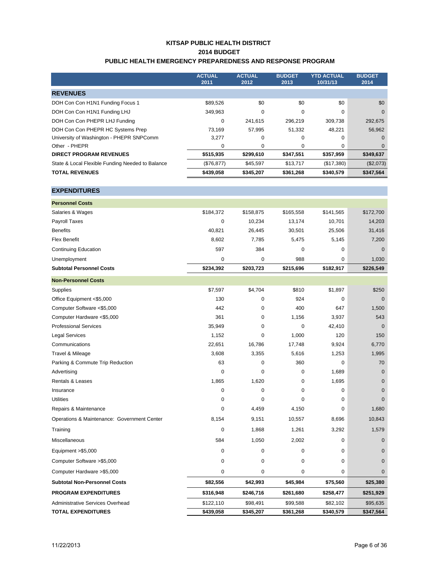## **KITSAP PUBLIC HEALTH DISTRICT 2014 BUDGET PUBLIC HEALTH EMERGENCY PREPAREDNESS AND RESPONSE PROGRAM**

|                                                  | <b>ACTUAL</b><br>2011 | <b>ACTUAL</b><br>2012 | <b>BUDGET</b><br>2013 | <b>YTD ACTUAL</b><br>10/31/13 | <b>BUDGET</b><br>2014 |
|--------------------------------------------------|-----------------------|-----------------------|-----------------------|-------------------------------|-----------------------|
| <b>REVENUES</b>                                  |                       |                       |                       |                               |                       |
| DOH Con Con H1N1 Funding Focus 1                 | \$89,526              | \$0                   | \$0                   | \$0                           | \$0                   |
| DOH Con Con H1N1 Funding LHJ                     | 349,963               | 0                     | $\Omega$              | $\Omega$                      | $\Omega$              |
| DOH Con Con PHEPR LHJ Funding                    | 0                     | 241.615               | 296,219               | 309.738                       | 292,675               |
| DOH Con Con PHEPR HC Systems Prep                | 73.169                | 57.995                | 51.332                | 48.221                        | 56.962                |
| University of Washington - PHEPR SNPComm         | 3,277                 | 0                     | $\Omega$              | 0                             | $\Omega$              |
| Other - PHEPR                                    | 0                     | 0                     | $\Omega$              | 0                             |                       |
| <b>DIRECT PROGRAM REVENUES</b>                   | \$515,935             | \$299,610             | \$347,551             | \$357,959                     | \$349,637             |
| State & Local Flexible Funding Needed to Balance | (\$76, 877)           | \$45,597              | \$13,717              | (\$17,380)                    | (\$2,073)             |
| <b>TOTAL REVENUES</b>                            | \$439,058             | \$345,207             | \$361,268             | \$340,579                     | \$347,564             |

## **EXPENDITURES**

| \$234.392 | \$203,723 | \$215,696 | \$182.917 | \$226,549    |
|-----------|-----------|-----------|-----------|--------------|
| 0         | 0         | 988       | 0         | 1,030        |
| 597       | 384       | 0         | 0         | $\mathbf{0}$ |
| 8.602     | 7.785     | 5.475     | 5.145     | 7,200        |
| 40.821    | 26.445    | 30,501    | 25.506    | 31,416       |
| 0         | 10.234    | 13.174    | 10.701    | 14,203       |
| \$184,372 | \$158,875 | \$165,558 | \$141.565 | \$172,700    |
|           |           |           |           |              |
|           |           |           |           |              |

| <b>Non-Personnel Costs</b>                  |           |           |           |           |             |
|---------------------------------------------|-----------|-----------|-----------|-----------|-------------|
| Supplies                                    | \$7,597   | \$4,704   | \$810     | \$1,897   | \$250       |
| Office Equipment <\$5,000                   | 130       | 0         | 924       | 0         | $\mathbf 0$ |
| Computer Software <\$5,000                  | 442       | 0         | 400       | 647       | 1,500       |
| Computer Hardware <\$5,000                  | 361       | 0         | 1,156     | 3,937     | 543         |
| <b>Professional Services</b>                | 35,949    | 0         | $\Omega$  | 42,410    | $\Omega$    |
| <b>Legal Services</b>                       | 1,152     | 0         | 1,000     | 120       | 150         |
| Communications                              | 22,651    | 16,786    | 17,748    | 9,924     | 6,770       |
| Travel & Mileage                            | 3,608     | 3,355     | 5,616     | 1,253     | 1,995       |
| Parking & Commute Trip Reduction            | 63        | 0         | 360       | $\Omega$  | 70          |
| Advertising                                 | 0         | 0         | 0         | 1.689     | $\Omega$    |
| <b>Rentals &amp; Leases</b>                 | 1,865     | 1,620     | 0         | 1,695     | $\Omega$    |
| Insurance                                   | 0         | 0         | 0         | $\Omega$  | $\Omega$    |
| <b>Utilities</b>                            | 0         | $\Omega$  | 0         | $\Omega$  | $\Omega$    |
| Repairs & Maintenance                       | 0         | 4,459     | 4,150     | $\Omega$  | 1,680       |
| Operations & Maintenance: Government Center | 8,154     | 9,151     | 10,557    | 8,696     | 10,843      |
| Training                                    | 0         | 1,868     | 1,261     | 3,292     | 1,579       |
| <b>Miscellaneous</b>                        | 584       | 1,050     | 2,002     | 0         | $\Omega$    |
| Equipment >\$5,000                          | 0         | 0         | 0         | 0         | $\Omega$    |
| Computer Software > \$5,000                 | 0         | 0         | 0         | $\Omega$  | $\Omega$    |
| Computer Hardware > \$5,000                 | 0         | 0         | 0         | 0         | $\Omega$    |
| <b>Subtotal Non-Personnel Costs</b>         | \$82,556  | \$42,993  | \$45,984  | \$75,560  | \$25,380    |
| <b>PROGRAM EXPENDITURES</b>                 | \$316,948 | \$246,716 | \$261,680 | \$258,477 | \$251,929   |
| Administrative Services Overhead            | \$122,110 | \$98,491  | \$99,588  | \$82,102  | \$95,635    |
| <b>TOTAL EXPENDITURES</b>                   | \$439,058 | \$345,207 | \$361,268 | \$340,579 | \$347,564   |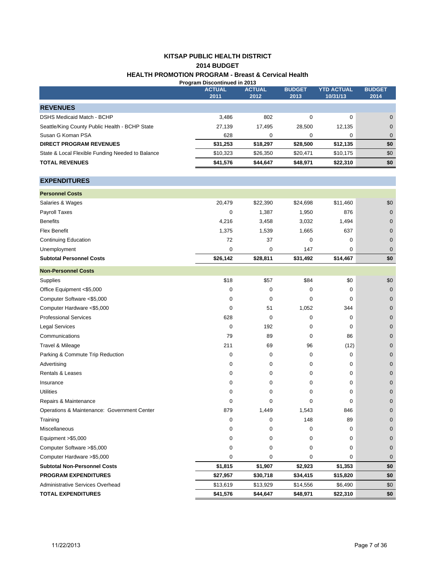# **KITSAP PUBLIC HEALTH DISTRICT HEALTH PROMOTION PROGRAM - Breast & Cervical Health 2014 BUDGET**

| Program Discontinued in 2013                     |                       |                       |                       |                               |                       |
|--------------------------------------------------|-----------------------|-----------------------|-----------------------|-------------------------------|-----------------------|
|                                                  | <b>ACTUAL</b><br>2011 | <b>ACTUAL</b><br>2012 | <b>BUDGET</b><br>2013 | <b>YTD ACTUAL</b><br>10/31/13 | <b>BUDGET</b><br>2014 |
| <b>REVENUES</b>                                  |                       |                       |                       |                               |                       |
| DSHS Medicaid Match - BCHP                       | 3,486                 | 802                   | 0                     | 0                             | $\mathbf{0}$          |
| Seattle/King County Public Health - BCHP State   | 27,139                | 17,495                | 28,500                | 12,135                        | $\mathbf{0}$          |
| Susan G Koman PSA                                | 628                   | 0                     | 0                     | 0                             | $\mathbf 0$           |
| <b>DIRECT PROGRAM REVENUES</b>                   | \$31,253              | \$18,297              | \$28,500              | \$12,135                      | \$0                   |
| State & Local Flexible Funding Needed to Balance | \$10,323              | \$26,350              | \$20,471              | \$10,175                      | \$0                   |
| <b>TOTAL REVENUES</b>                            | \$41,576              | \$44,647              | \$48,971              | \$22,310                      | \$0                   |
| <b>EXPENDITURES</b>                              |                       |                       |                       |                               |                       |
| <b>Personnel Costs</b>                           |                       |                       |                       |                               |                       |
| Salaries & Wages                                 | 20,479                | \$22,390              | \$24,698              | \$11,460                      | \$0                   |
| Payroll Taxes                                    | $\Omega$              | 1,387                 | 1,950                 | 876                           | $\mathbf 0$           |
| <b>Benefits</b>                                  | 4,216                 | 3,458                 | 3,032                 | 1,494                         | $\mathbf{0}$          |
| <b>Flex Benefit</b>                              | 1,375                 | 1,539                 | 1,665                 | 637                           | $\mathbf{0}$          |
| <b>Continuing Education</b>                      | 72                    | 37                    | 0                     | 0                             | $\mathbf{0}$          |

Unemployment 0 0 0 147 0 0

| <b>Subtotal Personnel Costs</b>             | \$26,142    | \$28,811    | \$31,492 | \$14,467 | \$0            |
|---------------------------------------------|-------------|-------------|----------|----------|----------------|
| <b>Non-Personnel Costs</b>                  |             |             |          |          |                |
| Supplies                                    | \$18        | \$57        | \$84     | \$0      | \$0            |
| Office Equipment <\$5,000                   | 0           | 0           | 0        | 0        | $\mathbf{0}$   |
| Computer Software <\$5,000                  | 0           | 0           | 0        | 0        | $\mathbf 0$    |
| Computer Hardware <\$5,000                  | 0           | 51          | 1,052    | 344      | $\mathbf 0$    |
| <b>Professional Services</b>                | 628         | $\Omega$    | 0        | $\Omega$ | $\mathbf 0$    |
| <b>Legal Services</b>                       | 0           | 192         | 0        | $\Omega$ | $\mathbf 0$    |
| Communications                              | 79          | 89          | 0        | 86       | $\mathbf 0$    |
| Travel & Mileage                            | 211         | 69          | 96       | (12)     | $\mathbf 0$    |
| Parking & Commute Trip Reduction            | 0           | 0           | 0        | 0        | $\mathbf{0}$   |
| Advertising                                 | 0           | $\mathbf 0$ | 0        | $\Omega$ | $\mathbf 0$    |
| Rentals & Leases                            | 0           | 0           | 0        | 0        | $\mathbf 0$    |
| Insurance                                   | 0           | $\mathbf 0$ | 0        | $\Omega$ | $\overline{0}$ |
| <b>Utilities</b>                            | 0           | $\mathbf 0$ | 0        | 0        | $\mathbf 0$    |
| Repairs & Maintenance                       | 0           | $\Omega$    | 0        | $\Omega$ | $\mathbf 0$    |
| Operations & Maintenance: Government Center | 879         | 1,449       | 1,543    | 846      | $\mathbf 0$    |
| Training                                    | 0           | $\mathbf 0$ | 148      | 89       | $\mathbf{0}$   |
| <b>Miscellaneous</b>                        | 0           | $\mathbf 0$ | 0        | $\Omega$ | $\mathbf{0}$   |
| Equipment >\$5,000                          | 0           | 0           | 0        | 0        | $\mathbf 0$    |
| Computer Software > \$5,000                 | 0           | $\mathbf 0$ | 0        | $\Omega$ | $\mathbf{0}$   |
| Computer Hardware > \$5,000                 | $\mathbf 0$ | $\mathbf 0$ | 0        | 0        | $\overline{0}$ |
| <b>Subtotal Non-Personnel Costs</b>         | \$1,815     | \$1,907     | \$2,923  | \$1,353  | \$0            |
| <b>PROGRAM EXPENDITURES</b>                 | \$27,957    | \$30,718    | \$34,415 | \$15,820 | \$0            |
| Administrative Services Overhead            | \$13,619    | \$13,929    | \$14,556 | \$6,490  | \$0            |
| <b>TOTAL EXPENDITURES</b>                   | \$41,576    | \$44,647    | \$48,971 | \$22,310 | \$0            |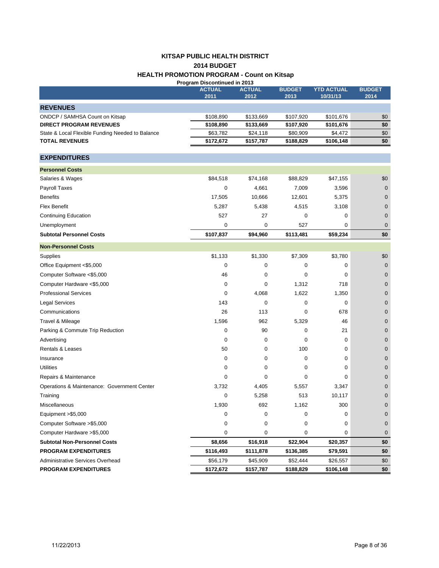# **KITSAP PUBLIC HEALTH DISTRICT 2014 BUDGET HEALTH PROMOTION PROGRAM - Count on Kitsap**

| Program Discontinued in 2013                     |               |               |               |                   |                |  |
|--------------------------------------------------|---------------|---------------|---------------|-------------------|----------------|--|
|                                                  | <b>ACTUAL</b> | <b>ACTUAL</b> | <b>BUDGET</b> | <b>YTD ACTUAL</b> | <b>BUDGET</b>  |  |
|                                                  | 2011          | 2012          | 2013          | 10/31/13          | 2014           |  |
| <b>REVENUES</b>                                  |               |               |               |                   |                |  |
| ONDCP / SAMHSA Count on Kitsap                   | \$108,890     | \$133,669     | \$107,920     | \$101,676         | \$0            |  |
| <b>DIRECT PROGRAM REVENUES</b>                   | \$108,890     | \$133,669     | \$107,920     | \$101,676         | \$0            |  |
| State & Local Flexible Funding Needed to Balance | \$63,782      | \$24,118      | \$80,909      | \$4,472           | \$0            |  |
| <b>TOTAL REVENUES</b>                            | \$172,672     | \$157,787     | \$188,829     | \$106,148         | \$0            |  |
| <b>EXPENDITURES</b>                              |               |               |               |                   |                |  |
| <b>Personnel Costs</b>                           |               |               |               |                   |                |  |
| Salaries & Wages                                 | \$84,518      | \$74,168      | \$88,829      | \$47,155          | \$0            |  |
| Payroll Taxes                                    | $\mathbf 0$   | 4,661         | 7,009         | 3,596             | $\mathbf 0$    |  |
| <b>Benefits</b>                                  | 17,505        | 10,666        | 12,601        | 5,375             | $\mathbf 0$    |  |
| <b>Flex Benefit</b>                              | 5,287         | 5,438         | 4,515         | 3,108             | $\mathbf 0$    |  |
| <b>Continuing Education</b>                      | 527           | 27            | 0             | 0                 | $\overline{0}$ |  |
| Unemployment                                     | $\mathbf 0$   | 0             | 527           | 0                 | $\mathbf 0$    |  |
| <b>Subtotal Personnel Costs</b>                  | \$107,837     | \$94,960      | \$113,481     | \$59,234          | \$0            |  |
| <b>Non-Personnel Costs</b>                       |               |               |               |                   |                |  |
| Supplies                                         | \$1,133       | \$1,330       | \$7,309       | \$3,780           | \$0            |  |
| Office Equipment <\$5,000                        | $\mathbf 0$   | 0             | $\mathbf 0$   | 0                 | $\mathbf 0$    |  |
| Computer Software <\$5,000                       | 46            | 0             | 0             | 0                 | $\mathbf 0$    |  |
| Computer Hardware <\$5,000                       | 0             | $\mathbf 0$   | 1,312         | 718               | $\overline{0}$ |  |
| <b>Professional Services</b>                     | $\mathbf 0$   | 4,068         | 1,622         | 1,350             | $\overline{0}$ |  |
| <b>Legal Services</b>                            | 143           | 0             | 0             | 0                 | $\mathbf 0$    |  |
| Communications                                   | 26            | 113           | 0             | 678               | $\mathbf 0$    |  |
| Travel & Mileage                                 | 1,596         | 962           | 5,329         | 46                | $\mathbf 0$    |  |
| Parking & Commute Trip Reduction                 | 0             | 90            | 0             | 21                | $\mathbf 0$    |  |
| Advertising                                      | $\mathbf 0$   | 0             | 0             | 0                 | $\mathbf 0$    |  |
| <b>Rentals &amp; Leases</b>                      | 50            | 0             | 100           | 0                 | $\overline{0}$ |  |
| Insurance                                        | 0             | 0             | 0             | 0                 | $\mathbf 0$    |  |
| <b>Utilities</b>                                 | 0             | $\mathbf 0$   | 0             | 0                 | $\mathbf 0$    |  |
| Repairs & Maintenance                            | $\Omega$      | $\mathbf 0$   | $\mathbf 0$   | 0                 | $\mathbf 0$    |  |
| Operations & Maintenance: Government Center      | 3,732         | 4,405         | 5,557         | 3,347             | $\mathbf 0$    |  |
| Training                                         | $\mathbf 0$   | 5,258         | 513           | 10,117            | $\mathbf 0$    |  |
| Miscellaneous                                    | 1,930         | 692           | 1,162         | 300               | 0              |  |
| Equipment $>$ \$5,000                            | 0             | 0             | 0             | 0                 | $\mathbf 0$    |  |
| Computer Software >\$5,000                       | 0             | 0             | 0             | 0                 | $\mathbf 0$    |  |
| Computer Hardware > \$5,000                      | 0             | 0             | 0             | 0                 | $\mathbf 0$    |  |
| <b>Subtotal Non-Personnel Costs</b>              | \$8,656       | \$16,918      | \$22,904      | \$20,357          | \$0            |  |
| <b>PROGRAM EXPENDITURES</b>                      | \$116,493     | \$111,878     | \$136,385     | \$79,591          | \$0            |  |
| Administrative Services Overhead                 | \$56,179      | \$45,909      | \$52,444      | \$26,557          | \$0            |  |
| PROGRAM EXPENDITURES                             | \$172,672     | \$157,787     | \$188,829     | \$106,148         | \$0            |  |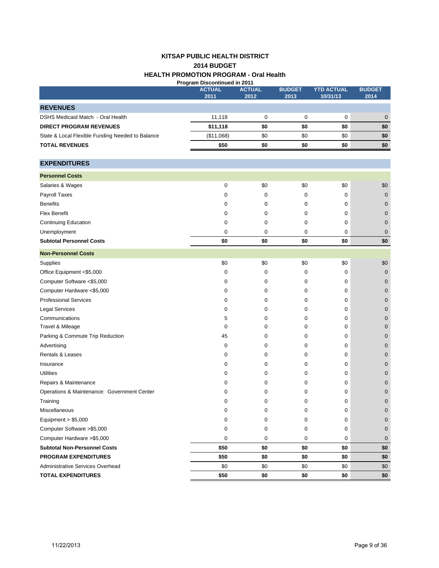#### **KITSAP PUBLIC HEALTH DISTRICT HEALTH PROMOTION PROGRAM - Oral Health 2014 BUDGET Program Discontinued in 2011**

|                                                  | ו ו עש ווו ש <del>ט</del> טווווועסטרו וווא ונש<br><b>ACTUAL</b> | <b>ACTUAL</b> | <b>BUDGET</b> | <b>YTD ACTUAL</b> | <b>BUDGET</b> |
|--------------------------------------------------|-----------------------------------------------------------------|---------------|---------------|-------------------|---------------|
|                                                  | 2011                                                            | 2012          | 2013          | 10/31/13          | 2014          |
| <b>REVENUES</b>                                  |                                                                 |               |               |                   |               |
| DSHS Medicaid Match - Oral Health                | 11,118                                                          | 0             | 0             | 0                 | $\mathbf{0}$  |
| <b>DIRECT PROGRAM REVENUES</b>                   | \$11,118                                                        | \$0           | \$0           | \$0               | \$0           |
| State & Local Flexible Funding Needed to Balance | (\$11,068)                                                      | \$0           | \$0           | \$0               | \$0           |
| <b>TOTAL REVENUES</b>                            | \$50                                                            | \$0           | \$0           | \$0               | \$0           |
|                                                  |                                                                 |               |               |                   |               |
| <b>EXPENDITURES</b>                              |                                                                 |               |               |                   |               |
| <b>Personnel Costs</b>                           |                                                                 |               |               |                   |               |
| Salaries & Wages                                 | 0                                                               | \$0           | \$0           | \$0               | \$0           |
| Payroll Taxes                                    | 0                                                               | 0             | 0             | 0                 | $\mathbf 0$   |
| <b>Benefits</b>                                  | 0                                                               | 0             | 0             | 0                 | 0             |
| <b>Flex Benefit</b>                              | 0                                                               | 0             | 0             | 0                 | 0             |
| <b>Continuing Education</b>                      | 0                                                               | 0             | 0             | 0                 | 0             |
| Unemployment                                     | 0                                                               | 0             | 0             | 0                 | $\mathbf 0$   |
| <b>Subtotal Personnel Costs</b>                  | \$0                                                             | \$0           | \$0           | \$0               | \$0           |
| <b>Non-Personnel Costs</b>                       |                                                                 |               |               |                   |               |
| Supplies                                         | \$0                                                             | \$0           | \$0           | \$0               | \$0           |
| Office Equipment <\$5,000                        | 0                                                               | 0             | 0             | 0                 | $\mathbf 0$   |
| Computer Software <\$5,000                       | 0                                                               | 0             | 0             | 0                 | 0             |
| Computer Hardware <\$5,000                       | 0                                                               | 0             | 0             | 0                 | 0             |
| <b>Professional Services</b>                     | 0                                                               | 0             | 0             | 0                 | 0             |
| <b>Legal Services</b>                            | 0                                                               | 0             | 0             | 0                 | 0             |
| Communications                                   | 5                                                               | 0             | 0             | 0                 | 0             |
| Travel & Mileage                                 | 0                                                               | 0             | 0             | 0                 | 0             |
| Parking & Commute Trip Reduction                 | 45                                                              | 0             | 0             | 0                 | 0             |
| Advertising                                      | 0                                                               | 0             | 0             | 0                 | 0             |
| <b>Rentals &amp; Leases</b>                      | 0                                                               | 0             | 0             | 0                 | 0             |
| Insurance                                        | 0                                                               | 0             | 0             | 0                 | 0             |
| <b>Utilities</b>                                 | 0                                                               | 0             | 0             | 0                 | 0             |
| Repairs & Maintenance                            | 0                                                               | 0             | 0             | 0                 | 0             |
| Operations & Maintenance: Government Center      | 0                                                               | 0             | 0             | 0                 | 0             |
| Training                                         | 0                                                               | 0             | 0             | 0                 | $\mathbf 0$   |
| Miscellaneous                                    | 0                                                               | 0             | 0             | 0                 | 0             |
| Equipment $> $5,000$                             | 0                                                               | 0             | 0             | 0                 | 0             |
| Computer Software > \$5,000                      | 0                                                               | 0             | 0             | 0                 | $\mathbf 0$   |
| Computer Hardware > \$5,000                      | 0                                                               | 0             | 0             | 0                 | $\mathbf 0$   |
| <b>Subtotal Non-Personnel Costs</b>              | \$50                                                            | \$0           | \$0           | \$0               | \$0           |
| PROGRAM EXPENDITURES                             | \$50                                                            | \$0           | \$0           | \$0               | \$0           |
| Administrative Services Overhead                 | \$0                                                             | \$0           | \$0           | \$0               | \$0           |
| <b>TOTAL EXPENDITURES</b>                        | \$50                                                            | \$0           | \$0           | \$0               | \$0           |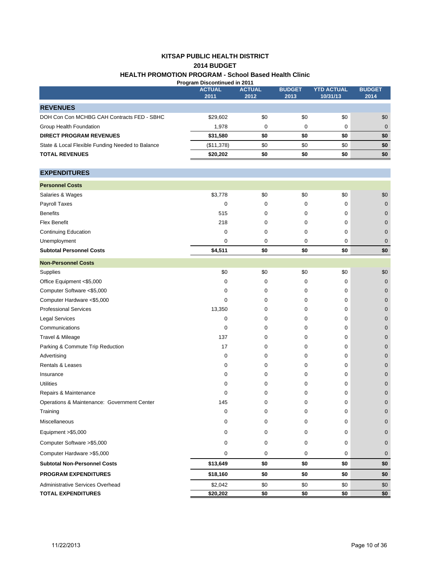#### **KITSAP PUBLIC HEALTH DISTRICT 2014 BUDGET HEALTH PROMOTION PROGRAM - School Based Health Clinic Program Discontinued in 2011**

|                                                  | <b>ACTUAL</b> | <b>ACTUAL</b> | <b>BUDGET</b> | <b>YTD ACTUAL</b> | <b>BUDGET</b>    |
|--------------------------------------------------|---------------|---------------|---------------|-------------------|------------------|
|                                                  | 2011          | 2012          | 2013          | 10/31/13          | 2014             |
| <b>REVENUES</b>                                  |               |               |               |                   |                  |
| DOH Con Con MCHBG CAH Contracts FED - SBHC       | \$29,602      | \$0           | \$0           | \$0               | \$0              |
| Group Health Foundation                          | 1,978         | 0             | 0             | 0                 | $\mathbf 0$      |
| <b>DIRECT PROGRAM REVENUES</b>                   | \$31,580      | \$0           | \$0           | \$0               | \$0              |
| State & Local Flexible Funding Needed to Balance | (\$11,378)    | \$0           | \$0           | \$0               | \$0              |
| <b>TOTAL REVENUES</b>                            | \$20,202      | \$0           | \$0           | \$0               | \$0              |
|                                                  |               |               |               |                   |                  |
| <b>EXPENDITURES</b>                              |               |               |               |                   |                  |
| <b>Personnel Costs</b>                           |               |               |               |                   |                  |
| Salaries & Wages                                 | \$3,778       | \$0           | \$0           | \$0               | \$0              |
| Payroll Taxes                                    | 0             | 0             | 0             | 0                 | $\boldsymbol{0}$ |
| <b>Benefits</b>                                  | 515           | 0             | 0             | 0                 | $\mathbf 0$      |
| <b>Flex Benefit</b>                              | 218           | 0             | 0             | 0                 | $\mathbf 0$      |
| <b>Continuing Education</b>                      | 0             | 0             | 0             | 0                 | $\mathbf 0$      |
| Unemployment                                     | 0             | 0             | 0             | 0                 | $\mathbf 0$      |
| <b>Subtotal Personnel Costs</b>                  | \$4,511       | \$0           | \$0           | \$0               | \$0              |
| <b>Non-Personnel Costs</b>                       |               |               |               |                   |                  |
| Supplies                                         | \$0           | \$0           | \$0           | \$0               | \$0              |
| Office Equipment <\$5,000                        | 0             | 0             | 0             | 0                 | $\mathbf 0$      |
| Computer Software <\$5,000                       | 0             | 0             | 0             | 0                 | $\mathbf 0$      |
| Computer Hardware <\$5,000                       | 0             | 0             | 0             | 0                 | $\mathbf 0$      |
| <b>Professional Services</b>                     | 13,350        | 0             | $\mathbf 0$   | 0                 | $\mathbf 0$      |
| <b>Legal Services</b>                            | 0             | 0             | 0             | 0                 | $\mathbf 0$      |
| Communications                                   | 0             | 0             | 0             | 0                 | $\mathbf 0$      |
| Travel & Mileage                                 | 137           | 0             | 0             | 0                 | $\mathbf 0$      |
| Parking & Commute Trip Reduction                 | 17            | 0             | 0             | 0                 | $\mathbf 0$      |
| Advertising                                      | 0             | 0             | 0             | 0                 | $\mathbf 0$      |
| Rentals & Leases                                 | 0             | 0             | $\mathbf 0$   | 0                 | $\mathbf 0$      |
| Insurance                                        | 0             | 0             | 0             | 0                 | $\mathbf 0$      |
| <b>Utilities</b>                                 | 0             | 0             | 0             | 0                 | $\mathbf 0$      |
| Repairs & Maintenance                            | 0             | 0             | 0             | 0                 | $\mathbf 0$      |
| Operations & Maintenance: Government Center      | 145           | 0             | 0             | 0                 | $\mathbf 0$      |
| Training                                         | 0             | 0             | 0             | 0                 | $\mathbf 0$      |
| Miscellaneous                                    | 0             | 0             | 0             | 0                 | $\mathbf 0$      |
| Equipment >\$5,000                               | 0             | 0             | 0             | 0                 | $\mathbf 0$      |
| Computer Software > \$5,000                      | 0             | 0             | 0             | 0                 | $\mathbf 0$      |
| Computer Hardware > \$5,000                      | 0             | 0             | 0             | 0                 | $\mathbf 0$      |
| <b>Subtotal Non-Personnel Costs</b>              | \$13,649      | \$0           | \$0           | \$0               | \$0              |
| <b>PROGRAM EXPENDITURES</b>                      | \$18,160      | \$0           | \$0           | \$0               | \$0              |
| Administrative Services Overhead                 | \$2,042       | \$0           | \$0           | \$0               | \$0              |
| <b>TOTAL EXPENDITURES</b>                        | \$20,202      | \$0           | \$0           | \$0               | \$0              |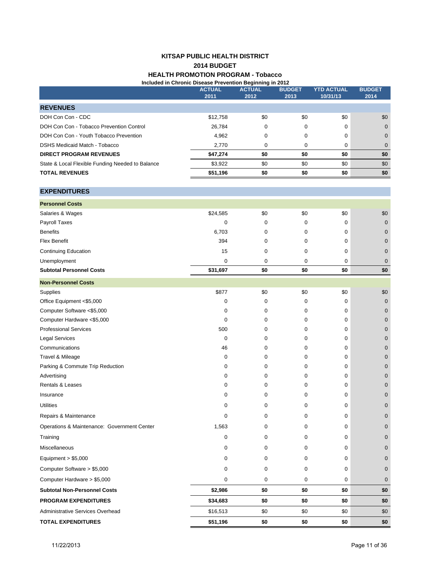#### **KITSAP PUBLIC HEALTH DISTRICT 2014 BUDGET HEALTH PROMOTION PROGRAM - Tobacco Included in Chronic Disease Prevention Beginning in 2012**

|                                                  | <b>ACTUAL</b><br>2011 | ອ""""ອ "" =<br><b>ACTUAL</b><br>2012 | <b>BUDGET</b><br>2013 | <b>YTD ACTUAL</b><br>10/31/13 | <b>BUDGET</b><br>2014 |
|--------------------------------------------------|-----------------------|--------------------------------------|-----------------------|-------------------------------|-----------------------|
| <b>REVENUES</b>                                  |                       |                                      |                       |                               |                       |
| DOH Con Con - CDC                                | \$12,758              | \$0                                  | \$0                   | \$0                           | \$0                   |
| DOH Con Con - Tobacco Prevention Control         | 26,784                | 0                                    | 0                     | 0                             | $\mathbf 0$           |
| DOH Con Con - Youth Tobacco Prevention           | 4,962                 | 0                                    | 0                     | 0                             | $\pmb{0}$             |
| DSHS Medicaid Match - Tobacco                    | 2,770                 | 0                                    | 0                     | 0                             | $\pmb{0}$             |
| <b>DIRECT PROGRAM REVENUES</b>                   | \$47,274              | \$0                                  | \$0                   | \$0                           | \$0                   |
| State & Local Flexible Funding Needed to Balance | \$3,922               | \$0                                  | \$0                   | \$0                           | \$0                   |
| <b>TOTAL REVENUES</b>                            | \$51,196              | \$0                                  | \$0                   | \$0                           | \$0                   |
| <b>EXPENDITURES</b>                              |                       |                                      |                       |                               |                       |
| <b>Personnel Costs</b>                           |                       |                                      |                       |                               |                       |
| Salaries & Wages                                 | \$24,585              | \$0                                  | \$0                   | \$0                           | \$0                   |
| Payroll Taxes                                    | 0                     | 0                                    | 0                     | 0                             | $\mathbf 0$           |
| <b>Benefits</b>                                  | 6,703                 | 0                                    | 0                     | 0                             | $\mathbf 0$           |
| <b>Flex Benefit</b>                              | 394                   | 0                                    | 0                     | 0                             | $\pmb{0}$             |
| <b>Continuing Education</b>                      | 15                    | 0                                    | 0                     | 0                             | $\mathbf 0$           |
| Unemployment                                     | 0                     | 0                                    | 0                     | 0                             | $\mathbf 0$           |
| <b>Subtotal Personnel Costs</b>                  | \$31,697              | \$0                                  | \$0                   | \$0                           | \$0                   |
| <b>Non-Personnel Costs</b>                       |                       |                                      |                       |                               |                       |
| Supplies                                         | \$877                 | \$0                                  | \$0                   | \$0                           | \$0                   |
| Office Equipment <\$5,000                        | 0                     | 0                                    | 0                     | 0                             | $\mathbf 0$           |
| Computer Software <\$5,000                       | 0                     | 0                                    | 0                     | 0                             | $\mathbf 0$           |
| Computer Hardware <\$5,000                       | 0                     | 0                                    | 0                     | 0                             | $\mathbf 0$           |
| <b>Professional Services</b>                     | 500                   | 0                                    | 0                     | 0                             | $\pmb{0}$             |
| <b>Legal Services</b>                            | 0                     | 0                                    | 0                     | 0                             | $\mathbf 0$           |
| Communications                                   | 46                    | 0                                    | 0                     | 0                             | $\mathbf 0$           |
| Travel & Mileage                                 | 0                     | 0                                    | 0                     | 0                             | $\mathbf 0$           |
| Parking & Commute Trip Reduction                 | 0                     | 0                                    | 0                     | 0                             | $\mathbf 0$           |
| Advertising                                      | 0                     | 0                                    | 0                     | 0                             | $\pmb{0}$             |
| <b>Rentals &amp; Leases</b>                      | 0                     | 0                                    | 0                     | 0                             | 0                     |
| Insurance                                        | 0                     | 0                                    | 0                     | 0                             | $\mathbf 0$           |
| <b>Utilities</b>                                 | 0                     | 0                                    | $\Omega$              | 0                             | $\Omega$              |
| Repairs & Maintenance                            | 0                     | 0                                    | 0                     | 0                             | 0                     |
| Operations & Maintenance: Government Center      | 1,563                 | 0                                    | 0                     | 0                             | $\mathbf 0$           |
| Training                                         | 0                     | 0                                    | 0                     | 0                             | $\mathbf 0$           |
| Miscellaneous                                    | 0                     | 0                                    | 0                     | 0                             | $\mathbf 0$           |
| Equipment $> $5,000$                             | 0                     | 0                                    | 0                     | 0                             | 0                     |
| Computer Software > \$5,000                      | 0                     | 0                                    | 0                     | 0                             | $\mathbf 0$           |
| Computer Hardware > \$5,000                      | 0                     | 0                                    | 0                     | 0                             | $\mathbf 0$           |
| <b>Subtotal Non-Personnel Costs</b>              | \$2,986               | \$0                                  | \$0                   | \$0                           | \$0                   |
| <b>PROGRAM EXPENDITURES</b>                      | \$34,683              | \$0                                  | \$0                   | \$0                           | \$0                   |
| Administrative Services Overhead                 | \$16,513              | \$0                                  | \$0                   | \$0                           | \$0                   |

**TOTAL EXPENDITURES** \$51,196 \$0 \$0 \$0 \$0 \$0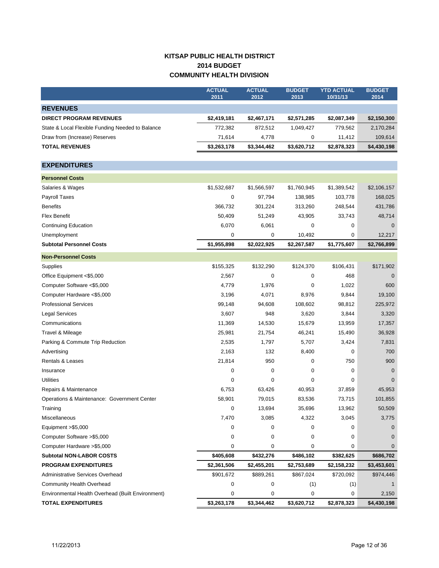# **KITSAP PUBLIC HEALTH DISTRICT 2014 BUDGET COMMUNITY HEALTH DIVISION**

|                                                   | <b>ACTUAL</b><br>2011 | <b>ACTUAL</b><br>2012 | <b>BUDGET</b><br>2013 | <b>YTD ACTUAL</b><br>10/31/13 | <b>BUDGET</b><br>2014 |
|---------------------------------------------------|-----------------------|-----------------------|-----------------------|-------------------------------|-----------------------|
| <b>REVENUES</b>                                   |                       |                       |                       |                               |                       |
| <b>DIRECT PROGRAM REVENUES</b>                    | \$2,419,181           | \$2,467,171           | \$2,571,285           | \$2,087,349                   | \$2,150,300           |
| State & Local Flexible Funding Needed to Balance  | 772,382               | 872,512               | 1,049,427             | 779,562                       | 2,170,284             |
| Draw from (Increase) Reserves                     | 71,614                | 4,778                 | 0                     | 11,412                        | 109,614               |
| <b>TOTAL REVENUES</b>                             | \$3,263,178           | \$3,344,462           | \$3,620,712           | \$2,878,323                   | \$4,430,198           |
|                                                   |                       |                       |                       |                               |                       |
| <b>EXPENDITURES</b>                               |                       |                       |                       |                               |                       |
| <b>Personnel Costs</b>                            |                       |                       |                       |                               |                       |
| Salaries & Wages                                  | \$1,532,687           | \$1,566,597           | \$1,760,945           | \$1,389,542                   | \$2,106,157           |
| Payroll Taxes                                     | 0                     | 97,794                | 138,985               | 103,778                       | 168,025               |
| <b>Benefits</b>                                   | 366,732               | 301,224               | 313,260               | 248,544                       | 431,786               |
| <b>Flex Benefit</b>                               | 50,409                | 51,249                | 43,905                | 33,743                        | 48,714                |
| <b>Continuing Education</b>                       | 6,070                 | 6,061                 | 0                     | 0                             | $\mathbf 0$           |
| Unemployment                                      | 0                     | 0                     | 10,492                | 0                             | 12,217                |
| <b>Subtotal Personnel Costs</b>                   | \$1,955,898           | \$2,022,925           | \$2,267,587           | \$1,775,607                   | \$2,766,899           |
| <b>Non-Personnel Costs</b>                        |                       |                       |                       |                               |                       |
| Supplies                                          | \$155,325             | \$132,290             | \$124,370             | \$106,431                     | \$171,902             |
| Office Equipment <\$5,000                         | 2,567                 | 0                     | 0                     | 468                           | $\mathbf 0$           |
| Computer Software <\$5,000                        | 4,779                 | 1,976                 | 0                     | 1,022                         | 600                   |
| Computer Hardware <\$5,000                        | 3,196                 | 4,071                 | 8,976                 | 9,844                         | 19,100                |
| <b>Professional Services</b>                      | 99,148                | 94,608                | 108,602               | 98,812                        | 225,972               |
| Legal Services                                    | 3,607                 | 948                   | 3,620                 | 3,844                         | 3,320                 |
| Communications                                    | 11,369                | 14,530                | 15,679                | 13,959                        | 17,357                |
| Travel & Mileage                                  | 25,981                | 21,754                | 46,241                | 15,490                        | 36,928                |
| Parking & Commute Trip Reduction                  | 2,535                 | 1,797                 | 5,707                 | 3,424                         | 7,831                 |
| Advertising                                       | 2,163                 | 132                   | 8,400                 | 0                             | 700                   |
| Rentals & Leases                                  | 21,814                | 950                   | 0                     | 750                           | 900                   |
| Insurance                                         | 0                     | 0                     | 0                     | 0                             | $\mathbf 0$           |
| <b>Utilities</b>                                  | 0                     | 0                     | 0                     | 0                             | $\mathbf 0$           |
| Repairs & Maintenance                             | 6,753                 | 63,426                | 40,953                | 37,859                        | 45,953                |
| Operations & Maintenance: Government Center       | 58,901                | 79,015                | 83,536                | 73,715                        | 101,855               |
| Training                                          | 0                     | 13,694                | 35,696                | 13,962                        | 50,509                |
| Miscellaneous                                     | 7,470                 | 3,085                 | 4,322                 | 3,045                         | 3,775                 |
| Equipment >\$5,000                                | 0                     | 0                     | 0                     | 0                             | 0                     |
| Computer Software > \$5,000                       | 0                     | 0                     | 0                     | 0                             | 0                     |
| Computer Hardware > \$5,000                       | 0                     | 0                     | 0                     | 0                             | $\overline{0}$        |
| <b>Subtotal NON-LABOR COSTS</b>                   | \$405,608             | \$432,276             | \$486,102             | \$382,625                     | \$686,702             |
| <b>PROGRAM EXPENDITURES</b>                       | \$2,361,506           | \$2,455,201           | \$2,753,689           | \$2,158,232                   | \$3,453,601           |
| Administrative Services Overhead                  | \$901,672             | \$889,261             | \$867,024             | \$720,092                     | \$974,446             |
| Community Health Overhead                         | 0                     | 0                     | (1)                   | (1)                           |                       |
| Environmental Health Overhead (Built Environment) | 0                     | 0                     | 0                     | 0                             | 2,150                 |
| <b>TOTAL EXPENDITURES</b>                         | \$3,263,178           | \$3,344,462           | \$3,620,712           | \$2,878,323                   | \$4,430,198           |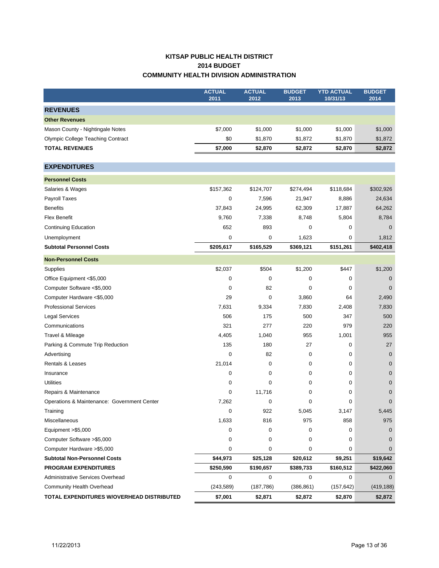# **KITSAP PUBLIC HEALTH DISTRICT 2014 BUDGET COMMUNITY HEALTH DIVISION ADMINISTRATION**

|                                             | <b>ACTUAL</b> | <b>ACTUAL</b> | <b>BUDGET</b> | <b>YTD ACTUAL</b> | <b>BUDGET</b>  |
|---------------------------------------------|---------------|---------------|---------------|-------------------|----------------|
|                                             | 2011          | 2012          | 2013          | 10/31/13          | 2014           |
| <b>REVENUES</b>                             |               |               |               |                   |                |
| <b>Other Revenues</b>                       |               |               |               |                   |                |
| Mason County - Nightingale Notes            | \$7,000       | \$1,000       | \$1,000       | \$1,000           | \$1,000        |
| <b>Olympic College Teaching Contract</b>    | \$0           | \$1,870       | \$1,872       | \$1,870           | \$1,872        |
| <b>TOTAL REVENUES</b>                       | \$7,000       | \$2,870       | \$2,872       | \$2,870           | \$2,872        |
| <b>EXPENDITURES</b>                         |               |               |               |                   |                |
| <b>Personnel Costs</b>                      |               |               |               |                   |                |
| Salaries & Wages                            | \$157,362     | \$124,707     | \$274,494     | \$118,684         | \$302,926      |
| Payroll Taxes                               | $\mathbf 0$   | 7,596         | 21,947        | 8,886             | 24,634         |
| <b>Benefits</b>                             | 37,843        | 24,995        | 62,309        | 17,887            | 64,262         |
| <b>Flex Benefit</b>                         | 9,760         | 7,338         | 8,748         | 5,804             | 8,784          |
| <b>Continuing Education</b>                 | 652           | 893           | 0             | 0                 | $\mathbf{0}$   |
| Unemployment                                | 0             | 0             | 1,623         | 0                 | 1,812          |
| <b>Subtotal Personnel Costs</b>             | \$205,617     | \$165,529     | \$369,121     | \$151,261         | \$402,418      |
| <b>Non-Personnel Costs</b>                  |               |               |               |                   |                |
| Supplies                                    | \$2,037       | \$504         | \$1,200       | \$447             | \$1,200        |
| Office Equipment <\$5,000                   | 0             | 0             | 0             | 0                 | $\mathbf 0$    |
| Computer Software <\$5,000                  | $\mathbf 0$   | 82            | 0             | 0                 | $\overline{0}$ |
| Computer Hardware <\$5,000                  | 29            | $\mathbf 0$   | 3,860         | 64                | 2,490          |
| <b>Professional Services</b>                | 7,631         | 9,334         | 7,830         | 2,408             | 7,830          |
| <b>Legal Services</b>                       | 506           | 175           | 500           | 347               | 500            |
| Communications                              | 321           | 277           | 220           | 979               | 220            |
| Travel & Mileage                            | 4,405         | 1,040         | 955           | 1,001             | 955            |
| Parking & Commute Trip Reduction            | 135           | 180           | 27            | 0                 | 27             |
| Advertising                                 | $\mathbf 0$   | 82            | 0             | 0                 | $\mathbf 0$    |
| <b>Rentals &amp; Leases</b>                 | 21,014        | 0             | 0             | 0                 | $\mathbf 0$    |
| Insurance                                   | $\mathbf 0$   | 0             | 0             | 0                 | 0              |
| <b>Utilities</b>                            | 0             | 0             | 0             | 0                 | $\mathbf 0$    |
| Repairs & Maintenance                       | $\mathbf 0$   | 11,716        | 0             | 0                 | 0              |
| Operations & Maintenance: Government Center | 7,262         | 0             | 0             | 0                 | 0              |
| Training                                    | 0             | 922           | 5,045         | 3,147             | 5,445          |
| Miscellaneous                               | 1,633         | 816           | 975           | 858               | 975            |
| Equipment >\$5,000                          | 0             | 0             | 0             | 0                 | $\mathbf 0$    |
| Computer Software >\$5,000                  | 0             | 0             | 0             | 0                 | 0              |
| Computer Hardware > \$5,000                 | $\mathbf 0$   | 0             | 0             | 0                 | 0              |
| <b>Subtotal Non-Personnel Costs</b>         | \$44,973      | \$25,128      | \$20,612      | \$9,251           | \$19,642       |
| <b>PROGRAM EXPENDITURES</b>                 | \$250,590     | \$190,657     | \$389,733     | \$160,512         | \$422,060      |
| Administrative Services Overhead            | $\mathbf 0$   | 0             | 0             | 0                 | $\Omega$       |
| Community Health Overhead                   | (243, 589)    | (187, 786)    | (386, 861)    | (157, 642)        | (419, 188)     |
| TOTAL EXPENDITURES W/OVERHEAD DISTRIBUTED   | \$7,001       | \$2,871       | \$2,872       | \$2,870           | \$2,872        |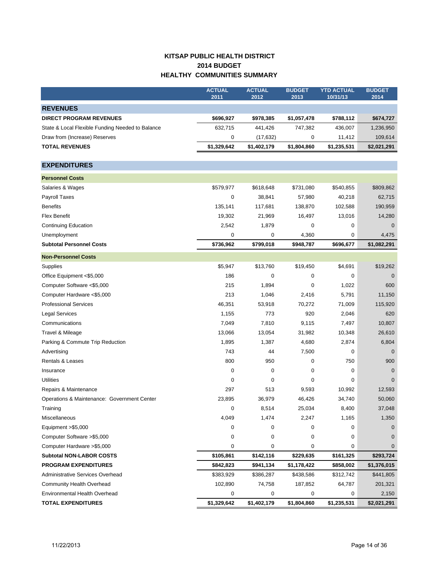# **KITSAP PUBLIC HEALTH DISTRICT 2014 BUDGET HEALTHY COMMUNITIES SUMMARY**

|                                                  | <b>ACTUAL</b><br>2011 | <b>ACTUAL</b><br>2012 | <b>BUDGET</b><br>2013 | <b>YTD ACTUAL</b><br>10/31/13 | <b>BUDGET</b><br>2014 |
|--------------------------------------------------|-----------------------|-----------------------|-----------------------|-------------------------------|-----------------------|
| <b>REVENUES</b>                                  |                       |                       |                       |                               |                       |
| <b>DIRECT PROGRAM REVENUES</b>                   | \$696,927             | \$978,385             | \$1,057,478           | \$788,112                     | \$674,727             |
| State & Local Flexible Funding Needed to Balance | 632,715               | 441,426               | 747,382               | 436,007                       | 1,236,950             |
| Draw from (Increase) Reserves                    | 0                     | (17, 632)             | 0                     | 11,412                        | 109,614               |
| <b>TOTAL REVENUES</b>                            | \$1,329,642           | \$1,402,179           | \$1,804,860           | \$1,235,531                   | \$2,021,291           |
|                                                  |                       |                       |                       |                               |                       |
| <b>EXPENDITURES</b>                              |                       |                       |                       |                               |                       |
| <b>Personnel Costs</b>                           |                       |                       |                       |                               |                       |
| Salaries & Wages                                 | \$579,977             | \$618,648             | \$731,080             | \$540,855                     | \$809,862             |
| Payroll Taxes                                    | 0                     | 38,841                | 57,980                | 40,218                        | 62,715                |
| <b>Benefits</b>                                  | 135,141               | 117,681               | 138,870               | 102,588                       | 190,959               |
| <b>Flex Benefit</b>                              | 19,302                | 21,969                | 16,497                | 13,016                        | 14,280                |
| <b>Continuing Education</b>                      | 2,542                 | 1,879                 | 0                     | 0                             | $\mathbf 0$           |
| Unemployment                                     | 0                     | 0                     | 4,360                 | 0                             | 4,475                 |
| <b>Subtotal Personnel Costs</b>                  | \$736,962             | \$799,018             | \$948,787             | \$696,677                     | \$1,082,291           |
| <b>Non-Personnel Costs</b>                       |                       |                       |                       |                               |                       |
| Supplies                                         | \$5,947               | \$13,760              | \$19,450              | \$4,691                       | \$19,262              |
| Office Equipment <\$5,000                        | 186                   | 0                     | 0                     | 0                             | $\mathbf 0$           |
| Computer Software <\$5,000                       | 215                   | 1,894                 | 0                     | 1,022                         | 600                   |
| Computer Hardware <\$5,000                       | 213                   | 1,046                 | 2,416                 | 5,791                         | 11,150                |
| <b>Professional Services</b>                     | 46,351                | 53,918                | 70,272                | 71,009                        | 115,920               |
| Legal Services                                   | 1,155                 | 773                   | 920                   | 2,046                         | 620                   |
| Communications                                   | 7,049                 | 7,810                 | 9,115                 | 7,497                         | 10,807                |
| Travel & Mileage                                 | 13,066                | 13,054                | 31,982                | 10,348                        | 26,610                |
| Parking & Commute Trip Reduction                 | 1,895                 | 1,387                 | 4,680                 | 2,874                         | 6,804                 |
| Advertising                                      | 743                   | 44                    | 7,500                 | 0                             | $\mathbf 0$           |
| Rentals & Leases                                 | 800                   | 950                   | 0                     | 750                           | 900                   |
| Insurance                                        | 0                     | 0                     | 0                     | 0                             | $\mathbf 0$           |
| <b>Utilities</b>                                 | 0                     | 0                     | 0                     | 0                             | $\mathbf 0$           |
| Repairs & Maintenance                            | 297                   | 513                   | 9,593                 | 10,992                        | 12,593                |
| Operations & Maintenance: Government Center      | 23,895                | 36,979                | 46,426                | 34,740                        | 50,060                |
| Training                                         | 0                     | 8,514                 | 25,034                | 8,400                         | 37,048                |
| Miscellaneous                                    | 4,049                 | 1,474                 | 2,247                 | 1,165                         | 1,350                 |
| Equipment >\$5,000                               | 0                     | 0                     | 0                     | 0                             | 0                     |
| Computer Software > \$5,000                      | 0                     | 0                     | 0                     | 0                             | 0                     |
| Computer Hardware > \$5,000                      | 0                     | 0                     | 0                     | 0                             | $\overline{0}$        |
| <b>Subtotal NON-LABOR COSTS</b>                  | \$105,861             | \$142,116             | \$229,635             | \$161,325                     | \$293,724             |
| <b>PROGRAM EXPENDITURES</b>                      | \$842,823             | \$941,134             | \$1,178,422           | \$858,002                     | \$1,376,015           |
| Administrative Services Overhead                 | \$383,929             | \$386,287             | \$438,586             | \$312,742                     | \$441,805             |
| Community Health Overhead                        | 102,890               | 74,758                | 187,852               | 64,787                        | 201,321               |
| Environmental Health Overhead                    | 0                     | 0                     | 0                     | 0                             | 2,150                 |
| <b>TOTAL EXPENDITURES</b>                        | \$1,329,642           | \$1,402,179           | \$1,804,860           | \$1,235,531                   | \$2,021,291           |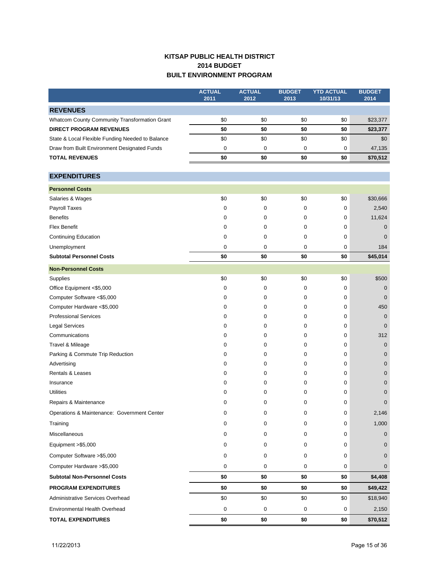# **KITSAP PUBLIC HEALTH DISTRICT 2014 BUDGET BUILT ENVIRONMENT PROGRAM**

|                                                  | <b>ACTUAL</b><br>2011 | <b>ACTUAL</b><br>2012 | <b>BUDGET</b><br>2013 | <b>YTD ACTUAL</b><br>10/31/13 | <b>BUDGET</b><br>2014 |
|--------------------------------------------------|-----------------------|-----------------------|-----------------------|-------------------------------|-----------------------|
| <b>REVENUES</b>                                  |                       |                       |                       |                               |                       |
| Whatcom County Community Transformation Grant    | \$0                   | \$0                   | \$0                   | \$0                           | \$23,377              |
| <b>DIRECT PROGRAM REVENUES</b>                   | \$0                   | \$0                   | \$0                   | \$0                           | \$23,377              |
| State & Local Flexible Funding Needed to Balance | \$0                   | \$0                   | \$0                   | \$0                           | \$0                   |
| Draw from Built Environment Designated Funds     | 0                     | 0                     | 0                     | 0                             | 47,135                |
| <b>TOTAL REVENUES</b>                            | \$0                   | \$0                   | \$0                   | \$0                           | \$70,512              |
| <b>EXPENDITURES</b>                              |                       |                       |                       |                               |                       |
| <b>Personnel Costs</b>                           |                       |                       |                       |                               |                       |
| Salaries & Wages                                 | \$0                   | \$0                   | \$0                   | \$0                           | \$30,666              |
| Payroll Taxes                                    | 0                     | 0                     | 0                     | 0                             | 2,540                 |
| <b>Benefits</b>                                  | 0                     | 0                     | 0                     | 0                             | 11,624                |
| <b>Flex Benefit</b>                              | 0                     | 0                     | 0                     | 0                             | $\mathbf 0$           |
| <b>Continuing Education</b>                      | 0                     | 0                     | 0                     | 0                             | $\mathbf{0}$          |
| Unemployment                                     | 0                     | 0                     | 0                     | 0                             | 184                   |
| <b>Subtotal Personnel Costs</b>                  | \$0                   | \$0                   | \$0                   | \$0                           | \$45,014              |
| <b>Non-Personnel Costs</b>                       |                       |                       |                       |                               |                       |
| Supplies                                         | \$0                   | \$0                   | \$0                   | \$0                           | \$500                 |
| Office Equipment <\$5,000                        | 0                     | 0                     | 0                     | 0                             | $\mathbf 0$           |
| Computer Software <\$5,000                       | 0                     | 0                     | 0                     | 0                             | $\mathbf{0}$          |
| Computer Hardware <\$5,000                       | 0                     | 0                     | 0                     | 0                             | 450                   |
| <b>Professional Services</b>                     | 0                     | 0                     | 0                     | 0                             | $\mathbf 0$           |
| <b>Legal Services</b>                            | 0                     | 0                     | 0                     | 0                             | $\mathbf 0$           |
| Communications                                   | 0                     | 0                     | 0                     | 0                             | 312                   |
| Travel & Mileage                                 | 0                     | 0                     | 0                     | 0                             | $\mathbf 0$           |
| Parking & Commute Trip Reduction                 | 0                     | 0                     | 0                     | 0                             | $\mathbf 0$           |
| Advertising                                      | 0                     | 0                     | 0                     | 0                             | $\mathbf 0$           |
| Rentals & Leases                                 | 0                     | 0                     | 0                     | 0                             | $\mathbf 0$           |
| Insurance                                        | 0                     | 0                     | 0                     | 0                             | $\mathbf 0$           |
| <b>Utilities</b>                                 | 0                     | 0                     | 0                     | 0                             | $\mathbf 0$           |
| Repairs & Maintenance                            | 0                     | 0                     | 0                     | 0                             | $\mathbf 0$           |
| Operations & Maintenance: Government Center      | 0                     | 0                     | 0                     | 0                             | 2,146                 |
| Training                                         | 0                     | 0                     | 0                     | 0                             | 1,000                 |
| Miscellaneous                                    | 0                     | 0                     | 0                     | 0                             | $\overline{0}$        |
| Equipment >\$5,000                               | 0                     | 0                     | 0                     | 0                             | $\mathbf{0}$          |
| Computer Software > \$5,000                      | 0                     | 0                     | 0                     | 0                             | $\mathbf{0}$          |
| Computer Hardware > \$5,000                      | 0                     | 0                     | 0                     | 0                             | $\mathbf{0}$          |
| <b>Subtotal Non-Personnel Costs</b>              | \$0                   | \$0                   | \$0                   | \$0                           | \$4,408               |
| <b>PROGRAM EXPENDITURES</b>                      | \$0                   | \$0                   | \$0                   | \$0                           | \$49,422              |
| Administrative Services Overhead                 | \$0                   | \$0                   | \$0                   | \$0                           | \$18,940              |
| Environmental Health Overhead                    | $\pmb{0}$             | $\pmb{0}$             | 0                     | 0                             | 2,150                 |
| <b>TOTAL EXPENDITURES</b>                        | \$0                   | \$0                   | \$0                   | \$0                           | \$70,512              |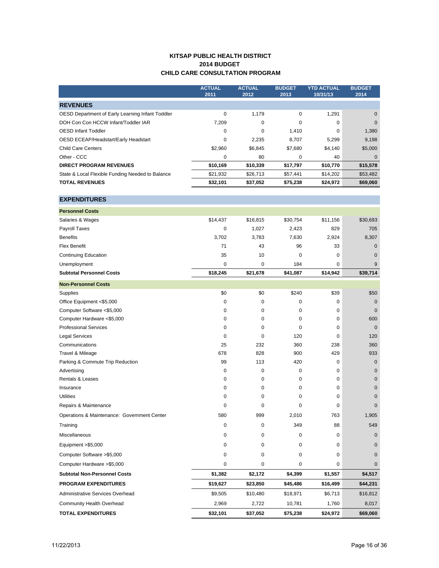## **KITSAP PUBLIC HEALTH DISTRICT 2014 BUDGET CHILD CARE CONSULTATION PROGRAM**

|                                                  | <b>ACTUAL</b><br>2011 | <b>ACTUAL</b><br>2012 | <b>BUDGET</b><br>2013 | <b>YTD ACTUAL</b><br>10/31/13 | <b>BUDGET</b><br>2014 |
|--------------------------------------------------|-----------------------|-----------------------|-----------------------|-------------------------------|-----------------------|
| <b>REVENUES</b>                                  |                       |                       |                       |                               |                       |
| OESD Department of Early Learning Infant Toddler | 0                     | 1,179                 | 0                     | 1,291                         | $\mathbf{0}$          |
| DOH Con Con HCCW Infant/Toddler IAR              | 7,209                 | 0                     | 0                     | 0                             | $\mathbf{0}$          |
| <b>OESD Infant Toddler</b>                       | 0                     | 0                     | 1,410                 | 0                             | 1,380                 |
| OESD ECEAP/Headstart/Early Headstart             | 0                     | 2,235                 | 8,707                 | 5,299                         | 9,198                 |
| <b>Child Care Centers</b>                        | \$2,960               | \$6,845               | \$7,680               | \$4,140                       | \$5,000               |
| Other - CCC                                      | 0                     | 80                    | 0                     | 40                            | $\mathbf 0$           |
| <b>DIRECT PROGRAM REVENUES</b>                   | \$10,169              | \$10,339              | \$17,797              | \$10,770                      | \$15,578              |
| State & Local Flexible Funding Needed to Balance | \$21,932              | \$26,713              | \$57,441              | \$14,202                      | \$53,482              |
| <b>TOTAL REVENUES</b>                            | \$32,101              | \$37,052              | \$75,238              | \$24,972                      | \$69,060              |
| <b>EXPENDITURES</b>                              |                       |                       |                       |                               |                       |
| <b>Personnel Costs</b>                           |                       |                       |                       |                               |                       |
| Salaries & Wages                                 | \$14,437              | \$16,815              | \$30,754              | \$11,156                      | \$30,693              |
| <b>Payroll Taxes</b>                             | 0                     | 1,027                 | 2,423                 | 829                           | 705                   |
| <b>Benefits</b>                                  | 3,702                 | 3,783                 | 7,630                 | 2,924                         | 8,307                 |
| <b>Flex Benefit</b>                              | 71                    | 43                    | 96                    | 33                            | 0                     |
| <b>Continuing Education</b>                      | 35                    | 10                    | 0                     | 0                             | $\mathbf{0}$          |
| Unemployment                                     | 0                     | 0                     | 184                   | 0                             | 9                     |
| <b>Subtotal Personnel Costs</b>                  | \$18,245              | \$21,678              | \$41,087              | \$14,942                      | \$39,714              |
| <b>Non-Personnel Costs</b>                       |                       |                       |                       |                               |                       |
| Supplies                                         | \$0                   | \$0                   | \$240                 | \$39                          | \$50                  |
| Office Equipment <\$5,000                        | 0                     | 0                     | 0                     | 0                             | $\mathbf{0}$          |
| Computer Software <\$5,000                       | 0                     | 0                     | 0                     | 0                             | $\mathbf{0}$          |
| Computer Hardware <\$5,000                       | 0                     | 0                     | 0                     | 0                             | 600                   |
| <b>Professional Services</b>                     | 0                     | $\mathbf 0$           | 0                     | 0                             | $\mathbf 0$           |
| <b>Legal Services</b>                            | 0                     | $\mathbf 0$           | 120                   | 0                             | 120                   |
| Communications                                   | 25                    | 232                   | 360                   | 238                           | 360                   |
| Travel & Mileage                                 | 678                   | 828                   | 900                   | 429                           | 933                   |
| Parking & Commute Trip Reduction                 | 99                    | 113                   | 420                   | 0                             | $\pmb{0}$             |
| Advertising                                      | 0                     | 0                     | 0                     | 0                             | $\pmb{0}$             |
| Rentals & Leases                                 | 0                     | 0                     | 0                     | 0                             | $\pmb{0}$             |
| Insurance                                        | 0                     | 0                     | 0                     | 0                             | $\pmb{0}$             |
| <b>Utilities</b>                                 | 0                     | 0                     | 0                     | 0                             | $\pmb{0}$             |
| Repairs & Maintenance                            | 0                     | 0                     | 0                     | 0                             | $\pmb{0}$             |
| Operations & Maintenance: Government Center      | 580                   | 999                   | 2,010                 | 763                           | 1,905                 |
| Training                                         | 0                     | 0                     | 349                   | 88                            | 549                   |
| Miscellaneous                                    | 0                     | 0                     | 0                     | 0                             | $\mathbf 0$           |
| Equipment >\$5,000                               | 0                     | 0                     | 0                     | 0                             | $\mathbf 0$           |
| Computer Software > \$5,000                      | 0                     | 0                     | 0                     | 0                             | $\mathbf 0$           |
| Computer Hardware > \$5,000                      | 0                     | 0                     | 0                     | 0                             | $\mathbf 0$           |
| <b>Subtotal Non-Personnel Costs</b>              | \$1,382               | \$2,172               | \$4,399               | \$1,557                       | \$4,517               |
| <b>PROGRAM EXPENDITURES</b>                      | \$19,627              | \$23,850              | \$45,486              | \$16,499                      | \$44,231              |
| Administrative Services Overhead                 | \$9,505               | \$10,480              | \$18,971              | \$6,713                       | \$16,812              |
| Community Health Overhead                        | 2,969                 | 2,722                 | 10,781                | 1,760                         | 8,017                 |
| <b>TOTAL EXPENDITURES</b>                        | \$32,101              | \$37,052              | \$75,238              | \$24,972                      | \$69,060              |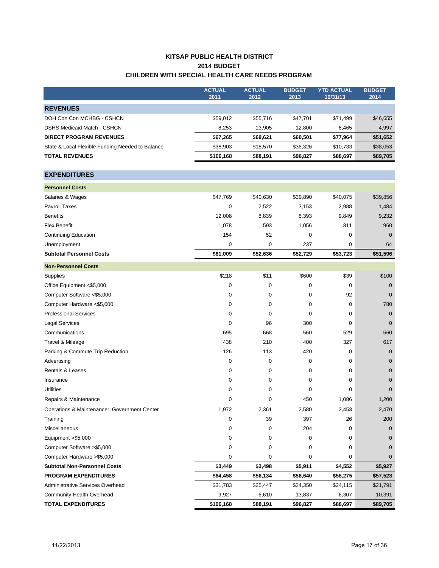# **KITSAP PUBLIC HEALTH DISTRICT 2014 BUDGET CHILDREN WITH SPECIAL HEALTH CARE NEEDS PROGRAM**

|                                                  | <b>ACTUAL</b> | <b>ACTUAL</b> | <b>BUDGET</b> | <b>YTD ACTUAL</b> | <b>BUDGET</b> |
|--------------------------------------------------|---------------|---------------|---------------|-------------------|---------------|
|                                                  | 2011          | 2012          | 2013          | 10/31/13          | 2014          |
| <b>REVENUES</b>                                  |               |               |               |                   |               |
| DOH Con Con MCHBG - CSHCN                        | \$59,012      | \$55,716      | \$47,701      | \$71,499          | \$46,655      |
| <b>DSHS Medicaid Match - CSHCN</b>               | 8,253         | 13,905        | 12,800        | 6,465             | 4,997         |
| <b>DIRECT PROGRAM REVENUES</b>                   | \$67,265      | \$69,621      | \$60,501      | \$77,964          | \$51,652      |
| State & Local Flexible Funding Needed to Balance | \$38,903      | \$18,570      | \$36,326      | \$10,733          | \$38,053      |
| <b>TOTAL REVENUES</b>                            | \$106,168     | \$88,191      | \$96,827      | \$88,697          | \$89,705      |
|                                                  |               |               |               |                   |               |
| <b>EXPENDITURES</b>                              |               |               |               |                   |               |
| <b>Personnel Costs</b>                           |               |               |               |                   |               |
| Salaries & Wages                                 | \$47,769      | \$40,630      | \$39,890      | \$40,075          | \$39,856      |
| Payroll Taxes                                    | 0             | 2,522         | 3,153         | 2,988             | 1,484         |
| <b>Benefits</b>                                  | 12,008        | 8,839         | 8,393         | 9,849             | 9,232         |
| <b>Flex Benefit</b>                              | 1,078         | 593           | 1,056         | 811               | 960           |
| <b>Continuing Education</b>                      | 154           | 52            | 0             | 0                 | $\mathbf 0$   |
| Unemployment                                     | $\mathbf 0$   | 0             | 237           | 0                 | 64            |
| <b>Subtotal Personnel Costs</b>                  | \$61,009      | \$52,636      | \$52,729      | \$53,723          | \$51,596      |
| <b>Non-Personnel Costs</b>                       |               |               |               |                   |               |
| Supplies                                         | \$218         | \$11          | \$600         | \$39              | \$100         |
| Office Equipment <\$5,000                        | 0             | 0             | 0             | 0                 | $\mathbf 0$   |
| Computer Software <\$5,000                       | 0             | 0             | 0             | 92                | $\mathbf{0}$  |
| Computer Hardware <\$5,000                       | 0             | 0             | 0             | 0                 | 780           |
| <b>Professional Services</b>                     | 0             | 0             | 0             | 0                 | $\mathbf 0$   |
| <b>Legal Services</b>                            | 0             | 96            | 300           | 0                 | $\mathbf 0$   |
| Communications                                   | 695           | 668           | 560           | 529               | 560           |
| Travel & Mileage                                 | 438           | 210           | 400           | 327               | 617           |
| Parking & Commute Trip Reduction                 | 126           | 113           | 420           | 0                 | $\mathbf 0$   |
| Advertising                                      | 0             | 0             | 0             | 0                 | $\mathbf 0$   |
| <b>Rentals &amp; Leases</b>                      | 0             | 0             | 0             | 0                 | $\mathbf 0$   |
| Insurance                                        | 0             | 0             | $\mathbf 0$   | 0                 | $\mathbf{0}$  |
| <b>Utilities</b>                                 | 0             | 0             | 0             | 0                 | $\mathbf 0$   |
| Repairs & Maintenance                            | 0             | 0             | 450           | 1,086             | 1,200         |
| Operations & Maintenance: Government Center      | 1,972         | 2,361         | 2,580         | 2,453             | 2,470         |
| Training                                         | 0             | 39            | 397           | 26                | 200           |
| Miscellaneous                                    | 0             | 0             | 204           | 0                 | $\mathbf 0$   |
| Equipment > \$5,000                              | 0             | 0             | 0             | 0                 | $\mathbf 0$   |
| Computer Software > \$5,000                      | 0             | 0             | 0             | 0                 | $\mathbf{0}$  |
| Computer Hardware > \$5,000                      | 0             | 0             | 0             | 0                 | 0             |
| <b>Subtotal Non-Personnel Costs</b>              | \$3,449       | \$3,498       | \$5,911       | \$4,552           | \$5,927       |
| <b>PROGRAM EXPENDITURES</b>                      | \$64,458      | \$56,134      | \$58,640      | \$58,275          | \$57,523      |
| Administrative Services Overhead                 | \$31,783      | \$25,447      | \$24,350      | \$24,115          | \$21,791      |
| Community Health Overhead                        | 9,927         | 6,610         | 13,837        | 6,307             | 10,391        |
| <b>TOTAL EXPENDITURES</b>                        | \$106,168     | \$88,191      | \$96,827      | \$88,697          | \$89,705      |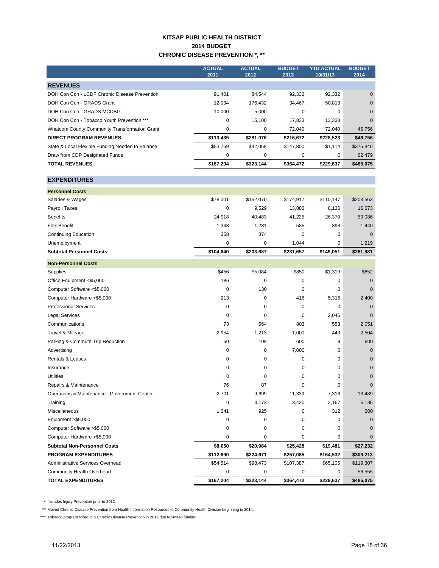## **KITSAP PUBLIC HEALTH DISTRICT 2014 BUDGET CHRONIC DISEASE PREVENTION \*, \*\***

|                                                      | <b>ACTUAL</b><br>2011 | <b>ACTUAL</b><br>2012 | <b>BUDGET</b><br>2013 | YTD ACTUAL<br>10/31/13 | <b>BUDGET</b><br>2014 |
|------------------------------------------------------|-----------------------|-----------------------|-----------------------|------------------------|-----------------------|
| <b>REVENUES</b>                                      |                       |                       |                       |                        |                       |
| DOH Con Con - LCDF Chronic Disease Prevention        | 91,401                | 84.544                | 92,332                | 92,332                 | 0                     |
| DOH Con Con - GRADS Grant                            | 12.034                | 176,432               | 34.467                | 50.813                 | $\mathbf{0}$          |
| DOH Con Con - GRADS MCDBG                            | 10.000                | 5.000                 | 0                     | 0                      | $\mathbf{0}$          |
| DOH Con Con - Tobacco Youth Prevention ***           | 0                     | 15.100                | 17.833                | 13,338                 | $\Omega$              |
| <b>Whatcom County Community Transformation Grant</b> | 0                     | 0                     | 72.040                | 72.040                 | 46,756                |
| <b>DIRECT PROGRAM REVENUES</b>                       | \$113,435             | \$281,076             | \$216,672             | \$228,523              | \$46,756              |
| State & Local Flexible Funding Needed to Balance     | \$53,769              | \$42,068              | \$147,800             | \$1.114                | \$375,840             |
| Draw from CDP Designated Funds                       | 0                     | 0                     | 0                     | 0                      | 62,479                |
| <b>TOTAL REVENUES</b>                                | \$167,204             | \$323,144             | \$364,472             | \$229,637              | \$485,075             |

**Personnel Costs** Salaries & Wages **\$78,001** \$78,001 \$152,070 \$174,917 \$110,147 \$203,563 Payroll Taxes 0 9,529 13,886 8,136 16,673 Benefits 24,918 40,483 41,225 26,370 59,086 Flex Benefit 1,363 1,231 585 398 1,440 Continuing Education and Continuing Education and Continuing Education and Continuing Education and Continuing Education and Continuing Education and Continuing Education and Continuing Education and Continuing Education a Unemployment 1.219 **Subtotal Personnel Costs \$104,640 \$203,687 \$231,657 \$145,051 \$281,981 Non-Personnel Costs** Supplies \$456 \$5,084 \$850 \$1,319 \$852 Office Equipment <\$5,000 186 0 0 0 0 Computer Software <\$5,000 0 130 0 0 0 Computer Hardware <\$5,000 213 0 416 5,316 2,400 Professional Services and Communication of the Communication of the Communication of the Communication of the Communication of the Communication of the Communication of the Communication of the Communication of the Communi Legal Services 0 0 0 2,046 0 Communications 73 564 803 553 2,051 Travel & Mileage 2,954 1,213 1,000 443 2,504 **EXPENDITURES**

| Communications                              | 73        | 564         | 803         | 553       | 2,051       |
|---------------------------------------------|-----------|-------------|-------------|-----------|-------------|
| Travel & Mileage                            | 2,954     | 1,213       | 1,000       | 443       | 2,504       |
| Parking & Commute Trip Reduction            | 50        | 109         | 600         | 9         | 600         |
| Advertising                                 | 0         | 0           | 7,000       | 0         | $\mathbf 0$ |
| <b>Rentals &amp; Leases</b>                 | 0         | 0           | $\mathbf 0$ | 0         | $\mathbf 0$ |
| Insurance                                   | 0         | $\Omega$    | 0           | 0         | $\mathbf 0$ |
| <b>Utilities</b>                            | $\Omega$  | $\mathbf 0$ | 0           | 0         | $\mathbf 0$ |
| Repairs & Maintenance                       | 76        | 87          | $\Omega$    | 0         | $\Omega$    |
| Operations & Maintenance: Government Center | 2,701     | 9,699       | 11,339      | 7,316     | 13,489      |
| Training                                    | 0         | 3,173       | 3,420       | 2,167     | 5,136       |
| <b>Miscellaneous</b>                        | 1,341     | 925         | 0           | 312       | 200         |
| Equipment >\$5,000                          | 0         | 0           | 0           | $\Omega$  | $\Omega$    |
| Computer Software >\$5,000                  | 0         | 0           | 0           | 0         | $\Omega$    |
| Computer Hardware >\$5,000                  | 0         | 0           | 0           | 0         | $\mathbf 0$ |
| <b>Subtotal Non-Personnel Costs</b>         | \$8,050   | \$20,984    | \$25,428    | \$19,481  | \$27,232    |
| <b>PROGRAM EXPENDITURES</b>                 | \$112,690 | \$224,671   | \$257,085   | \$164,532 | \$309,213   |
| Administrative Services Overhead            | \$54,514  | \$98,473    | \$107,387   | \$65,105  | \$119,307   |
| Community Health Overhead                   | 0         | 0           | $\mathbf 0$ | 0         | 56,555      |
| <b>TOTAL EXPENDITURES</b>                   | \$167,204 | \$323,144   | \$364,472   | \$229,637 | \$485,075   |

\* Includes Injury Prevention prior to 2012.

\*\* Moved Chronic Disease Prevention from Health Information Resources to Community Health Division beginning in 2014.

\*\*\* Tobacco program rolled into Chronic Disease Prevention in 2012 due to limited funding.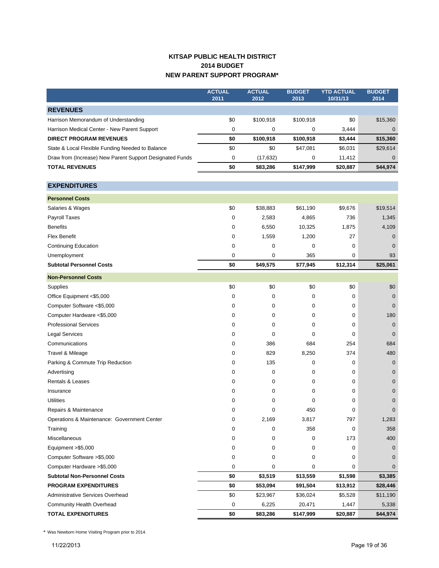# **KITSAP PUBLIC HEALTH DISTRICT 2014 BUDGET NEW PARENT SUPPORT PROGRAM\***

|                                                          | <b>ACTUAL</b><br>2011 | <b>ACTUAL</b><br>2012 | <b>BUDGET</b><br>2013 | <b>YTD ACTUAL</b><br>10/31/13 | <b>BUDGET</b><br>2014 |
|----------------------------------------------------------|-----------------------|-----------------------|-----------------------|-------------------------------|-----------------------|
| <b>REVENUES</b>                                          |                       |                       |                       |                               |                       |
| Harrison Memorandum of Understanding                     | \$0                   | \$100,918             | \$100,918             | \$0                           | \$15,360              |
| Harrison Medical Center - New Parent Support             | 0                     | 0                     | 0                     | 3,444                         | 0                     |
| <b>DIRECT PROGRAM REVENUES</b>                           | \$0                   | \$100,918             | \$100,918             | \$3,444                       | \$15,360              |
| State & Local Flexible Funding Needed to Balance         | \$0                   | \$0                   | \$47,081              | \$6,031                       | \$29,614              |
| Draw from (Increase) New Parent Support Designated Funds | 0                     | (17, 632)             | 0                     | 11,412                        | 0                     |
| <b>TOTAL REVENUES</b>                                    | \$0                   | \$83,286              | \$147,999             | \$20,887                      | \$44,974              |
| <b>EXPENDITURES</b>                                      |                       |                       |                       |                               |                       |
|                                                          |                       |                       |                       |                               |                       |
| <b>Personnel Costs</b>                                   |                       |                       |                       |                               |                       |
| Salaries & Wages                                         | \$0                   | \$38,883              | \$61,190              | \$9,676                       | \$19,514              |
| Payroll Taxes                                            | 0                     | 2,583                 | 4,865                 | 736                           | 1,345                 |
| <b>Benefits</b>                                          | 0                     | 6,550                 | 10,325                | 1,875                         | 4,109                 |
| <b>Flex Benefit</b>                                      | 0                     | 1,559                 | 1,200                 | 27                            | $\mathbf 0$           |
| <b>Continuing Education</b>                              | 0                     | 0                     | 0                     | 0                             | $\Omega$              |
| Unemployment                                             | 0                     | 0                     | 365                   | 0                             | 93                    |
| <b>Subtotal Personnel Costs</b>                          | \$0                   | \$49,575              | \$77,945              | \$12,314                      | \$25,061              |
| <b>Non-Personnel Costs</b>                               |                       |                       |                       |                               |                       |
| Supplies                                                 | \$0                   | \$0                   | \$0                   | \$0                           | \$0                   |
| Office Equipment <\$5,000                                | 0                     | 0                     | 0                     | 0                             | $\mathbf 0$           |
| Computer Software <\$5,000                               | 0                     | 0                     | 0                     | 0                             | $\mathbf 0$           |
| Computer Hardware <\$5,000                               | 0                     | 0                     | 0                     | 0                             | 180                   |
| <b>Professional Services</b>                             | 0                     | 0                     | 0                     | 0                             | $\mathbf{0}$          |
| <b>Legal Services</b>                                    | 0                     | 0                     | 0                     | 0                             | $\mathbf 0$           |
| Communications                                           | 0                     | 386                   | 684                   | 254                           | 684                   |
| Travel & Mileage                                         | 0                     | 829                   | 8,250                 | 374                           | 480                   |
| Parking & Commute Trip Reduction                         | 0                     | 135                   | 0                     | 0                             | $\mathbf 0$           |
| Advertising                                              | 0                     | 0                     | 0                     | 0                             | $\mathbf 0$           |
| <b>Rentals &amp; Leases</b>                              | 0                     | 0                     | 0                     | 0                             | $\mathbf 0$           |
| Insurance                                                | 0                     | 0                     | 0                     | 0                             | $\mathbf 0$           |
| <b>Utilities</b>                                         | 0                     | 0                     | 0                     | 0                             | $\mathbf 0$           |
| Repairs & Maintenance                                    | 0                     | 0                     | 450                   | 0                             | $\Omega$              |
| Operations & Maintenance: Government Center              | 0                     | 2,169                 | 3,817                 | 797                           | 1,283                 |
| Training                                                 | 0                     | 0                     | 358                   | 0                             | 358                   |
| Miscellaneous                                            | 0                     | 0                     | 0                     | 173                           | 400                   |
| Equipment >\$5,000                                       | 0                     | 0                     | 0                     | 0                             | $\mathbf 0$           |
| Computer Software > \$5,000                              | 0                     | 0                     | 0                     | 0                             | 0                     |
| Computer Hardware > \$5,000                              | 0                     | 0                     | 0                     | 0                             | 0                     |
| <b>Subtotal Non-Personnel Costs</b>                      | \$0                   | \$3,519               | \$13,559              | \$1,598                       | \$3,385               |
| <b>PROGRAM EXPENDITURES</b>                              | \$0                   | \$53,094              | \$91,504              | \$13,912                      | \$28,446              |
| Administrative Services Overhead                         | \$0                   | \$23,967              | \$36,024              | \$5,528                       | \$11,190              |
| Community Health Overhead                                | 0                     | 6,225                 | 20,471                | 1,447                         | 5,338                 |
| <b>TOTAL EXPENDITURES</b>                                | \$0                   | \$83,286              | \$147,999             | \$20,887                      | \$44,974              |

\* Was Newborn Home Visiting Program prior to 2014.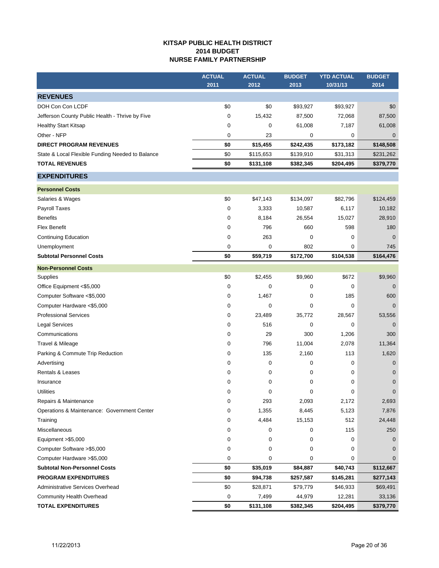## **KITSAP PUBLIC HEALTH DISTRICT 2014 BUDGET NURSE FAMILY PARTNERSHIP**

|                                                  | <b>ACTUAL</b> | <b>ACTUAL</b> | <b>BUDGET</b> | <b>YTD ACTUAL</b> | <b>BUDGET</b>  |
|--------------------------------------------------|---------------|---------------|---------------|-------------------|----------------|
|                                                  | 2011          | 2012          | 2013          | 10/31/13          | 2014           |
| <b>REVENUES</b>                                  |               |               |               |                   |                |
| DOH Con Con LCDF                                 | \$0           | \$0           | \$93,927      | \$93,927          | \$0            |
| Jefferson County Public Health - Thrive by Five  | 0             | 15,432        | 87,500        | 72,068            | 87,500         |
| <b>Healthy Start Kitsap</b>                      | 0             | 0             | 61,008        | 7,187             | 61,008         |
| Other - NFP                                      | 0             | 23            | 0             | 0                 | $\mathbf 0$    |
| <b>DIRECT PROGRAM REVENUES</b>                   | \$0           | \$15,455      | \$242,435     | \$173,182         | \$148,508      |
| State & Local Flexible Funding Needed to Balance | \$0           | \$115,653     | \$139,910     | \$31,313          | \$231,262      |
| <b>TOTAL REVENUES</b>                            | \$0           | \$131,108     | \$382,345     | \$204,495         | \$379,770      |
| <b>EXPENDITURES</b>                              |               |               |               |                   |                |
| <b>Personnel Costs</b>                           |               |               |               |                   |                |
| Salaries & Wages                                 | \$0           | \$47,143      | \$134,097     | \$82,796          | \$124,459      |
| Payroll Taxes                                    | 0             | 3,333         | 10,587        | 6,117             | 10,182         |
| <b>Benefits</b>                                  | 0             | 8,184         | 26,554        | 15,027            | 28,910         |
| <b>Flex Benefit</b>                              | 0             | 796           | 660           | 598               | 180            |
| <b>Continuing Education</b>                      | 0             | 263           | 0             | 0                 | $\overline{0}$ |
| Unemployment                                     | 0             | 0             | 802           | 0                 | 745            |
| <b>Subtotal Personnel Costs</b>                  | \$0           | \$59,719      | \$172,700     | \$104,538         | \$164,476      |
| <b>Non-Personnel Costs</b>                       |               |               |               |                   |                |
| Supplies                                         | \$0           | \$2,455       | \$9,960       | \$672             | \$9,960        |
| Office Equipment <\$5,000                        | 0             | 0             | 0             | 0                 | $\mathbf 0$    |
| Computer Software <\$5,000                       | 0             | 1,467         | 0             | 185               | 600            |
| Computer Hardware <\$5,000                       | 0             | 0             | 0             | 0                 | $\mathbf{0}$   |
| <b>Professional Services</b>                     | 0             | 23,489        | 35,772        | 28,567            | 53,556         |
| <b>Legal Services</b>                            | 0             | 516           | 0             | 0                 | $\mathbf 0$    |
| Communications                                   | 0             | 29            | 300           | 1,206             | 300            |
| Travel & Mileage                                 | 0             | 796           | 11,004        | 2,078             | 11,364         |
| Parking & Commute Trip Reduction                 | 0             | 135           | 2,160         | 113               | 1,620          |
| Advertising                                      | 0             | 0             | 0             | 0                 | $\mathbf 0$    |
| Rentals & Leases                                 | 0             | 0             | 0             | 0                 | $\mathbf 0$    |
| Insurance                                        | 0             | 0             | 0             | 0                 | $\mathbf 0$    |
| <b>Utilities</b>                                 | 0             | 0             | 0             | 0                 | $\mathbf 0$    |
| Repairs & Maintenance                            | 0             | 293           | 2,093         | 2,172             | 2,693          |
| Operations & Maintenance: Government Center      | 0             | 1,355         | 8,445         | 5,123             | 7,876          |
| Training                                         | 0             | 4,484         | 15,153        | 512               | 24,448         |
| Miscellaneous                                    | 0             | 0             | 0             | 115               | 250            |
| Equipment >\$5,000                               | 0             | 0             | 0             | 0                 | 0              |
| Computer Software > \$5,000                      | 0             | 0             | 0             | 0                 | $\mathbf 0$    |
| Computer Hardware >\$5,000                       | 0             | 0             | 0             | 0                 | $\mathbf 0$    |
| <b>Subtotal Non-Personnel Costs</b>              | \$0           | \$35,019      | \$84,887      | \$40,743          | \$112,667      |
| <b>PROGRAM EXPENDITURES</b>                      | \$0           | \$94,738      | \$257,587     | \$145,281         | \$277,143      |
| Administrative Services Overhead                 | \$0           | \$28,871      | \$79,779      | \$46,933          | \$69,491       |
| Community Health Overhead                        | 0             | 7,499         | 44,979        | 12,281            | 33,136         |
| <b>TOTAL EXPENDITURES</b>                        | \$0           | \$131,108     | \$382,345     | \$204,495         | \$379,770      |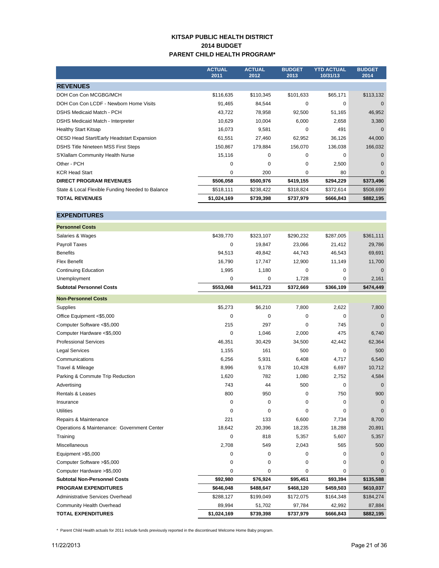## **KITSAP PUBLIC HEALTH DISTRICT 2014 BUDGET PARENT CHILD HEALTH PROGRAM\***

|                                                  | <b>ACTUAL</b><br>2011 | <b>ACTUAL</b><br>2012 | <b>BUDGET</b><br>2013 | <b>YTD ACTUAL</b><br>10/31/13 | <b>BUDGET</b><br>2014 |
|--------------------------------------------------|-----------------------|-----------------------|-----------------------|-------------------------------|-----------------------|
| <b>REVENUES</b>                                  |                       |                       |                       |                               |                       |
| DOH Con Con MCGBG/MCH                            | \$116,635             | \$110,345             | \$101,633             | \$65,171                      | \$113,132             |
| DOH Con Con LCDF - Newborn Home Visits           | 91,465                | 84,544                | 0                     | 0                             | $\Omega$              |
| <b>DSHS Medicaid Match - PCH</b>                 | 43,722                | 78,958                | 92,500                | 51,165                        | 46,952                |
| DSHS Medicaid Match - Interpreter                | 10,629                | 10,004                | 6,000                 | 2,658                         | 3,380                 |
| <b>Healthy Start Kitsap</b>                      | 16,073                | 9,581                 | $\Omega$              | 491                           | $\Omega$              |
| OESD Head Start/Early Headstart Expansion        | 61,551                | 27,460                | 62,952                | 36,126                        | 44,000                |
| <b>DSHS Title Nineteen MSS First Steps</b>       | 150,867               | 179,884               | 156,070               | 136,038                       | 166,032               |
| S'Klallam Community Health Nurse                 | 15,116                | $\Omega$              | $\Omega$              | 0                             | $\Omega$              |
| Other - PCH                                      | $\Omega$              | 0                     | $\Omega$              | 2,500                         | $\Omega$              |
| <b>KCR Head Start</b>                            | 0                     | 200                   | 0                     | 80                            | $\Omega$              |
| <b>DIRECT PROGRAM REVENUES</b>                   | \$506,058             | \$500,976             | \$419,155             | \$294,229                     | \$373,496             |
| State & Local Flexible Funding Needed to Balance | \$518,111             | \$238,422             | \$318,824             | \$372,614                     | \$508,699             |
| <b>TOTAL REVENUES</b>                            | \$1,024,169           | \$739,398             | \$737,979             | \$666,843                     | \$882,195             |

**EXPENDITURES**

| <b>Personnel Costs</b>                      |             |           |             |           |           |
|---------------------------------------------|-------------|-----------|-------------|-----------|-----------|
| Salaries & Wages                            | \$439,770   | \$323,107 | \$290,232   | \$287,005 | \$361,111 |
| <b>Payroll Taxes</b>                        | 0           | 19,847    | 23,066      | 21,412    | 29,786    |
| <b>Benefits</b>                             | 94,513      | 49,842    | 44,743      | 46,543    | 69,691    |
| <b>Flex Benefit</b>                         | 16,790      | 17,747    | 12,900      | 11,149    | 11,700    |
| <b>Continuing Education</b>                 | 1,995       | 1,180     | 0           | 0         | $\Omega$  |
| Unemployment                                | $\mathbf 0$ | 0         | 1,728       | 0         | 2,161     |
| <b>Subtotal Personnel Costs</b>             | \$553,068   | \$411,723 | \$372,669   | \$366,109 | \$474,449 |
| <b>Non-Personnel Costs</b>                  |             |           |             |           |           |
| Supplies                                    | \$5,273     | \$6,210   | 7,800       | 2,622     | 7,800     |
| Office Equipment <\$5,000                   | $\mathbf 0$ | 0         | 0           | 0         | 0         |
| Computer Software <\$5,000                  | 215         | 297       | 0           | 745       | $\Omega$  |
| Computer Hardware <\$5,000                  | $\mathbf 0$ | 1,046     | 2,000       | 475       | 6,740     |
| <b>Professional Services</b>                | 46,351      | 30,429    | 34,500      | 42,442    | 62,364    |
| <b>Legal Services</b>                       | 1,155       | 161       | 500         | 0         | 500       |
| Communications                              | 6,256       | 5,931     | 6,408       | 4,717     | 6,540     |
| Travel & Mileage                            | 8,996       | 9,178     | 10,428      | 6,697     | 10,712    |
| Parking & Commute Trip Reduction            | 1,620       | 782       | 1,080       | 2,752     | 4,584     |
| Advertising                                 | 743         | 44        | 500         | $\Omega$  | $\Omega$  |
| Rentals & Leases                            | 800         | 950       | 0           | 750       | 900       |
| Insurance                                   | 0           | 0         | 0           | 0         | 0         |
| <b>Utilities</b>                            | $\mathbf 0$ | 0         | $\mathbf 0$ | 0         | 0         |
| Repairs & Maintenance                       | 221         | 133       | 6,600       | 7,734     | 8,700     |
| Operations & Maintenance: Government Center | 18,642      | 20,396    | 18,235      | 18,288    | 20,891    |
| Training                                    | $\mathbf 0$ | 818       | 5,357       | 5,607     | 5,357     |
| <b>Miscellaneous</b>                        | 2.708       | 549       | 2,043       | 565       | 500       |
| Equipment > \$5,000                         | 0           | 0         | 0           | 0         | 0         |
| Computer Software > \$5,000                 | 0           | 0         | 0           | 0         | 0         |
| Computer Hardware > \$5,000                 | $\mathbf 0$ | 0         | 0           | 0         | 0         |
| <b>Subtotal Non-Personnel Costs</b>         | \$92,980    | \$76,924  | \$95,451    | \$93,394  | \$135,588 |
| <b>PROGRAM EXPENDITURES</b>                 | \$646,048   | \$488,647 | \$468,120   | \$459,503 | \$610,037 |
| <b>Administrative Services Overhead</b>     | \$288,127   | \$199,049 | \$172,075   | \$164,348 | \$184,274 |
| Community Health Overhead                   | 89,994      | 51,702    | 97,784      | 42,992    | 87,884    |
| <b>TOTAL EXPENDITURES</b>                   | \$1,024,169 | \$739,398 | \$737,979   | \$666,843 | \$882,195 |

\* Parent Child Health actuals for 2011 include funds previously reported in the discontinued Welcome Home Baby program.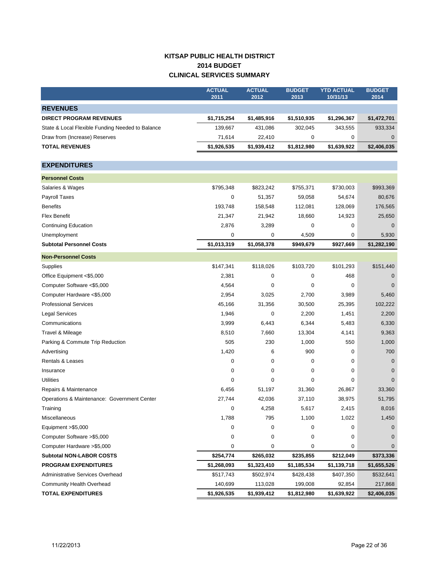# **KITSAP PUBLIC HEALTH DISTRICT 2014 BUDGET CLINICAL SERVICES SUMMARY**

|                                                  | <b>ACTUAL</b><br>2011 | <b>ACTUAL</b><br>2012 | <b>BUDGET</b><br>2013 | <b>YTD ACTUAL</b><br>10/31/13 | <b>BUDGET</b><br>2014 |
|--------------------------------------------------|-----------------------|-----------------------|-----------------------|-------------------------------|-----------------------|
| <b>REVENUES</b>                                  |                       |                       |                       |                               |                       |
| <b>DIRECT PROGRAM REVENUES</b>                   | \$1,715,254           | \$1,485,916           | \$1,510,935           | \$1,296,367                   | \$1,472,701           |
| State & Local Flexible Funding Needed to Balance | 139,667               | 431,086               | 302,045               | 343,555                       | 933,334               |
| Draw from (Increase) Reserves                    | 71,614                | 22,410                | 0                     | 0                             | $\mathbf 0$           |
| <b>TOTAL REVENUES</b>                            | \$1,926,535           | \$1,939,412           | \$1,812,980           | \$1,639,922                   | \$2,406,035           |
|                                                  |                       |                       |                       |                               |                       |
| <b>EXPENDITURES</b>                              |                       |                       |                       |                               |                       |
| <b>Personnel Costs</b>                           |                       |                       |                       |                               |                       |
| Salaries & Wages                                 | \$795,348             | \$823,242             | \$755,371             | \$730,003                     | \$993,369             |
| Payroll Taxes                                    | 0                     | 51,357                | 59,058                | 54,674                        | 80,676                |
| <b>Benefits</b>                                  | 193,748               | 158,548               | 112,081               | 128,069                       | 176,565               |
| <b>Flex Benefit</b>                              | 21,347                | 21,942                | 18,660                | 14,923                        | 25,650                |
| <b>Continuing Education</b>                      | 2,876                 | 3,289                 | 0                     | 0                             | $\mathbf 0$           |
| Unemployment                                     | 0                     | 0                     | 4,509                 | 0                             | 5,930                 |
| <b>Subtotal Personnel Costs</b>                  | \$1,013,319           | \$1,058,378           | \$949,679             | \$927,669                     | \$1,282,190           |
| <b>Non-Personnel Costs</b>                       |                       |                       |                       |                               |                       |
| Supplies                                         | \$147,341             | \$118,026             | \$103,720             | \$101,293                     | \$151,440             |
| Office Equipment <\$5,000                        | 2,381                 | 0                     | 0                     | 468                           | 0                     |
| Computer Software <\$5,000                       | 4,564                 | 0                     | 0                     | 0                             | $\mathbf 0$           |
| Computer Hardware <\$5,000                       | 2,954                 | 3,025                 | 2,700                 | 3,989                         | 5,460                 |
| <b>Professional Services</b>                     | 45,166                | 31,356                | 30,500                | 25,395                        | 102,222               |
| Legal Services                                   | 1,946                 | $\mathbf 0$           | 2,200                 | 1,451                         | 2,200                 |
| Communications                                   | 3,999                 | 6,443                 | 6,344                 | 5,483                         | 6,330                 |
| Travel & Mileage                                 | 8,510                 | 7,660                 | 13,304                | 4,141                         | 9,363                 |
| Parking & Commute Trip Reduction                 | 505                   | 230                   | 1,000                 | 550                           | 1,000                 |
| Advertising                                      | 1,420                 | 6                     | 900                   | 0                             | 700                   |
| Rentals & Leases                                 | 0                     | 0                     | 0                     | 0                             | $\mathbf 0$           |
| Insurance                                        | 0                     | 0                     | 0                     | 0                             | $\mathbf 0$           |
| <b>Utilities</b>                                 | 0                     | 0                     | 0                     | 0                             | $\mathbf 0$           |
| Repairs & Maintenance                            | 6,456                 | 51,197                | 31,360                | 26,867                        | 33,360                |
| Operations & Maintenance: Government Center      | 27,744                | 42,036                | 37,110                | 38,975                        | 51,795                |
| Training                                         | 0                     | 4,258                 | 5,617                 | 2,415                         | 8,016                 |
| Miscellaneous                                    | 1,788                 | 795                   | 1,100                 | 1,022                         | 1,450                 |
| Equipment >\$5,000                               | 0                     | 0                     | 0                     | 0                             | 0                     |
| Computer Software > \$5,000                      | 0                     | 0                     | 0                     | 0                             | 0                     |
| Computer Hardware > \$5,000                      | 0                     | 0                     | 0                     | 0                             | $\mathbf{0}$          |
| <b>Subtotal NON-LABOR COSTS</b>                  | \$254,774             | \$265,032             | \$235,855             | \$212,049                     | \$373,336             |
| <b>PROGRAM EXPENDITURES</b>                      | \$1,268,093           | \$1,323,410           | \$1,185,534           | \$1,139,718                   | \$1,655,526           |
| Administrative Services Overhead                 | \$517,743             | \$502,974             | \$428,438             | \$407,350                     | \$532,641             |
| Community Health Overhead                        | 140,699               | 113,028               | 199,008               | 92,854                        | 217,868               |
| <b>TOTAL EXPENDITURES</b>                        | \$1,926,535           | \$1,939,412           | \$1,812,980           | \$1,639,922                   | \$2,406,035           |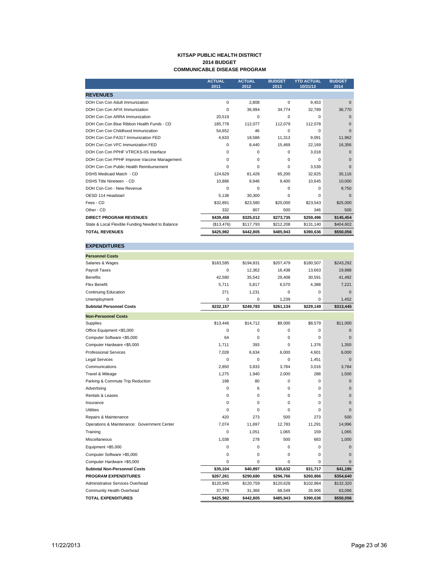#### **KITSAP PUBLIC HEALTH DISTRICT 2014 BUDGET COMMUNICABLE DISEASE PROGRAM**

|                                                  | <b>ACTUAL</b><br>2011 | <b>ACTUAL</b><br>2012 | <b>BUDGET</b><br>2013 | <b>YTD ACTUAL</b><br>10/31/13 | <b>BUDGET</b><br>2014 |
|--------------------------------------------------|-----------------------|-----------------------|-----------------------|-------------------------------|-----------------------|
| <b>REVENUES</b>                                  |                       |                       |                       |                               |                       |
| DOH Con Con Adult Immunization                   | $\Omega$              | 2.808                 | $\Omega$              | 9.453                         | O                     |
| DOH Con Con AFIX Immunization                    | $\Omega$              | 36.994                | 34.774                | 32.789                        | 36,770                |
| DOH Con Con ARRA Immunization                    | 20.519                | 0                     | $\Omega$              | 0                             | $\Omega$              |
| DOH Con Con Blue Ribbon Health Funds - CD        | 185.778               | 112.077               | 112.079               | 112.078                       | O                     |
| DOH Con Con Childhood Immunization               | 54.652                | 46                    | $\Omega$              | 0                             | $\Omega$              |
| DOH Con Con FA317 Immunization FED               | 4,633                 | 18,586                | 11,313                | 9,091                         | 11,962                |
| DOH Con Con VFC Immunization FED                 | $\Omega$              | 8,440                 | 15,469                | 22,169                        | 16,356                |
| DOH Con Con PPHF VTRCKS-IIS Interface            | $\Omega$              | $\Omega$              | $\Omega$              | 3,018                         | $\Omega$              |
| DOH Con Con PPHF Improve Vaccine Management      | $\Omega$              | $\Omega$              | $\Omega$              | 0                             | $\Omega$              |
| DOH Con Con Public Health Reimbursement          | $\Omega$              | 0                     | $\Omega$              | 3,539                         | O                     |
| DSHS Medicaid Match - CD                         | 124.629               | 81,428                | 65,200                | 32,825                        | 35,116                |
| DSHS Title Nineteen - CD                         | 10,886                | 9,946                 | 9,400                 | 10,645                        | 10,000                |
| DOH Con Con - New Revenue                        | $\Omega$              | 0                     | $\Omega$              | 0                             | 9.750                 |
| OESD 114 Headstart                               | 5.138                 | 30,300                | O                     | 0                             | $\Omega$              |
| Fees - CD                                        | \$32,891              | \$23,580              | \$25,000              | \$23,543                      | \$25,000              |
| Other - CD                                       | 332                   | 807                   | 500                   | 346                           | 500                   |
| <b>DIRECT PROGRAM REVENUES</b>                   | \$439,458             | \$325,012             | \$273,735             | \$259,496                     | \$145,454             |
| State & Local Flexible Funding Needed to Balance | (\$13,476)            | \$117,793             | \$212,208             | \$131,140                     | \$404,602             |
| <b>TOTAL REVENUES</b>                            | \$425,982             | \$442,805             | \$485,943             | \$390,636                     | \$550,056             |

| <b>EXPENDITURES</b>                         |             |             |             |           |             |
|---------------------------------------------|-------------|-------------|-------------|-----------|-------------|
| <b>Personnel Costs</b>                      |             |             |             |           |             |
| Salaries & Wages                            | \$183,595   | \$194,831   | \$207,479   | \$180,507 | \$243,292   |
| Payroll Taxes                               | $\Omega$    | 12,362      | 16,438      | 13,663    | 19,988      |
| <b>Benefits</b>                             | 42.580      | 35,542      | 29,408      | 30,591    | 41,492      |
| <b>Flex Benefit</b>                         | 5.711       | 5,817       | 6,570       | 4,388     | 7,221       |
| <b>Continuing Education</b>                 | 271         | 1,231       | 0           | 0         | $\Omega$    |
| Unemployment                                | 0           | 0           | 1,239       | 0         | 1,452       |
| <b>Subtotal Personnel Costs</b>             | \$232,157   | \$249,783   | \$261,134   | \$229,149 | \$313,445   |
| <b>Non-Personnel Costs</b>                  |             |             |             |           |             |
| Supplies                                    | \$13,446    | \$14,712    | \$9,000     | \$8,579   | \$11,000    |
| Office Equipment <\$5,000                   | $\Omega$    | $\mathbf 0$ | $\mathbf 0$ | 0         | $\Omega$    |
| Computer Software <\$5,000                  | 64          | 0           | 0           | 0         | $\Omega$    |
| Computer Hardware <\$5,000                  | 1,711       | 393         | 0           | 1,376     | 1,350       |
| <b>Professional Services</b>                | 7,028       | 6,634       | 6,000       | 4,601     | 6,000       |
| <b>Legal Services</b>                       | $\mathbf 0$ | 0           | 0           | 1,451     | $\Omega$    |
| Communications                              | 2,850       | 3,833       | 3,784       | 3,016     | 3,784       |
| Travel & Mileage                            | 1,275       | 1,940       | 2,000       | 288       | 1,500       |
| Parking & Commute Trip Reduction            | 198         | 80          | $\Omega$    | 0         | $\Omega$    |
| Advertising                                 | 0           | 6           | 0           | 0         | $\mathbf 0$ |
| Rentals & Leases                            | 0           | 0           | 0           | 0         | $\mathbf 0$ |
| Insurance                                   | $\Omega$    | $\mathbf 0$ | $\mathbf 0$ | 0         | $\Omega$    |
| <b>Utilities</b>                            | $\mathbf 0$ | $\Omega$    | 0           | 0         | $\Omega$    |
| Repairs & Maintenance                       | 420         | 273         | 500         | 273       | 500         |
| Operations & Maintenance: Government Center | 7,074       | 11,697      | 12,783      | 11,291    | 14,996      |
| Training                                    | 0           | 1,051       | 1,065       | 159       | 1,065       |
| Miscellaneous                               | 1.038       | 278         | 500         | 683       | 1,000       |
| Equipment >\$5,000                          | $\mathbf 0$ | $\mathbf 0$ | $\mathbf 0$ | 0         | $\mathbf 0$ |
| Computer Software > \$5,000                 | $\mathbf 0$ | $\mathbf 0$ | $\mathbf 0$ | 0         | $\Omega$    |
| Computer Hardware > \$5,000                 | 0           | 0           | 0           | 0         | 0           |
| <b>Subtotal Non-Personnel Costs</b>         | \$35,104    | \$40,897    | \$35,632    | \$31,717  | \$41,195    |
| <b>PROGRAM EXPENDITURES</b>                 | \$267,261   | \$290,680   | \$296,766   | \$260,866 | \$354,640   |
| Administrative Services Overhead            | \$120,945   | \$120,759   | \$120,628   | \$102,864 | \$132,320   |
| Community Health Overhead                   | 37,776      | 31,366      | 68,549      | 26,906    | 63,096      |
| <b>TOTAL EXPENDITURES</b>                   | \$425,982   | \$442,805   | \$485,943   | \$390,636 | \$550,056   |

**EXPENDITURES**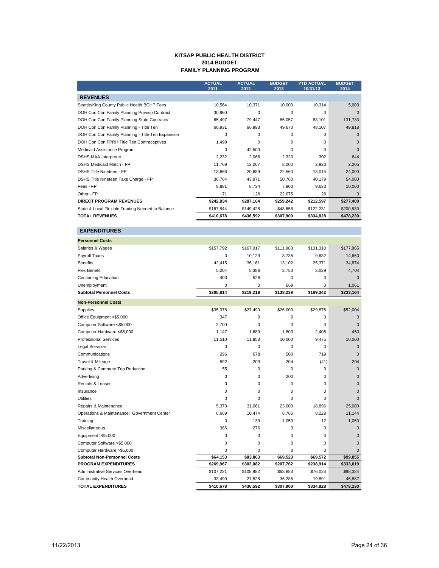#### **KITSAP PUBLIC HEALTH DISTRICT 2014 BUDGET FAMILY PLANNING PROGRAM**

|                                                   | <b>ACTUAL</b><br>2011 | <b>ACTUAL</b><br>2012 | <b>BUDGET</b><br>2013 | <b>YTD ACTUAL</b><br>10/31/13 | <b>BUDGET</b><br>2014 |
|---------------------------------------------------|-----------------------|-----------------------|-----------------------|-------------------------------|-----------------------|
| <b>REVENUES</b>                                   |                       |                       |                       |                               |                       |
| Seattle/King County Public Health BCHP Fees       | 10,564                | 10,371                | 10,000                | 10,314                        | 5,000                 |
| DOH Con Con Family Planning Proviso Contract      | 30,960                | 0                     | 0                     | 0                             | $\Omega$              |
| DOH Con Con Family Planning State Contracts       | 65,497                | 79,447                | 86,057                | 83,101                        | 131,733               |
| DOH Con Con Family Planning - Title Ten           | 60,931                | 66,993                | 49,670                | 48,107                        | 49,818                |
| DOH Con Con Family Planning - Title Ten Expansion | $\Omega$              | $\Omega$              | 0                     | 0                             | $\Omega$              |
| DOH Con Con FPRH Title Ten Contraceptives         | 1,499                 | $\Omega$              | 0                     | 0                             | $\Omega$              |
| Medicaid Assistance Program                       | $\Omega$              | 42,500                | 0                     | $\Omega$                      | $\Omega$              |
| <b>DSHS MAA Interpreter</b>                       | 2,232                 | 2,066                 | 2,320                 | 302                           | 644                   |
| <b>DSHS Medicaid Match - FP</b>                   | 11,769                | 12,267                | 8,000                 | 2,920                         | 2,205                 |
| <b>DSHS Title Nineteen - FP</b>                   | 13,666                | 20,689                | 22,560                | 18,015                        | 24,000                |
| DSHS Title Nineteen Take Charge - FP              | 36,764                | 43,971                | 50.760                | 40,179                        | 54,000                |
| Fees - FP                                         | 8,881                 | 8,734                 | 7,800                 | 9,633                         | 10,000                |
| Other - FP                                        | 71                    | 126                   | 22,075                | 26                            | $\Omega$              |
| <b>DIRECT PROGRAM REVENUES</b>                    | \$242,834             | \$287,164             | \$259,242             | \$212,597                     | \$277,400             |
| State & Local Flexible Funding Needed to Balance  | \$167,844             | \$149,428             | \$48,658              | \$122,231                     | \$200,830             |
| <b>TOTAL REVENUES</b>                             | \$410,678             | \$436.592             | \$307,900             | \$334,828                     | \$478,230             |

| <b>EXPENDITURES</b>                         |           |             |           |           |              |
|---------------------------------------------|-----------|-------------|-----------|-----------|--------------|
| <b>Personnel Costs</b>                      |           |             |           |           |              |
| Salaries & Wages                            | \$157,792 | \$167,017   | \$111,983 | \$131,310 | \$177,865    |
| Payroll Taxes                               | 0         | 10,129      | 8,735     | 9,632     | 14,660       |
| <b>Benefits</b>                             | 42,415    | 36,161      | 13,102    | 25,371    | 34,874       |
| <b>Flex Benefit</b>                         | 5,204     | 5,386       | 3,750     | 3,029     | 4,704        |
| <b>Continuing Education</b>                 | 403       | 526         | 0         | 0         | $\Omega$     |
| Unemployment                                | 0         | 0           | 669       | $\Omega$  | 1,061        |
| <b>Subtotal Personnel Costs</b>             | \$205,814 | \$219,219   | \$138,239 | \$169,342 | \$233,164    |
| <b>Non-Personnel Costs</b>                  |           |             |           |           |              |
| Supplies                                    | \$35,078  | \$27,490    | \$26,000  | \$29,875  | \$52,004     |
| Office Equipment <\$5,000                   | 347       | 0           | 0         | $\Omega$  | $\mathbf 0$  |
| Computer Software <\$5,000                  | 2,700     | 0           | $\Omega$  | $\Omega$  | $\Omega$     |
| Computer Hardware <\$5,000                  | 1,147     | 1,689       | 1,800     | 2,408     | 450          |
| <b>Professional Services</b>                | 11,510    | 11,853      | 10,000    | 9,475     | 10,000       |
| <b>Legal Services</b>                       | 0         | 0           | 0         | $\Omega$  | $\mathbf 0$  |
| Communications                              | 296       | 678         | 500       | 719       | $\mathbf 0$  |
| Travel & Mileage                            | 592       | 203         | 204       | (41)      | 204          |
| Parking & Commute Trip Reduction            | 55        | $\mathbf 0$ | 0         | 0         | $\mathbf 0$  |
| Advertising                                 | 0         | $\mathbf 0$ | 200       | 0         | $\mathbf 0$  |
| <b>Rentals &amp; Leases</b>                 | $\Omega$  | $\mathbf 0$ | $\Omega$  | 0         | $\Omega$     |
| Insurance                                   | $\Omega$  | $\mathbf 0$ | 0         | $\Omega$  | $\Omega$     |
| <b>Utilities</b>                            | $\Omega$  | $\Omega$    | $\Omega$  | $\Omega$  | $\Omega$     |
| Repairs & Maintenance                       | 5,373     | 31,061      | 23,000    | 18,896    | 25,000       |
| Operations & Maintenance: Government Center | 6,669     | 10,474      | 6,766     | 8,228     | 11,144       |
| Training                                    | 0         | 139         | 1,053     | 12        | 1,053        |
| Miscellaneous                               | 386       | 276         | 0         | 0         | $\mathbf 0$  |
| Equipment >\$5,000                          | 0         | $\mathbf 0$ | 0         | 0         | $\mathbf{0}$ |
| Computer Software >\$5,000                  | 0         | 0           | 0         | 0         | $\mathbf{0}$ |
| Computer Hardware >\$5,000                  | $\Omega$  | $\Omega$    | $\Omega$  | 0         | $\Omega$     |
| <b>Subtotal Non-Personnel Costs</b>         | \$64,153  | \$83,863    | \$69,523  | \$69,572  | \$99,855     |
| <b>PROGRAM EXPENDITURES</b>                 | \$269,967 | \$303,082   | \$207,762 | \$238,914 | \$333,019    |
| Administrative Services Overhead            | \$107,221 | \$105,982   | \$63,853  | \$76,023  | \$98,324     |
| Community Health Overhead                   | 33,490    | 27,528      | 36,285    | 19,891    | 46,887       |
| <b>TOTAL EXPENDITURES</b>                   | \$410,678 | \$436,592   | \$307,900 | \$334,828 | \$478,230    |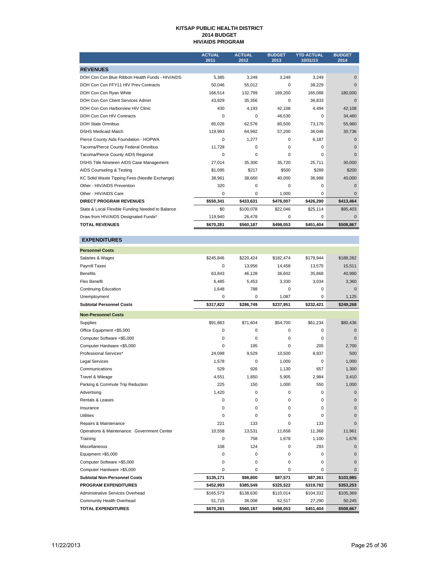#### **KITSAP PUBLIC HEALTH DISTRICT 2014 BUDGET HIV/AIDS PROGRAM**

|                                                  | <b>ACTUAL</b><br>2011 | <b>ACTUAL</b><br>2012 | <b>BUDGET</b><br>2013 | <b>YTD ACTUAL</b><br>10/31/13 | <b>BUDGET</b><br>2014 |
|--------------------------------------------------|-----------------------|-----------------------|-----------------------|-------------------------------|-----------------------|
| <b>REVENUES</b>                                  |                       |                       |                       |                               |                       |
| DOH Con Con Blue Ribbon Health Funds - HIV/AIDS  | 5,385                 | 3,249                 | 3,249                 | 3,249                         | $\Omega$              |
| DOH Con Con FFY11 HIV Prev Contracts             | 50.046                | 55,012                | 0                     | 38,229                        | $\Omega$              |
| DOH Con Con Ryan White                           | 166.514               | 132.799               | 169,200               | 165,088                       | 180,000               |
| DOH Con Con Client Services Admin                | 43,829                | 35,356                | $\Omega$              | 36,833                        | $\Omega$              |
| DOH Con Con Harborview HIV Clinic                | 430                   | 4,193                 | 42.108                | 4,494                         | 42,108                |
| DOH Con Con HIV Contracts                        | 0                     | 0                     | 46,530                | 0                             | 34,460                |
| <b>DOH State Omnibus</b>                         | 85.026                | 62.576                | 80.500                | 73.176                        | 55,960                |
| <b>DSHS Medicaid Match</b>                       | 119,993               | 64,992                | 57,200                | 36,046                        | 30,736                |
| Pierce County Aids Foundation - HOPWA            | 0                     | 1,277                 | 0                     | 6,187                         | $\Omega$              |
| Tacoma/Pierce County Federal Omnibus             | 11,728                | $\Omega$              | 0                     | 0                             | $\Omega$              |
| Tacoma/Pierce County AIDS Regional               | 0                     | $\mathbf 0$           | $\mathbf 0$           | 0                             | $\Omega$              |
| DSHS Title Nineteen AIDS Case Management         | 27,014                | 35,300                | 35.720                | 25,711                        | 30,000                |
| AIDS Counseling & Testing                        | \$1,095               | \$217                 | \$500                 | \$289                         | \$200                 |
| KC Solid Waste Tipping Fees (Needle Exchange)    | 38,961                | 38,660                | 40,000                | 36,988                        | 40,000                |
| Other - HIV/AIDS Prevention                      | 320                   | $\Omega$              | $\Omega$              | 0                             | $\Omega$              |
| Other - HIV/AIDS Care                            | 0                     | $\mathbf 0$           | 1,000                 | 0                             | $\Omega$              |
| <b>DIRECT PROGRAM REVENUES</b>                   | \$550,341             | \$433,631             | \$476,007             | \$426,290                     | \$413,464             |
| State & Local Flexible Funding Needed to Balance | \$0                   | \$100,078             | \$22,046              | \$25,114                      | \$95,403              |
| Draw from HIV/AIDS Designated Funds*             | 119,940               | 26,478                | $\mathbf 0$           | 0                             | $\Omega$              |
| <b>TOTAL REVENUES</b>                            | \$670,281             | \$560,187             | \$498,053             | \$451.404                     | \$508,867             |

| <b>EXPENDITURES</b>                         |             |             |           |           |                |
|---------------------------------------------|-------------|-------------|-----------|-----------|----------------|
| <b>Personnel Costs</b>                      |             |             |           |           |                |
| Salaries & Wages                            | \$245,846   | \$220,424   | \$182,474 | \$179,944 | \$188,282      |
| Payroll Taxes                               | $\mathbf 0$ | 13,956      | 14,458    | 13,575    | 15,511         |
| <b>Benefits</b>                             | 63,843      | 46,128      | 36,602    | 35,868    | 40,990         |
| <b>Flex Benefit</b>                         | 6,485       | 5,453       | 3,330     | 3,034     | 3,360          |
| <b>Continuing Education</b>                 | 1,648       | 788         | 0         | 0         | $\Omega$       |
| Unemployment                                | $\mathbf 0$ | $\mathbf 0$ | 1,087     | 0         | 1,125          |
| <b>Subtotal Personnel Costs</b>             | \$317,822   | \$286.749   | \$237,951 | \$232,421 | \$249,268      |
| <b>Non-Personnel Costs</b>                  |             |             |           |           |                |
| Supplies                                    | \$91,883    | \$71,604    | \$54,700  | \$61,234  | \$80,436       |
| Office Equipment <\$5,000                   | $\mathbf 0$ | $\mathbf 0$ | 0         | 0         | 0              |
| Computer Software <\$5,000                  | $\mathbf 0$ | $\mathbf 0$ | 0         | 0         | $\mathbf 0$    |
| Computer Hardware <\$5,000                  | $\mathbf 0$ | 195         | 0         | 205       | 2,700          |
| Professional Services*                      | 24,098      | 9,529       | 10,500    | 8,837     | 500            |
| <b>Legal Services</b>                       | 1,578       | 0           | 1,000     | 0         | 1,000          |
| Communications                              | 529         | 926         | 1,130     | 657       | 1,300          |
| Travel & Mileage                            | 4,551       | 1,850       | 5,905     | 2,984     | 3,410          |
| Parking & Commute Trip Reduction            | 225         | 150         | 1,000     | 550       | 1,000          |
| Advertising                                 | 1.420       | 0           | 0         | 0         | $\mathbf{0}$   |
| Rentals & Leases                            | $\mathbf 0$ | $\Omega$    | 0         | 0         | $\mathbf 0$    |
| Insurance                                   | $\mathbf 0$ | $\mathbf 0$ | 0         | 0         | $\overline{0}$ |
| <b>Utilities</b>                            | $\mathbf 0$ | $\Omega$    | 0         | 0         | $\Omega$       |
| Repairs & Maintenance                       | 221         | 133         | 0         | 133       | $\mathbf 0$    |
| Operations & Maintenance: Government Center | 10,558      | 13,531      | 11,658    | 11,368    | 11,961         |
| Training                                    | $\mathbf 0$ | 758         | 1,678     | 1,100     | 1,678          |
| Miscellaneous                               | 108         | 124         | 0         | 293       | $\Omega$       |
| Equipment > \$5,000                         | 0           | $\mathbf 0$ | 0         | 0         | $\mathbf{0}$   |
| Computer Software >\$5,000                  | $\mathbf 0$ | $\mathbf 0$ | 0         | 0         | $\mathbf 0$    |
| Computer Hardware >\$5,000                  | 0           | 0           | 0         | 0         | $\mathbf 0$    |
| <b>Subtotal Non-Personnel Costs</b>         | \$135,171   | \$98,800    | \$87,571  | \$87,361  | \$103,985      |
| <b>PROGRAM EXPENDITURES</b>                 | \$452,993   | \$385,549   | \$325,522 | \$319,782 | \$353,253      |
| Administrative Services Overhead            | \$165,573   | \$138,630   | \$110,014 | \$104,332 | \$105,369      |
| Community Health Overhead                   | 51,715      | 36,008      | 62,517    | 27,290    | 50,245         |
| <b>TOTAL EXPENDITURES</b>                   | \$670,281   | \$560,187   | \$498.053 | \$451,404 | \$508.867      |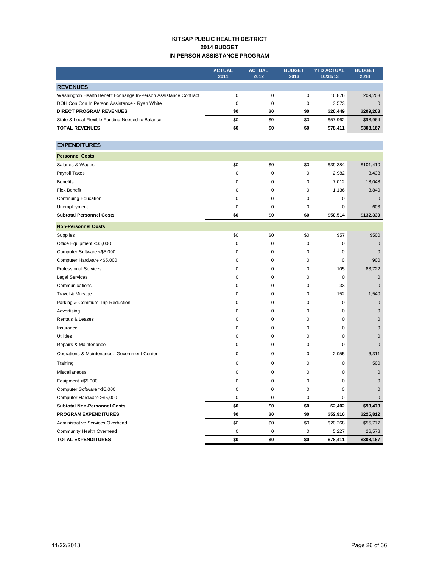## **KITSAP PUBLIC HEALTH DISTRICT 2014 BUDGET IN-PERSON ASSISTANCE PROGRAM**

|                                                                  | <b>ACTUAL</b> | <b>ACTUAL</b> | <b>BUDGET</b> | <b>YTD ACTUAL</b> | <b>BUDGET</b> |
|------------------------------------------------------------------|---------------|---------------|---------------|-------------------|---------------|
|                                                                  | 2011          | 2012          | 2013          | 10/31/13          | 2014          |
| <b>REVENUES</b>                                                  |               |               |               |                   |               |
| Washington Health Benefit Exchange In-Person Assistance Contract | $\pmb{0}$     | $\pmb{0}$     | 0             | 16,876            | 209,203       |
| DOH Con Con In Person Assistance - Ryan White                    | 0             | 0             | 0             | 3,573             | $\mathbf 0$   |
| <b>DIRECT PROGRAM REVENUES</b>                                   | \$0           | \$0           | \$0           | \$20,449          | \$209,203     |
| State & Local Flexible Funding Needed to Balance                 | \$0           | \$0           | \$0           | \$57,962          | \$98,964      |
| <b>TOTAL REVENUES</b>                                            | \$0           | \$0           | \$0           | \$78,411          | \$308,167     |
|                                                                  |               |               |               |                   |               |
| <b>EXPENDITURES</b>                                              |               |               |               |                   |               |
| <b>Personnel Costs</b>                                           |               |               |               |                   |               |
| Salaries & Wages                                                 | \$0           | \$0           | \$0           | \$39,384          | \$101,410     |
| Payroll Taxes                                                    | $\pmb{0}$     | 0             | 0             | 2,982             | 8,438         |
| <b>Benefits</b>                                                  | 0             | 0             | 0             | 7,012             | 18,048        |
| <b>Flex Benefit</b>                                              | 0             | 0             | 0             | 1,136             | 3,840         |
| <b>Continuing Education</b>                                      | 0             | 0             | 0             | 0                 | $\mathbf 0$   |
| Unemployment                                                     | 0             | 0             | 0             | 0                 | 603           |
| <b>Subtotal Personnel Costs</b>                                  | \$0           | \$0           | \$0           | \$50,514          | \$132,339     |
| <b>Non-Personnel Costs</b>                                       |               |               |               |                   |               |
| Supplies                                                         | \$0           | \$0           | \$0           | \$57              | \$500         |
| Office Equipment <\$5,000                                        | 0             | 0             | 0             | 0                 | $\mathbf 0$   |
| Computer Software <\$5,000                                       | 0             | 0             | 0             | 0                 | $\mathbf 0$   |
| Computer Hardware <\$5,000                                       | 0             | 0             | 0             | 0                 | 900           |
| <b>Professional Services</b>                                     | 0             | 0             | 0             | 105               | 83,722        |
| <b>Legal Services</b>                                            | 0             | 0             | 0             | 0                 | $\pmb{0}$     |
| Communications                                                   | 0             | 0             | 0             | 33                | $\mathbf 0$   |
| Travel & Mileage                                                 | 0             | 0             | 0             | 152               | 1,540         |
| Parking & Commute Trip Reduction                                 | 0             | 0             | 0             | 0                 | $\mathbf 0$   |
| Advertising                                                      | 0             | 0             | 0             | 0                 | 0             |
| Rentals & Leases                                                 | 0             | 0             | 0             | 0                 | 0             |
| Insurance                                                        | 0             | 0             | 0             | 0                 | $\pmb{0}$     |
| <b>Utilities</b>                                                 | 0             | 0             | 0             | 0                 | $\mathbf 0$   |
| Repairs & Maintenance                                            | 0             | 0             | 0             | 0                 | $\mathbf 0$   |
| Operations & Maintenance: Government Center                      | 0             | 0             | 0             | 2,055             | 6,311         |
| Training                                                         | 0             | 0             | 0             | 0                 | 500           |
| Miscellaneous                                                    | 0             | 0             | 0             | 0                 | 0             |
| Equipment >\$5,000                                               | 0             | 0             | 0             | 0                 | $\pmb{0}$     |
| Computer Software > \$5,000                                      | U             | U             | U             | O                 | $\mathsf{U}$  |
| Computer Hardware > \$5,000                                      | 0             | 0             | 0             | 0                 | 0             |
| <b>Subtotal Non-Personnel Costs</b>                              | \$0           | \$0           | \$0           | \$2,402           | \$93,473      |
| <b>PROGRAM EXPENDITURES</b>                                      | \$0           | \$0           | \$0           | \$52,916          | \$225,812     |
| Administrative Services Overhead                                 | \$0           | \$0           | \$0           | \$20,268          | \$55,777      |
| Community Health Overhead                                        | 0             | 0             | 0             | 5,227             | 26,578        |
| <b>TOTAL EXPENDITURES</b>                                        | \$0           | \$0           | \$0           | \$78,411          | \$308,167     |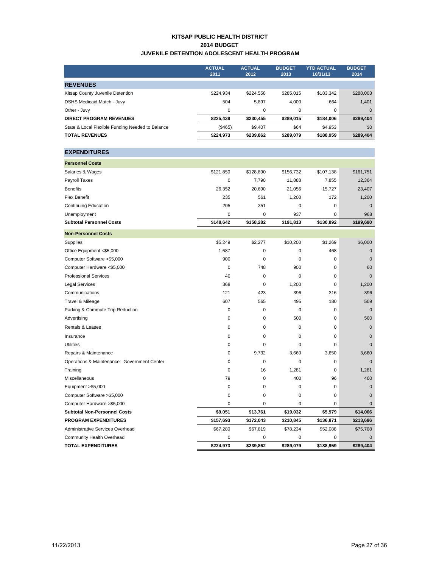#### **KITSAP PUBLIC HEALTH DISTRICT 2014 BUDGET JUVENILE DETENTION ADOLESCENT HEALTH PROGRAM**

|                                                  | <b>ACTUAL</b><br>2011 | <b>ACTUAL</b><br>2012 | <b>BUDGET</b><br>2013 | <b>YTD ACTUAL</b><br>10/31/13 | <b>BUDGET</b><br>2014 |
|--------------------------------------------------|-----------------------|-----------------------|-----------------------|-------------------------------|-----------------------|
|                                                  |                       |                       |                       |                               |                       |
| <b>REVENUES</b>                                  |                       |                       |                       |                               |                       |
| Kitsap County Juvenile Detention                 | \$224,934             | \$224,558             | \$285,015             | \$183,342                     | \$288,003             |
| <b>DSHS Medicaid Match - Juvy</b>                | 504                   | 5,897                 | 4,000                 | 664                           | 1,401                 |
| Other - Juvy                                     | $\pmb{0}$             | 0                     | 0                     | 0                             | $\mathbf 0$           |
| <b>DIRECT PROGRAM REVENUES</b>                   | \$225,438             | \$230,455             | \$289,015             | \$184,006                     | \$289,404             |
| State & Local Flexible Funding Needed to Balance | (\$465)               | \$9,407               | \$64                  | \$4,953                       | \$0                   |
| <b>TOTAL REVENUES</b>                            | \$224,973             | \$239,862             | \$289,079             | \$188,959                     | \$289,404             |
| <b>EXPENDITURES</b>                              |                       |                       |                       |                               |                       |
| <b>Personnel Costs</b>                           |                       |                       |                       |                               |                       |
| Salaries & Wages                                 | \$121,850             | \$128,890             | \$156,732             | \$107,138                     | \$161,751             |
| Payroll Taxes                                    | $\pmb{0}$             | 7,790                 | 11,888                | 7,855                         | 12,364                |
| <b>Benefits</b>                                  | 26,352                | 20,690                | 21,056                | 15,727                        | 23,407                |
| <b>Flex Benefit</b>                              | 235                   | 561                   | 1,200                 | 172                           | 1,200                 |
| <b>Continuing Education</b>                      | 205                   | 351                   | 0                     | $\mathsf 0$                   | $\mathbf{0}$          |
| Unemployment                                     | $\pmb{0}$             | 0                     | 937                   | 0                             | 968                   |
| <b>Subtotal Personnel Costs</b>                  | \$148,642             | \$158,282             | \$191,813             | \$130,892                     | \$199,690             |
| <b>Non-Personnel Costs</b>                       |                       |                       |                       |                               |                       |
| Supplies                                         | \$5,249               | \$2,277               | \$10,200              | \$1,269                       | \$6,000               |
| Office Equipment <\$5,000                        | 1,687                 | 0                     | 0                     | 468                           | $\mathbf 0$           |
| Computer Software <\$5,000                       | 900                   | 0                     | 0                     | $\mathsf 0$                   | $\mathbf 0$           |
| Computer Hardware <\$5,000                       | 0                     | 748                   | 900                   | 0                             | 60                    |
| <b>Professional Services</b>                     | 40                    | 0                     | 0                     | 0                             | $\mathbf 0$           |
| <b>Legal Services</b>                            | 368                   | 0                     | 1,200                 | 0                             | 1,200                 |
| Communications                                   | 121                   | 423                   | 396                   | 316                           | 396                   |
| Travel & Mileage                                 | 607                   | 565                   | 495                   | 180                           | 509                   |
| Parking & Commute Trip Reduction                 | 0                     | 0                     | 0                     | $\mathsf 0$                   | $\mathbf 0$           |
| Advertising                                      | $\pmb{0}$             | 0                     | 500                   | 0                             | 500                   |
| Rentals & Leases                                 | $\pmb{0}$             | 0                     | 0                     | $\mathsf 0$                   | $\mathbf 0$           |
| Insurance                                        | 0                     | 0                     | 0                     | 0                             | $\mathbf 0$           |
| <b>Utilities</b>                                 | 0                     | 0                     | 0                     | 0                             | $\Omega$              |
| Repairs & Maintenance                            | 0                     | 9,732                 | 3,660                 | 3,650                         | 3,660                 |
| Operations & Maintenance: Government Center      | 0                     | 0                     | 0                     | 0                             | $\mathbf 0$           |
| Training                                         | $\pmb{0}$             | 16                    | 1,281                 | 0                             | 1,281                 |
| Miscellaneous                                    | 79                    | 0                     | 400                   | 96                            | 400                   |
| Equipment >\$5,000                               | U                     |                       |                       | o                             | $\pmb{0}$             |
| Computer Software >\$5,000                       | 0                     | 0                     | 0                     | 0                             | 0                     |
| Computer Hardware > \$5,000                      | 0                     | 0                     | 0                     | 0                             | 0                     |
| <b>Subtotal Non-Personnel Costs</b>              | \$9,051               | \$13,761              | \$19,032              | \$5,979                       | \$14,006              |
| <b>PROGRAM EXPENDITURES</b>                      | \$157,693             | \$172,043             | \$210,845             | \$136,871                     | \$213,696             |
| Administrative Services Overhead                 | \$67,280              | \$67,819              | \$78,234              | \$52,088                      | \$75,708              |
| Community Health Overhead                        | 0                     | 0                     | 0                     | 0                             | $\mathbf 0$           |
| <b>TOTAL EXPENDITURES</b>                        | \$224,973             | \$239,862             | \$289,079             | \$188,959                     | \$289,404             |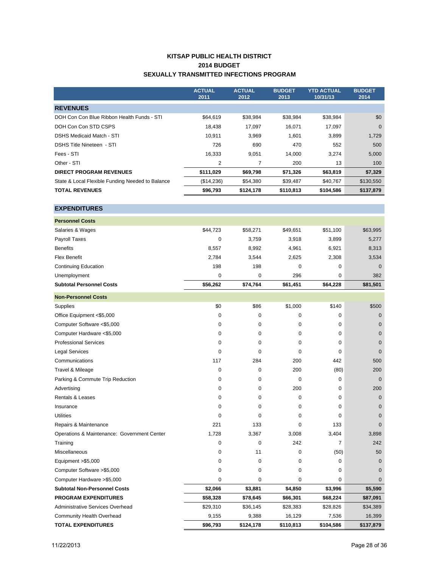## **KITSAP PUBLIC HEALTH DISTRICT 2014 BUDGET SEXUALLY TRANSMITTED INFECTIONS PROGRAM**

|                                                  | <b>ACTUAL</b><br>2011 | <b>ACTUAL</b><br>2012 | <b>BUDGET</b><br>2013 | <b>YTD ACTUAL</b><br>10/31/13 | <b>BUDGET</b><br>2014 |
|--------------------------------------------------|-----------------------|-----------------------|-----------------------|-------------------------------|-----------------------|
| <b>REVENUES</b>                                  |                       |                       |                       |                               |                       |
| DOH Con Con Blue Ribbon Health Funds - STI       | \$64.619              | \$38,984              | \$38,984              | \$38,984                      | \$0                   |
| DOH Con Con STD CSPS                             | 18,438                | 17,097                | 16,071                | 17,097                        | $\mathbf 0$           |
| <b>DSHS Medicaid Match - STI</b>                 | 10.911                | 3,969                 | 1,601                 | 3,899                         | 1,729                 |
| <b>DSHS Title Nineteen - STI</b>                 | 726                   | 690                   | 470                   | 552                           | 500                   |
| Fees - STI                                       | 16,333                | 9,051                 | 14,000                | 3,274                         | 5,000                 |
| Other - STI                                      | 2                     | 7                     | 200                   | 13                            | 100                   |
| <b>DIRECT PROGRAM REVENUES</b>                   | \$111,029             | \$69,798              | \$71,326              | \$63,819                      | \$7,329               |
| State & Local Flexible Funding Needed to Balance | (\$14,236)            | \$54,380              | \$39,487              | \$40,767                      | \$130,550             |
| <b>TOTAL REVENUES</b>                            | \$96,793              | \$124,178             | \$110,813             | \$104,586                     | \$137,879             |

## **EXPENDITURES**

| <b>Personnel Costs</b>                      |             |           |           |           |              |
|---------------------------------------------|-------------|-----------|-----------|-----------|--------------|
| Salaries & Wages                            | \$44,723    | \$58,271  | \$49,651  | \$51,100  | \$63,995     |
| Payroll Taxes                               | 0           | 3,759     | 3,918     | 3,899     | 5,277        |
| <b>Benefits</b>                             | 8,557       | 8,992     | 4,961     | 6,921     | 8,313        |
| <b>Flex Benefit</b>                         | 2,784       | 3,544     | 2,625     | 2,308     | 3,534        |
| <b>Continuing Education</b>                 | 198         | 198       | 0         | 0         | $\mathbf 0$  |
| Unemployment                                | 0           | 0         | 296       | 0         | 382          |
| <b>Subtotal Personnel Costs</b>             | \$56,262    | \$74,764  | \$61,451  | \$64,228  | \$81,501     |
| <b>Non-Personnel Costs</b>                  |             |           |           |           |              |
| Supplies                                    | \$0         | \$86      | \$1,000   | \$140     | \$500        |
| Office Equipment <\$5,000                   | 0           | 0         | 0         | 0         | $\mathbf 0$  |
| Computer Software <\$5,000                  | $\mathbf 0$ | 0         | 0         | 0         | 0            |
| Computer Hardware <\$5,000                  | 0           | 0         | 0         | 0         | $\mathbf 0$  |
| <b>Professional Services</b>                | 0           | 0         | 0         | 0         | $\mathbf 0$  |
| <b>Legal Services</b>                       | 0           | 0         | 0         | 0         | $\mathbf{0}$ |
| Communications                              | 117         | 284       | 200       | 442       | 500          |
| Travel & Mileage                            | $\Omega$    | 0         | 200       | (80)      | 200          |
| Parking & Commute Trip Reduction            | 0           | 0         | 0         | 0         | $\mathbf{0}$ |
| Advertising                                 | 0           | 0         | 200       | 0         | 200          |
| <b>Rentals &amp; Leases</b>                 | 0           | 0         | 0         | 0         | $\mathbf 0$  |
| Insurance                                   | 0           | 0         | 0         | 0         | $\mathbf 0$  |
| <b>Utilities</b>                            | $\mathbf 0$ | 0         | 0         | 0         | 0            |
| Repairs & Maintenance                       | 221         | 133       | 0         | 133       | $\mathbf{0}$ |
| Operations & Maintenance: Government Center | 1,728       | 3,367     | 3,008     | 3,404     | 3,898        |
| Training                                    | 0           | 0         | 242       | 7         | 242          |
| <b>Miscellaneous</b>                        | 0           | 11        | 0         | (50)      | 50           |
| Equipment >\$5,000                          | 0           | 0         | 0         | 0         | $\mathbf 0$  |
| Computer Software > \$5,000                 | $\Omega$    | 0         | 0         | 0         | 0            |
| Computer Hardware > \$5,000                 | $\mathbf 0$ | 0         | 0         | 0         | $\mathbf{0}$ |
| <b>Subtotal Non-Personnel Costs</b>         | \$2,066     | \$3,881   | \$4,850   | \$3,996   | \$5,590      |
| <b>PROGRAM EXPENDITURES</b>                 | \$58,328    | \$78,645  | \$66,301  | \$68,224  | \$87,091     |
| Administrative Services Overhead            | \$29,310    | \$36,145  | \$28,383  | \$28,826  | \$34,389     |
| <b>Community Health Overhead</b>            | 9,155       | 9,388     | 16,129    | 7,536     | 16,399       |
| <b>TOTAL EXPENDITURES</b>                   | \$96,793    | \$124,178 | \$110,813 | \$104,586 | \$137,879    |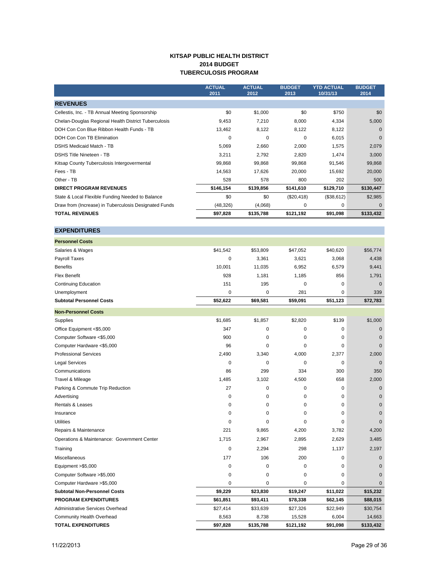## **KITSAP PUBLIC HEALTH DISTRICT 2014 BUDGET TUBERCULOSIS PROGRAM**

|                                                       | <b>ACTUAL</b><br>2011 | <b>ACTUAL</b><br>2012 | <b>BUDGET</b><br>2013 | <b>YTD ACTUAL</b><br>10/31/13 | <b>BUDGET</b><br>2014 |
|-------------------------------------------------------|-----------------------|-----------------------|-----------------------|-------------------------------|-----------------------|
| <b>REVENUES</b>                                       |                       |                       |                       |                               |                       |
| Cellestis, Inc. - TB Annual Meeting Sponsorship       | \$0                   | \$1,000               | \$0                   | \$750                         | \$0                   |
| Chelan-Douglas Regional Health District Tuberculosis  | 9,453                 | 7,210                 | 8,000                 | 4,334                         | 5,000                 |
| DOH Con Con Blue Ribbon Health Funds - TB             | 13,462                | 8,122                 | 8,122                 | 8,122                         | $\Omega$              |
| DOH Con Con TB Elimination                            | $\Omega$              | 0                     | $\Omega$              | 6,015                         | $\mathbf 0$           |
| <b>DSHS Medicaid Match - TB</b>                       | 5,069                 | 2,660                 | 2,000                 | 1,575                         | 2,079                 |
| <b>DSHS Title Nineteen - TB</b>                       | 3,211                 | 2,792                 | 2,820                 | 1,474                         | 3,000                 |
| Kitsap County Tuberculosis Intergovermental           | 99,868                | 99,868                | 99,868                | 91,546                        | 99,868                |
| Fees - TB                                             | 14,563                | 17,626                | 20,000                | 15,692                        | 20,000                |
| Other - TB                                            | 528                   | 578                   | 800                   | 202                           | 500                   |
| <b>DIRECT PROGRAM REVENUES</b>                        | \$146,154             | \$139,856             | \$141,610             | \$129,710                     | \$130,447             |
| State & Local Flexible Funding Needed to Balance      | \$0                   | \$0                   | (\$20,418)            | (\$38,612)                    | \$2,985               |
| Draw from (Increase) in Tuberculosis Designated Funds | (48, 326)             | (4,068)               | 0                     | 0                             | $\Omega$              |
| <b>TOTAL REVENUES</b>                                 | \$97,828              | \$135,788             | \$121,192             | \$91,098                      | \$133,432             |

#### **EXPENDITURES**

| <b>Personnel Costs</b>                      |             |           |             |             |              |
|---------------------------------------------|-------------|-----------|-------------|-------------|--------------|
| Salaries & Wages                            | \$41,542    | \$53,809  | \$47,052    | \$40,620    | \$56,774     |
| Payroll Taxes                               | $\mathbf 0$ | 3,361     | 3,621       | 3,068       | 4,438        |
| <b>Benefits</b>                             | 10,001      | 11,035    | 6,952       | 6,579       | 9,441        |
| <b>Flex Benefit</b>                         | 928         | 1,181     | 1,185       | 856         | 1,791        |
| <b>Continuing Education</b>                 | 151         | 195       | 0           | $\mathbf 0$ | $\mathbf{0}$ |
| Unemployment                                | 0           | 0         | 281         | $\mathbf 0$ | 339          |
| <b>Subtotal Personnel Costs</b>             | \$52,622    | \$69,581  | \$59,091    | \$51,123    | \$72,783     |
| <b>Non-Personnel Costs</b>                  |             |           |             |             |              |
| Supplies                                    | \$1,685     | \$1,857   | \$2,820     | \$139       | \$1,000      |
| Office Equipment <\$5,000                   | 347         | 0         | 0           | 0           | $\mathbf 0$  |
| Computer Software <\$5,000                  | 900         | 0         | $\mathbf 0$ | $\mathbf 0$ | $\mathbf 0$  |
| Computer Hardware <\$5,000                  | 96          | 0         | 0           | $\Omega$    | $\Omega$     |
| <b>Professional Services</b>                | 2,490       | 3,340     | 4,000       | 2,377       | 2,000        |
| <b>Legal Services</b>                       | 0           | 0         | $\mathbf 0$ | $\mathbf 0$ | $\mathbf{0}$ |
| Communications                              | 86          | 299       | 334         | 300         | 350          |
| Travel & Mileage                            | 1,485       | 3,102     | 4,500       | 658         | 2,000        |
| Parking & Commute Trip Reduction            | 27          | 0         | 0           | 0           | $\mathbf 0$  |
| Advertising                                 | $\mathbf 0$ | 0         | $\mathbf 0$ | 0           | $\mathbf{0}$ |
| <b>Rentals &amp; Leases</b>                 | 0           | 0         | 0           | 0           | $\mathbf 0$  |
| Insurance                                   | $\Omega$    | 0         | $\Omega$    | $\Omega$    | $\Omega$     |
| <b>Utilities</b>                            | $\mathbf 0$ | $\Omega$  | 0           | 0           | $\Omega$     |
| Repairs & Maintenance                       | 221         | 9,865     | 4,200       | 3,782       | 4,200        |
| Operations & Maintenance: Government Center | 1,715       | 2,967     | 2,895       | 2,629       | 3,485        |
| Training                                    | $\mathbf 0$ | 2,294     | 298         | 1,137       | 2,197        |
| Miscellaneous                               | 177         | 106       | 200         | 0           | $\mathbf{0}$ |
| Equipment > \$5,000                         | 0           | 0         | 0           | 0           | $\mathbf 0$  |
| Computer Software >\$5,000                  | 0           | 0         | 0           | 0           | $\mathbf{0}$ |
| Computer Hardware >\$5,000                  | $\mathbf 0$ | 0         | 0           | 0           | $\mathbf{0}$ |
| <b>Subtotal Non-Personnel Costs</b>         | \$9,229     | \$23,830  | \$19,247    | \$11,022    | \$15,232     |
| <b>PROGRAM EXPENDITURES</b>                 | \$61,851    | \$93,411  | \$78,338    | \$62,145    | \$88,015     |
| Administrative Services Overhead            | \$27,414    | \$33,639  | \$27,326    | \$22,949    | \$30,754     |
| <b>Community Health Overhead</b>            | 8,563       | 8,738     | 15,528      | 6,004       | 14,663       |
| <b>TOTAL EXPENDITURES</b>                   | \$97,828    | \$135,788 | \$121,192   | \$91,098    | \$133,432    |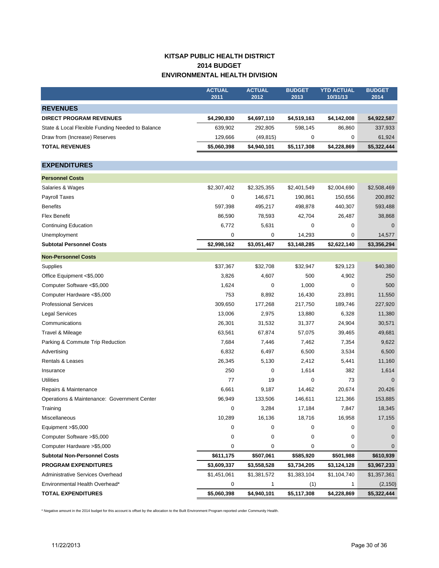# **KITSAP PUBLIC HEALTH DISTRICT 2014 BUDGET ENVIRONMENTAL HEALTH DIVISION**

|                                                  | <b>ACTUAL</b><br>2011 | <b>ACTUAL</b><br>2012 | <b>BUDGET</b><br>2013 | <b>YTD ACTUAL</b><br>10/31/13 | <b>BUDGET</b><br>2014 |
|--------------------------------------------------|-----------------------|-----------------------|-----------------------|-------------------------------|-----------------------|
| <b>REVENUES</b>                                  |                       |                       |                       |                               |                       |
| <b>DIRECT PROGRAM REVENUES</b>                   | \$4,290,830           | \$4,697,110           | \$4,519,163           | \$4,142,008                   | \$4,922,587           |
| State & Local Flexible Funding Needed to Balance | 639,902               | 292,805               | 598,145               | 86,860                        | 337,933               |
| Draw from (Increase) Reserves                    | 129,666               | (49, 815)             | 0                     | 0                             | 61,924                |
| <b>TOTAL REVENUES</b>                            | \$5,060,398           | \$4,940,101           | \$5,117,308           | \$4,228,869                   | \$5,322,444           |
|                                                  |                       |                       |                       |                               |                       |
| <b>EXPENDITURES</b>                              |                       |                       |                       |                               |                       |
| <b>Personnel Costs</b>                           |                       |                       |                       |                               |                       |
| Salaries & Wages                                 | \$2,307,402           | \$2,325,355           | \$2,401,549           | \$2,004,690                   | \$2,508,469           |
| Payroll Taxes                                    | 0                     | 146,671               | 190,861               | 150,656                       | 200,892               |
| <b>Benefits</b>                                  | 597,398               | 495,217               | 498,878               | 440,307                       | 593,488               |
| <b>Flex Benefit</b>                              | 86,590                | 78,593                | 42,704                | 26,487                        | 38,868                |
| <b>Continuing Education</b>                      | 6,772                 | 5,631                 | 0                     | 0                             | $\mathbf 0$           |
| Unemployment                                     | 0                     | 0                     | 14,293                | 0                             | 14,577                |
| <b>Subtotal Personnel Costs</b>                  | \$2,998,162           | \$3,051,467           | \$3,148,285           | \$2,622,140                   | \$3,356,294           |
| <b>Non-Personnel Costs</b>                       |                       |                       |                       |                               |                       |
| Supplies                                         | \$37,367              | \$32,708              | \$32,947              | \$29,123                      | \$40,380              |
| Office Equipment <\$5,000                        | 3,826                 | 4,607                 | 500                   | 4,902                         | 250                   |
| Computer Software <\$5,000                       | 1,624                 | 0                     | 1,000                 | 0                             | 500                   |
| Computer Hardware <\$5,000                       | 753                   | 8,892                 | 16,430                | 23,891                        | 11,550                |
| <b>Professional Services</b>                     | 309,650               | 177,268               | 217,750               | 189,746                       | 227,920               |
| Legal Services                                   | 13,006                | 2,975                 | 13,880                | 6,328                         | 11,380                |
| Communications                                   | 26,301                | 31,532                | 31,377                | 24,904                        | 30,571                |
| Travel & Mileage                                 | 63,561                | 67,874                | 57,075                | 39,465                        | 49,681                |
| Parking & Commute Trip Reduction                 | 7,684                 | 7,446                 | 7,462                 | 7,354                         | 9,622                 |
| Advertising                                      | 6,832                 | 6,497                 | 6,500                 | 3,534                         | 6,500                 |
| Rentals & Leases                                 | 26,345                | 5,130                 | 2,412                 | 5,441                         | 11,160                |
| Insurance                                        | 250                   | 0                     | 1,614                 | 382                           | 1,614                 |
| Utilities                                        | 77                    | 19                    | 0                     | 73                            | $\mathbf 0$           |
| Repairs & Maintenance                            | 6,661                 | 9,187                 | 14,462                | 20,674                        | 20,426                |
| Operations & Maintenance: Government Center      | 96,949                | 133,506               | 146,611               | 121,366                       | 153,885               |
| Training                                         | 0                     | 3,284                 | 17,184                | 7,847                         | 18,345                |
| Miscellaneous                                    | 10,289                | 16,136                | 18,716                | 16,958                        | 17,155                |
| Equipment >\$5,000                               | 0                     | 0                     | 0                     | 0                             | $\mathbf 0$           |
| Computer Software > \$5,000                      | 0                     | 0                     | 0                     | 0                             | $\overline{0}$        |
| Computer Hardware > \$5,000                      | 0                     | 0                     | 0                     | 0                             | $\overline{0}$        |
| <b>Subtotal Non-Personnel Costs</b>              | \$611,175             | \$507,061             | \$585,920             | \$501,988                     | \$610,939             |
| <b>PROGRAM EXPENDITURES</b>                      | \$3,609,337           | \$3,558,528           | \$3,734,205           | \$3,124,128                   | \$3,967,233           |
| Administrative Services Overhead                 | \$1,451,061           | \$1,381,572           | \$1,383,104           | \$1,104,740                   | \$1,357,361           |
| Environmental Health Overhead*                   | 0                     | 1                     | (1)                   | 1                             | (2, 150)              |
| <b>TOTAL EXPENDITURES</b>                        | \$5,060,398           | \$4,940,101           | \$5,117,308           | \$4,228,869                   | \$5,322,444           |

\* Negative amount in the 2014 budget for this account is offset by the allocation to the Built Environment Program reported under Community Health.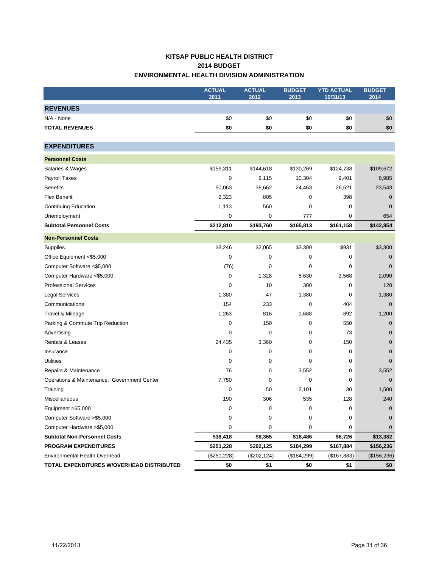# **KITSAP PUBLIC HEALTH DISTRICT 2014 BUDGET ENVIRONMENTAL HEALTH DIVISION ADMINISTRATION**

|                                             | <b>ACTUAL</b> | <b>ACTUAL</b> | <b>BUDGET</b> | <b>YTD ACTUAL</b> | <b>BUDGET</b> |
|---------------------------------------------|---------------|---------------|---------------|-------------------|---------------|
|                                             | 2011          | 2012          | 2013          | 10/31/13          | 2014          |
| <b>REVENUES</b>                             |               |               |               |                   |               |
| N/A - None                                  | \$0           | \$0           | \$0           | \$0               | \$0           |
| <b>TOTAL REVENUES</b>                       | \$0           | \$0           | \$0           | \$0               | \$0           |
|                                             |               |               |               |                   |               |
| <b>EXPENDITURES</b>                         |               |               |               |                   |               |
| <b>Personnel Costs</b>                      |               |               |               |                   |               |
| Salaries & Wages                            | \$159,311     | \$144,618     | \$130,269     | \$124,738         | \$109,672     |
| Payroll Taxes                               | 0             | 9,115         | 10,304        | 9,401             | 8,985         |
| <b>Benefits</b>                             | 50,063        | 38,662        | 24,463        | 26,621            | 23,543        |
| <b>Flex Benefit</b>                         | 2,323         | 805           | 0             | 398               | 0             |
| <b>Continuing Education</b>                 | 1,113         | 560           | 0             | 0                 | 0             |
| Unemployment                                | 0             | 0             | 777           | 0                 | 654           |
| <b>Subtotal Personnel Costs</b>             | \$212,810     | \$193,760     | \$165,813     | \$161,158         | \$142,854     |
| <b>Non-Personnel Costs</b>                  |               |               |               |                   |               |
| Supplies                                    | \$3,246       | \$2,065       | \$3,300       | \$931             | \$3,300       |
| Office Equipment <\$5,000                   | 0             | 0             | 0             | 0                 | 0             |
| Computer Software <\$5,000                  | (76)          | 0             | 0             | 0                 | $\mathbf 0$   |
| Computer Hardware <\$5,000                  | 0             | 1,328         | 5,630         | 3,568             | 2,090         |
| <b>Professional Services</b>                | $\mathbf 0$   | 10            | 300           | 0                 | 120           |
| <b>Legal Services</b>                       | 1,380         | 47            | 1,380         | 0                 | 1,380         |
| Communications                              | 154           | 233           | 0             | 404               | $\mathbf 0$   |
| Travel & Mileage                            | 1,263         | 816           | 1,688         | 892               | 1,200         |
| Parking & Commute Trip Reduction            | 0             | 150           | 0             | 550               | $\mathbf 0$   |
| Advertising                                 | $\mathbf 0$   | 0             | 0             | 73                | $\mathbf 0$   |
| <b>Rentals &amp; Leases</b>                 | 24,435        | 3,360         | 0             | 150               | $\mathbf 0$   |
| Insurance                                   | 0             | 0             | 0             | 0                 | $\mathbf 0$   |
| <b>Utilities</b>                            | 0             | 0             | 0             | 0                 | $\mathbf 0$   |
| Repairs & Maintenance                       | 76            | 0             | 3,552         | 0                 | 3,552         |
| Operations & Maintenance: Government Center | 7,750         | 0             | 0             | 0                 | $\mathbf 0$   |
| Training                                    | 0             | 50            | 2,101         | 30                | 1,500         |
| Miscellaneous                               | 190           | 306           | 535           | 128               | 240           |
| Equipment > \$5,000                         | 0             | 0             | 0             | 0                 | $\pmb{0}$     |
| Computer Software > \$5,000                 | 0             | 0             | 0             | 0                 | 0             |
| Computer Hardware > \$5,000                 | 0             | 0             | 0             | 0                 | $\mathbf 0$   |
| <b>Subtotal Non-Personnel Costs</b>         | \$38,418      | \$8,365       | \$18,486      | \$6,726           | \$13,382      |
| <b>PROGRAM EXPENDITURES</b>                 | \$251,228     | \$202,125     | \$184,299     | \$167,884         | \$156,236     |
| Environmental Health Overhead               | (\$251,228)   | (\$202, 124)  | (\$184,299)   | (\$167,883)       | (\$156,236)   |
| TOTAL EXPENDITURES W/OVERHEAD DISTRIBUTED   | \$0           | \$1           | \$0           | \$1               | \$0           |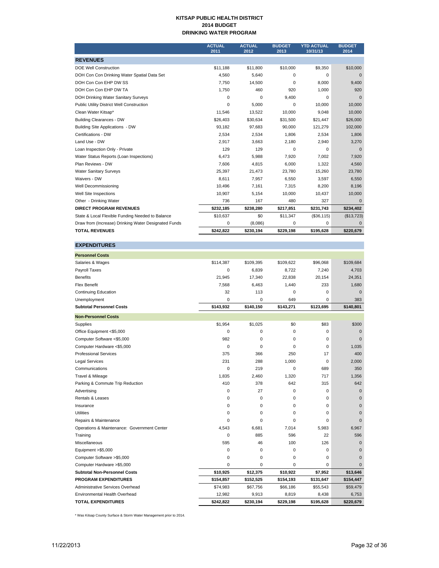#### **KITSAP PUBLIC HEALTH DISTRICT 2014 BUDGET DRINKING WATER PROGRAM**

|                                                      | <b>ACTUAL</b><br>2011 | <b>ACTUAL</b><br>2012 | <b>BUDGET</b><br>2013 | <b>YTD ACTUAL</b><br>10/31/13 | <b>BUDGET</b><br>2014 |
|------------------------------------------------------|-----------------------|-----------------------|-----------------------|-------------------------------|-----------------------|
| <b>REVENUES</b>                                      |                       |                       |                       |                               |                       |
| <b>DOE Well Construction</b>                         | \$11,188              | \$11,800              | \$10,000              | \$9,350                       | \$10,000              |
| DOH Con Con Drinking Water Spatial Data Set          | 4.560                 | 5,640                 | 0                     | 0                             | $\mathbf 0$           |
| DOH Con Con EHP DW SS                                | 7.750                 | 14.500                | $\Omega$              | 8.000                         | 9.400                 |
| DOH Con Con EHP DW TA                                | 1,750                 | 460                   | 920                   | 1,000                         | 920                   |
| DOH Drinking Water Sanitary Surveys                  | 0                     | 0                     | 9,400                 | $\Omega$                      | $\Omega$              |
| Public Utility District Well Construction            | $\Omega$              | 5,000                 | 0                     | 10,000                        | 10,000                |
| Clean Water Kitsap*                                  | 11,546                | 13,522                | 10,000                | 9,048                         | 10,000                |
| <b>Building Clearances - DW</b>                      | \$26,403              | \$30,634              | \$31,500              | \$21,447                      | \$26,000              |
| Building Site Applications - DW                      | 93,182                | 97,683                | 90,000                | 121,279                       | 102,000               |
| Certifications - DW                                  | 2,534                 | 2,534                 | 1,806                 | 2,534                         | 1,806                 |
| Land Use - DW                                        | 2,917                 | 3,663                 | 2,180                 | 2,940                         | 3,270                 |
| Loan Inspection Only - Private                       | 129                   | 129                   | $\Omega$              | 0                             | $\mathbf 0$           |
| Water Status Reports (Loan Inspections)              | 6,473                 | 5,988                 | 7,920                 | 7,002                         | 7,920                 |
| Plan Reviews - DW                                    | 7.606                 | 4.815                 | 6,000                 | 1.322                         | 4,560                 |
| <b>Water Sanitary Surveys</b>                        | 25,397                | 21,473                | 23,780                | 15,260                        | 23,780                |
| Waivers - DW                                         | 8,611                 | 7,957                 | 6,550                 | 3,597                         | 6,550                 |
| Well Decommissioning                                 | 10,496                | 7,161                 | 7,315                 | 8,200                         | 8,196                 |
| Well Site Inspections                                | 10,907                | 5,154                 | 10.000                | 10,437                        | 10,000                |
| Other - Drinking Water                               | 736                   | 167                   | 480                   | 327                           | $\mathbf 0$           |
| <b>DIRECT PROGRAM REVENUES</b>                       | \$232,185             | \$238,280             | \$217,851             | \$231,743                     | \$234,402             |
| State & Local Flexible Funding Needed to Balance     | \$10,637              | \$0                   | \$11,347              | (\$36,115)                    | (\$13,723)            |
| Draw from (Increase) Drinking Water Designated Funds | 0                     | (8,086)               | 0                     | 0                             | $\Omega$              |
| <b>TOTAL REVENUES</b>                                | \$242,822             | \$230,194             | \$229,198             | \$195,628                     | \$220,679             |

| <b>EXPENDITURES</b>                         |             |           |             |             |              |
|---------------------------------------------|-------------|-----------|-------------|-------------|--------------|
| <b>Personnel Costs</b>                      |             |           |             |             |              |
| Salaries & Wages                            | \$114,387   | \$109,395 | \$109,622   | \$96,068    | \$109,684    |
| Payroll Taxes                               | $\mathbf 0$ | 6,839     | 8,722       | 7,240       | 4,703        |
| <b>Benefits</b>                             | 21,945      | 17,340    | 22,838      | 20,154      | 24,351       |
| <b>Flex Benefit</b>                         | 7,568       | 6,463     | 1,440       | 233         | 1,680        |
| <b>Continuing Education</b>                 | 32          | 113       | 0           | 0           | $\mathbf 0$  |
| Unemployment                                | $\mathbf 0$ | 0         | 649         | 0           | 383          |
| <b>Subtotal Personnel Costs</b>             | \$143,932   | \$140,150 | \$143,271   | \$123,695   | \$140,801    |
| <b>Non-Personnel Costs</b>                  |             |           |             |             |              |
| Supplies                                    | \$1,954     | \$1,025   | \$0         | \$83        | \$300        |
| Office Equipment <\$5,000                   | 0           | 0         | $\mathbf 0$ | 0           | $\mathbf{0}$ |
| Computer Software <\$5,000                  | 982         | 0         | 0           | 0           | $\Omega$     |
| Computer Hardware <\$5,000                  | $\mathbf 0$ | 0         | $\mathbf 0$ | 0           | 1,035        |
| <b>Professional Services</b>                | 375         | 366       | 250         | 17          | 400          |
| <b>Legal Services</b>                       | 231         | 288       | 1,000       | $\mathbf 0$ | 2,000        |
| Communications                              | $\Omega$    | 219       | $\mathbf 0$ | 689         | 350          |
| Travel & Mileage                            | 1,835       | 2,460     | 1,320       | 717         | 1,356        |
| Parking & Commute Trip Reduction            | 410         | 378       | 642         | 315         | 642          |
| Advertising                                 | $\mathbf 0$ | 27        | $\mathbf 0$ | 0           | $\mathbf{0}$ |
| Rentals & Leases                            | 0           | 0         | $\mathbf 0$ | 0           | $\mathbf{0}$ |
| Insurance                                   | $\Omega$    | 0         | 0           | 0           | $\mathbf 0$  |
| <b>Utilities</b>                            | 0           | 0         | 0           | 0           | $\mathbf{0}$ |
| Repairs & Maintenance                       | $\Omega$    | $\Omega$  | $\Omega$    | $\Omega$    | $\Omega$     |
| Operations & Maintenance: Government Center | 4,543       | 6,681     | 7,014       | 5,983       | 6,967        |
| Training                                    | $\mathbf 0$ | 885       | 596         | 22          | 596          |
| Miscellaneous                               | 595         | 46        | 100         | 126         | $\mathbf{0}$ |
| Equipment >\$5,000                          | 0           | 0         | 0           | 0           | $\mathbf{0}$ |
| Computer Software >\$5,000                  | $\mathbf 0$ | 0         | $\mathbf 0$ | 0           | $\mathbf{0}$ |
| Computer Hardware >\$5,000                  | 0           | 0         | 0           | 0           | $\mathbf{0}$ |
| <b>Subtotal Non-Personnel Costs</b>         | \$10,925    | \$12,375  | \$10,922    | \$7,952     | \$13,646     |
| <b>PROGRAM EXPENDITURES</b>                 | \$154,857   | \$152,525 | \$154,193   | \$131,647   | \$154,447    |
| Administrative Services Overhead            | \$74,983    | \$67,756  | \$66,186    | \$55,543    | \$59,479     |
| Environmental Health Overhead               | 12,982      | 9,913     | 8,819       | 8,438       | 6,753        |
| <b>TOTAL EXPENDITURES</b>                   | \$242,822   | \$230,194 | \$229,198   | \$195,628   | \$220,679    |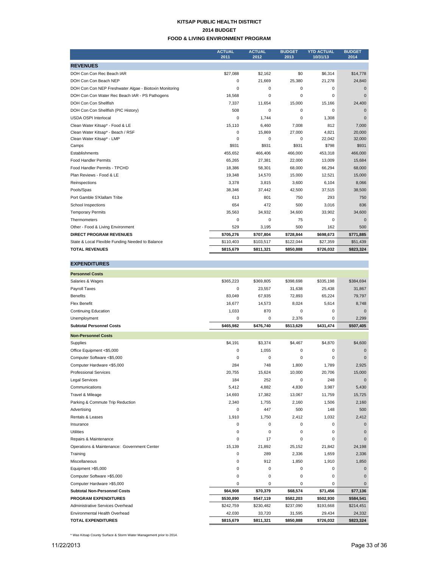#### **KITSAP PUBLIC HEALTH DISTRICT 2014 BUDGET FOOD & LIVING ENVIRONMENT PROGRAM**

|                                                        | <b>ACTUAL</b><br>2011 | <b>ACTUAL</b><br>2012 | <b>BUDGET</b><br>2013 | <b>YTD ACTUAL</b><br>10/31/13 | <b>BUDGET</b><br>2014 |
|--------------------------------------------------------|-----------------------|-----------------------|-----------------------|-------------------------------|-----------------------|
| <b>REVENUES</b>                                        |                       |                       |                       |                               |                       |
| DOH Con Con Rec Beach IAR                              | \$27,088              | \$2,162               | \$0                   | \$6.314                       | \$14,778              |
| DOH Con Con Beach NEP                                  | 0                     | 21,669                | 25,380                | 21,278                        | 24,840                |
| DOH Con Con NEP Freshwater Algae - Biotoxin Monitoring | 0                     | 0                     | 0                     | 0                             | 0                     |
| DOH Con Con Water Rec Beach IAR - PS Pathogens         | 16,568                | 0                     | $\Omega$              | $\Omega$                      | $\Omega$              |
| DOH Con Con Shellfish                                  | 7,337                 | 11,654                | 15,000                | 15,166                        | 24,400                |
| DOH Con Con Shellfish (PIC History)                    | 508                   | 0                     | 0                     | $\Omega$                      | $\Omega$              |
| <b>USDA OSPI Interlocal</b>                            | 0                     | 1.744                 | $\Omega$              | 1,308                         | $\Omega$              |
| Clean Water Kitsap* - Food & LE                        | 15,110                | 6,460                 | 7,008                 | 812                           | 7,000                 |
| Clean Water Kitsap* - Beach / RSF                      | 0                     | 15,869                | 27,000                | 4.821                         | 20,000                |
| Clean Water Kitsap* - LMP                              | 0                     | $\mathbf 0$           | 0                     | 22,042                        | 32,000                |
| Camps                                                  | \$931                 | \$931                 | \$931                 | \$798                         | \$931                 |
| Establishments                                         | 455.652               | 466,406               | 466.000               | 453,318                       | 466,000               |
| <b>Food Handler Permits</b>                            | 65,265                | 27,381                | 22,000                | 13,009                        | 15,684                |
| Food Handler Permits - TPCHD                           | 18,386                | 58,301                | 68,000                | 66,294                        | 68,000                |
| Plan Reviews - Food & LE                               | 19,348                | 14,570                | 15,000                | 12,521                        | 15,000                |
| Reinspections                                          | 3,378                 | 3,815                 | 3.600                 | 6.104                         | 8,066                 |
| Pools/Spas                                             | 38,346                | 37,442                | 42,500                | 37,515                        | 38,500                |
| Port Gamble S'Klallam Tribe                            | 613                   | 801                   | 750                   | 293                           | 750                   |
| School Inspections                                     | 654                   | 472                   | 500                   | 3.016                         | 836                   |
| <b>Temporary Permits</b>                               | 35,563                | 34,932                | 34,600                | 33,902                        | 34,600                |
| Thermometers                                           | 0                     | 0                     | 75                    | $\mathbf 0$                   | $\mathbf 0$           |
| Other - Food & Living Environment                      | 529                   | 3,195                 | 500                   | 162                           | 500                   |
| <b>DIRECT PROGRAM REVENUES</b>                         | \$705,276             | \$707,804             | \$728,844             | \$698,673                     | \$771,885             |
| State & Local Flexible Funding Needed to Balance       | \$110,403             | \$103,517             | \$122,044             | \$27,359                      | \$51,439              |
| <b>TOTAL REVENUES</b>                                  | \$815,679             | \$811,321             | \$850,888             | \$726,032                     | \$823,324             |

| <b>EXPENDITURES</b>                         |             |             |             |           |              |
|---------------------------------------------|-------------|-------------|-------------|-----------|--------------|
| <b>Personnel Costs</b>                      |             |             |             |           |              |
| Salaries & Wages                            | \$365,223   | \$369,805   | \$398,698   | \$335,198 | \$384,694    |
| Payroll Taxes                               | 0           | 23,557      | 31,638      | 25,438    | 31,867       |
| <b>Benefits</b>                             | 83,049      | 67,935      | 72,893      | 65,224    | 79,797       |
| <b>Flex Benefit</b>                         | 16,677      | 14,573      | 8,024       | 5,614     | 8,748        |
| <b>Continuing Education</b>                 | 1,033       | 870         | 0           | 0         | $\Omega$     |
| Unemployment                                | 0           | 0           | 2,376       | 0         | 2,299        |
| <b>Subtotal Personnel Costs</b>             | \$465,982   | \$476,740   | \$513,629   | \$431,474 | \$507,405    |
| <b>Non-Personnel Costs</b>                  |             |             |             |           |              |
| Supplies                                    | \$4,191     | \$3,374     | \$4,467     | \$4,870   | \$4,600      |
| Office Equipment <\$5,000                   | 0           | 1,055       | $\mathbf 0$ | 0         | $\mathbf{0}$ |
| Computer Software <\$5,000                  | 0           | 0           | 0           | $\Omega$  | $\Omega$     |
| Computer Hardware <\$5,000                  | 284         | 748         | 1,800       | 1,789     | 2,925        |
| <b>Professional Services</b>                | 20,755      | 15,624      | 10,000      | 20,706    | 15,000       |
| <b>Legal Services</b>                       | 184         | 252         | $\mathbf 0$ | 248       | $\mathbf{0}$ |
| Communications                              | 5,412       | 4.882       | 4,830       | 3,987     | 5,430        |
| Travel & Mileage                            | 14,693      | 17,382      | 13,067      | 11,759    | 15,725       |
| Parking & Commute Trip Reduction            | 2,340       | 1,755       | 2,160       | 1,506     | 2,160        |
| Advertising                                 | $\mathbf 0$ | 447         | 500         | 148       | 500          |
| Rentals & Leases                            | 1,910       | 1,750       | 2,412       | 1,032     | 2,412        |
| Insurance                                   | $\mathbf 0$ | $\mathbf 0$ | $\mathbf 0$ | 0         | $\mathbf{0}$ |
| <b>Utilities</b>                            | 0           | $\mathbf 0$ | $\mathbf 0$ | 0         | $\mathbf 0$  |
| Repairs & Maintenance                       | 0           | 17          | $\mathbf 0$ | $\Omega$  | $\Omega$     |
| Operations & Maintenance: Government Center | 15,139      | 21,892      | 25,152      | 21,842    | 24,198       |
| Training                                    | 0           | 289         | 2,336       | 1,659     | 2,336        |
| Miscellaneous                               | 0           | 912         | 1,850       | 1,910     | 1,850        |
| Equipment >\$5,000                          | 0           | 0           | $\mathbf 0$ | 0         | $\mathbf{0}$ |
| Computer Software >\$5,000                  | 0           | 0           | 0           | 0         | $\mathbf{0}$ |
| Computer Hardware >\$5,000                  | 0           | 0           | $\mathbf 0$ | 0         | $\mathbf{0}$ |
| <b>Subtotal Non-Personnel Costs</b>         | \$64,908    | \$70,379    | \$68,574    | \$71,456  | \$77,136     |
| <b>PROGRAM EXPENDITURES</b>                 | \$530,890   | \$547,119   | \$582,203   | \$502,930 | \$584,541    |
| Administrative Services Overhead            | \$242,759   | \$230,482   | \$237,090   | \$193,668 | \$214,451    |
| Environmental Health Overhead               | 42,030      | 33,720      | 31,595      | 29,434    | 24,332       |
| <b>TOTAL EXPENDITURES</b>                   | \$815,679   | \$811,321   | \$850,888   | \$726,032 | \$823,324    |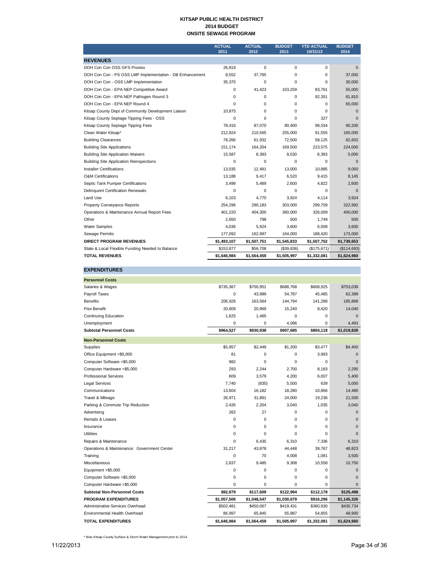#### **KITSAP PUBLIC HEALTH DISTRICT 2014 BUDGET ONSITE SEWAGE PROGRAM**

|                                                          | <b>ACTUAL</b><br>2011 | <b>ACTUAL</b><br>2012 | <b>BUDGET</b><br>2013 | <b>YTD ACTUAL</b><br>10/31/13 | <b>BUDGET</b><br>2014 |
|----------------------------------------------------------|-----------------------|-----------------------|-----------------------|-------------------------------|-----------------------|
| <b>REVENUES</b>                                          |                       |                       |                       |                               |                       |
| DOH Con Con OSS GFS Proviso                              | 26,819                | 0                     | 0                     | $\Omega$                      | $\Omega$              |
| DOH Con Con - PS OSS LMP Implementation - DB Enhancement | 8,552                 | 37,795                | $\Omega$              | $\Omega$                      | 37,000                |
| DOH Con Con - OSS LMP Implementation                     | 35,375                | 0                     | 0                     | $\Omega$                      | 30,000                |
| DOH Con Con - EPA NEP Competitive Award                  | 0                     | 41.423                | 103.259               | 83.761                        | 55,000                |
| DOH Con Con - EPA NEP Pathogen Round 3                   | 0                     | 0                     | 0                     | 92.351                        | 81,810                |
| DOH Con Con - EPA NEP Round 4                            | $\Omega$              | $\Omega$              | $\Omega$              | $\Omega$                      | 65,000                |
| Kitsap County Dept of Community Development Liaison      | 10,875                | $\Omega$              | $\Omega$              | $\Omega$                      | $\Omega$              |
| Kitsap County Septage Tipping Fees - OSS                 | 0                     | 0                     | 0                     | 327                           | $\Omega$              |
| Kitsap County Septage Tipping Fees                       | 78,416                | 87,070                | 80,400                | 98,534                        | 90,200                |
| Clean Water Kitsap*                                      | 212,924               | 210,565               | 255,000               | 91,555                        | 165,000               |
| <b>Building Clearances</b>                               | 78.266                | 61,932                | 72,500                | 58,125                        | 62,832                |
| <b>Building Site Applications</b>                        | 151,174               | 164,204               | 169,500               | 223,575                       | 224,000               |
| <b>Building Site Application Waivers</b>                 | 15,587                | 8.393                 | 8.030                 | 8,393                         | 5,000                 |
| <b>Building Site Application Reinspections</b>           | $\Omega$              | $\Omega$              | $\Omega$              | $\Omega$                      | $\Omega$              |
| <b>Installer Certifications</b>                          | 13.035                | 12.491                | 13.000                | 10.885                        | 9.050                 |
| <b>O&amp;M Certifications</b>                            | 13,188                | 9,417                 | 6,520                 | 9,415                         | 8,145                 |
| Septic Tank Pumper Certifications                        | 3,499                 | 5,489                 | 2,600                 | 4,822                         | 2,600                 |
| <b>Delinquent Certification Renewals</b>                 | 0                     | $\Omega$              | $\Omega$              | $\Omega$                      | $\Omega$              |
| Land Use                                                 | 6,103                 | 4,770                 | 3,924                 | 4,114                         | 3,924                 |
| Property Conveyance Reports                              | 254,296               | 290,183               | 303,000               | 299,709                       | 322,992               |
| Operations & Maintenance Annual Report Fees              | 401,220               | 404,300               | 360,000               | 326,009                       | 400,000               |
| Other                                                    | 2,650                 | 798                   | 500                   | 1,749                         | 500                   |
| <b>Water Samples</b>                                     | 4,036                 | 5,924                 | 3,600                 | 6,008                         | 3,600                 |
| Sewage Permits                                           | 177,092               | 162,997               | 164,000               | 188,420                       | 173,000               |
| <b>DIRECT PROGRAM REVENUES</b>                           | \$1,493,107           | \$1,507,751           | \$1,545,833           | \$1,507,752                   | \$1,739,653           |
| State & Local Flexible Funding Needed to Balance         | \$153,877             | \$56,708              | (\$39,836)            | (\$175,671)                   | (\$114,693)           |
| <b>TOTAL REVENUES</b>                                    | \$1,646,984           | \$1,564,459           | \$1,505,997           | \$1,332,081                   | \$1,624,960           |

| <b>EXPENDITURES</b>                         |             |             |             |             |              |
|---------------------------------------------|-------------|-------------|-------------|-------------|--------------|
| <b>Personnel Costs</b>                      |             |             |             |             |              |
| Salaries & Wages                            | \$735,367   | \$700,951   | \$688,768   | \$608,925   | \$753,038    |
| Payroll Taxes                               | 0           | 43,989      | 54,787      | 45,485      | 62,389       |
| <b>Benefits</b>                             | 206,926     | 163,564     | 144,794     | 141,288     | 185,868      |
| <b>Flex Benefit</b>                         | 20,609      | 20,969      | 15,240      | 8,420       | 14,040       |
| <b>Continuing Education</b>                 | 1,625       | 1,465       | 0           | 0           | $\mathbf{0}$ |
| Unemployment                                | 0           | 0           | 4,096       | 0           | 4,493        |
| <b>Subtotal Personnel Costs</b>             | \$964,527   | \$930,938   | \$907,685   | \$804,118   | \$1,019,828  |
| <b>Non-Personnel Costs</b>                  |             |             |             |             |              |
| <b>Supplies</b>                             | \$5,957     | \$2,449     | \$1,200     | \$3,477     | \$4,400      |
| Office Equipment <\$5,000                   | 81          | 0           | 0           | 3,993       | $\mathbf 0$  |
| Computer Software <\$5,000                  | 982         | $\mathbf 0$ | 0           | 0           | $\mathbf{0}$ |
| Computer Hardware <\$5,000                  | 293         | 2,244       | 2,700       | 8,183       | 2,295        |
| <b>Professional Services</b>                | 609         | 3,579       | 4,200       | 6,007       | 5,400        |
| <b>Legal Services</b>                       | 7,740       | (835)       | 5,500       | 639         | 5,000        |
| Communications                              | 13,604      | 16,182      | 18,280      | 10,866      | 14,480       |
| Travel & Mileage                            | 26,971      | 31,891      | 24,000      | 19,236      | 21,500       |
| Parking & Commute Trip Reduction            | 2,426       | 2,204       | 3,040       | 1,035       | 3,040        |
| Advertising                                 | 262         | 27          | 0           | $\Omega$    | $\Omega$     |
| Rentals & Leases                            | 0           | $\mathbf 0$ | $\Omega$    | $\Omega$    | $\Omega$     |
| Insurance                                   | 0           | $\mathbf 0$ | 0           | 0           | $\mathbf{0}$ |
| <b>Utilities</b>                            | $\mathbf 0$ | $\Omega$    | $\Omega$    | 0           | $\Omega$     |
| Repairs & Maintenance                       | 0           | 6,435       | 6,310       | 7,336       | 6,310        |
| Operations & Maintenance: Government Center | 31,217      | 43,878      | 44,448      | 39,767      | 48,823       |
| Training                                    | 0           | 70          | 4,008       | 1,081       | 3,500        |
| Miscellaneous                               | 2.837       | 9,485       | 9,308       | 10,558      | 10,750       |
| Equipment >\$5,000                          | 0           | $\mathbf 0$ | 0           | 0           | $\mathbf{0}$ |
| Computer Software >\$5,000                  | 0           | $\mathbf 0$ | 0           | 0           | $\mathbf{0}$ |
| Computer Hardware >\$5,000                  | 0           | 0           | 0           | 0           | $\Omega$     |
| <b>Subtotal Non-Personnel Costs</b>         | \$92,979    | \$117,609   | \$122,994   | \$112,178   | \$125,498    |
| <b>PROGRAM EXPENDITURES</b>                 | \$1,057,506 | \$1,048,547 | \$1,030,679 | \$916,296   | \$1,145,326  |
| Administrative Services Overhead            | \$502,481   | \$450,067   | \$419,431   | \$360,930   | \$430,734    |
| Environmental Health Overhead               | 86,997      | 65,845      | 55,887      | 54,855      | 48,900       |
| <b>TOTAL EXPENDITURES</b>                   | \$1,646,984 | \$1,564,459 | \$1,505,997 | \$1,332,081 | \$1,624,960  |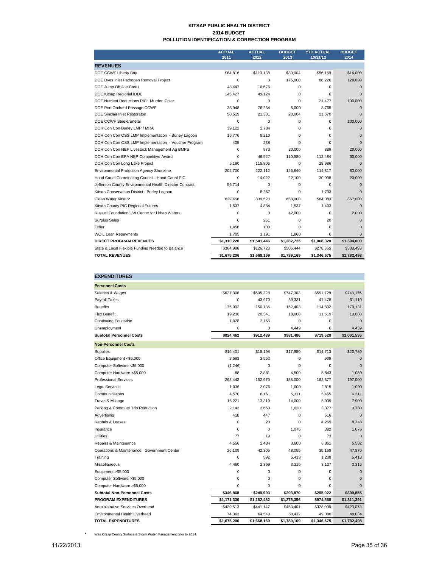#### **KITSAP PUBLIC HEALTH DISTRICT 2014 BUDGET POLLUTION IDENTIFICATION & CORRECTION PROGRAM**

|                                                         | <b>ACTUAL</b><br>2011 | <b>ACTUAL</b><br>2012 | <b>BUDGET</b><br>2013 | <b>YTD ACTUAL</b><br>10/31/13 | <b>BUDGET</b><br>2014 |
|---------------------------------------------------------|-----------------------|-----------------------|-----------------------|-------------------------------|-----------------------|
| <b>REVENUES</b>                                         |                       |                       |                       |                               |                       |
| DOE CCWF Liberty Bay                                    | \$84,816              | \$113,138             | \$80,004              | \$56.169                      | \$14,000              |
| DOE Dyes Inlet Pathogen Removal Project                 | $\Omega$              | $\Omega$              | 175,000               | 86,226                        | 128,000               |
| DOE Jump Off Joe Creek                                  | 48.447                | 16.676                | $\Omega$              | $\Omega$                      | $\Omega$              |
| DOE Kitsap Regional IDDE                                | 145,427               | 49,124                | $\Omega$              | $\Omega$                      | $\Omega$              |
| DOE Nutrient Reductions PIC: Murden Cove                | 0                     | $\mathbf 0$           | $\Omega$              | 21,477                        | 100,000               |
| DOE Port Orchard Passage CCWF                           | 33,948                | 76,234                | 5,000                 | 8,765                         | $\Omega$              |
| <b>DOE Sinclair Inlet Restoraton</b>                    | 50,519                | 21,381                | 20,004                | 21,670                        | $\Omega$              |
| DOE CCWF Steele/Enetai                                  | 0                     | $\mathbf 0$           | 0                     | 0                             | 100,000               |
| DOH Con Con Burley LMP / MRA                            | 39,122                | 2,784                 | $\Omega$              | $\Omega$                      | $\Omega$              |
| DOH Con Con OSS LMP Implementation - Burley Lagoon      | 16.776                | 8,210                 | $\Omega$              | $\Omega$                      | $\Omega$              |
| DOH Con Con OSS LMP Implementation - Voucher Program    | 405                   | 238                   | $\Omega$              | $\Omega$                      | $\Omega$              |
| DOH Con Con NEP Livestock Management Ag BMPS            | 0                     | 973                   | 20,000                | 389                           | 20,000                |
| DOH Con Con EPA NEP Competitive Award                   | $\Omega$              | 46.527                | 110.580               | 112.484                       | 60,000                |
| DOH Con Con Long Lake Project                           | 5.190                 | 115,806               | 0                     | 28.986                        | $\Omega$              |
| <b>Environmental Protection Agency Shoreline</b>        | 202,700               | 222,112               | 146,640               | 114,817                       | 83,000                |
| Hood Canal Coordinating Council - Hood Canal PIC        | 0                     | 14,022                | 22,100                | 30,098                        | 20,000                |
| Jefferson County Environmental Health Director Contract | 55,714                | $\mathbf 0$           | $\Omega$              | $\Omega$                      | $\Omega$              |
| Kitsap Conservation District - Burley Lagoon            | $\Omega$              | 8,267                 | $\Omega$              | 1.733                         | $\Omega$              |
| Clean Water Kitsap*                                     | 622.458               | 839.528               | 658,000               | 584.083                       | 867,000               |
| Kitsap County PIC Regional Futures                      | 1,537                 | 4,884                 | 1,537                 | 1,403                         | $\Omega$              |
| Russell Foundation/UW Center for Urban Waters           | $\Omega$              | $\Omega$              | 42,000                | $\Omega$                      | 2,000                 |
| Surplus Sales                                           | $\Omega$              | 251                   | $\Omega$              | 20                            | $\Omega$              |
| Other                                                   | 1,456                 | 100                   | 0                     | 0                             | $\Omega$              |
| WQIL Loan Repayments                                    | 1,705                 | 1,191                 | 1,860                 | $\Omega$                      | $\mathbf{0}$          |
| <b>DIRECT PROGRAM REVENUES</b>                          | \$1,310,220           | \$1,541,446           | \$1,282,725           | \$1,068,320                   | \$1,394,000           |
| State & Local Flexible Funding Needed to Balance        | \$364,986             | \$126.723             | \$506,444             | \$278,355                     | \$388,498             |
| <b>TOTAL REVENUES</b>                                   | \$1,675,206           | \$1,668,169           | \$1,789,169           | \$1,346,675                   | \$1,782,498           |

| <b>EXPENDITURES</b>                         |             |             |             |             |              |
|---------------------------------------------|-------------|-------------|-------------|-------------|--------------|
| <b>Personnel Costs</b>                      |             |             |             |             |              |
| Salaries & Wages                            | \$627,306   | \$695,228   | \$747,303   | \$551,729   | \$743,176    |
| Payroll Taxes                               | 0           | 43,970      | 59,331      | 41,478      | 61,110       |
| <b>Benefits</b>                             | 175.992     | 150,785     | 152,403     | 114,802     | 179,131      |
| <b>Flex Benefit</b>                         | 19,236      | 20,341      | 18,000      | 11,519      | 13,680       |
| <b>Continuing Education</b>                 | 1,928       | 2,165       | 0           | 0           | $\mathbf{0}$ |
| Unemployment                                | 0           | 0           | 4,449       | 0           | 4,439        |
| <b>Subtotal Personnel Costs</b>             | \$824,462   | \$912,489   | \$981,486   | \$719,528   | \$1,001,536  |
| <b>Non-Personnel Costs</b>                  |             |             |             |             |              |
| Supplies                                    | \$16,401    | \$18.198    | \$17,980    | \$14.713    | \$20,780     |
| Office Equipment <\$5,000                   | 3,593       | 3,552       | 0           | 909         | $\mathbf{0}$ |
| Computer Software <\$5,000                  | (1, 246)    | 0           | 0           | 0           | $\Omega$     |
| Computer Hardware <\$5,000                  | 88          | 2,881       | 4,500       | 5,843       | 1,080        |
| <b>Professional Services</b>                | 268,442     | 152,970     | 188,000     | 162,377     | 197,000      |
| <b>Legal Services</b>                       | 1,036       | 2,076       | 1,000       | 2,815       | 1,000        |
| Communications                              | 4,570       | 6,161       | 5,311       | 5,455       | 6,311        |
| Travel & Mileage                            | 16,221      | 13,319      | 14,000      | 5,939       | 7,900        |
| Parking & Commute Trip Reduction            | 2,143       | 2,650       | 1,620       | 3,377       | 3,780        |
| Advertising                                 | 418         | 447         | $\mathbf 0$ | 516         | $\mathbf{0}$ |
| Rentals & Leases                            | 0           | 20          | 0           | 4,259       | 8.748        |
| Insurance                                   | 0           | 0           | 1.076       | 382         | 1,076        |
| <b>Utilities</b>                            | 77          | 19          | 0           | 73          | $\mathbf{0}$ |
| Repairs & Maintenance                       | 4.556       | 2.434       | 3.600       | 8.861       | 5.582        |
| Operations & Maintenance: Government Center | 26,109      | 42,305      | 48,055      | 35,168      | 47,870       |
| Training                                    | $\Omega$    | 592         | 5,413       | 1,208       | 5,413        |
| Miscellaneous                               | 4,460       | 2,369       | 3,315       | 3,127       | 3,315        |
| Equipment >\$5,000                          | 0           | 0           | $\mathbf 0$ | 0           | $\mathbf{0}$ |
| Computer Software >\$5,000                  | 0           | 0           | $\mathbf 0$ | 0           | $\Omega$     |
| Computer Hardware >\$5,000                  | $\Omega$    | 0           | $\Omega$    | $\Omega$    | $\Omega$     |
| <b>Subtotal Non-Personnel Costs</b>         | \$346,868   | \$249,993   | \$293,870   | \$255,022   | \$309,855    |
| <b>PROGRAM EXPENDITURES</b>                 | \$1,171,330 | \$1,162,482 | \$1,275,356 | \$974,550   | \$1,311,391  |
| Administrative Services Overhead            | \$429,513   | \$441,147   | \$453,401   | \$323,039   | \$423,073    |
| Environmental Health Overhead               | 74,363      | 64,540      | 60,412      | 49,086      | 48,034       |
| <b>TOTAL EXPENDITURES</b>                   | \$1,675,206 | \$1.668.169 | \$1.789.169 | \$1.346.675 | \$1,782,498  |